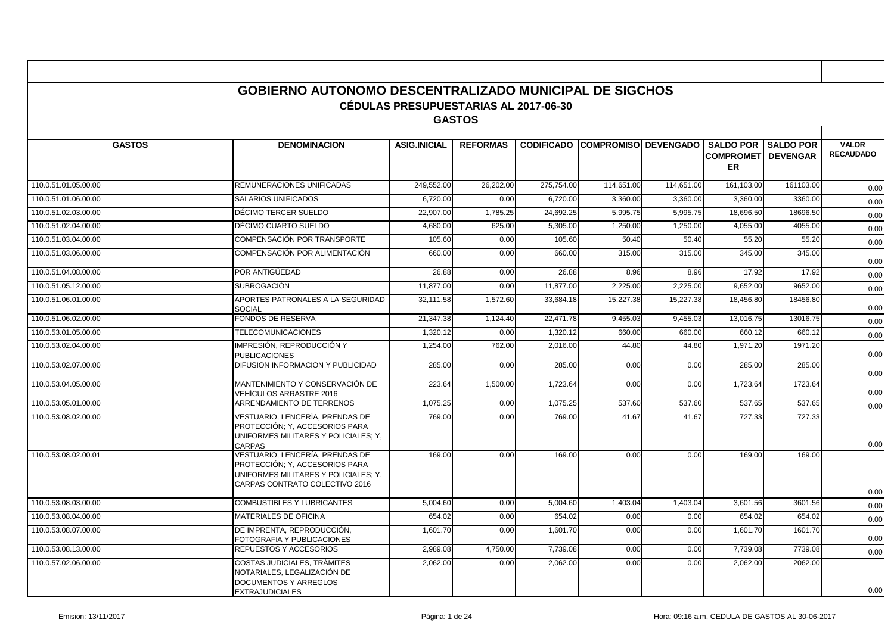|                      | <b>GOBIERNO AUTONOMO DESCENTRALIZADO MUNICIPAL DE SIGCHOS</b>                                                                               |                                              |                 |            |                                        |            |                                                             |                  |                                  |
|----------------------|---------------------------------------------------------------------------------------------------------------------------------------------|----------------------------------------------|-----------------|------------|----------------------------------------|------------|-------------------------------------------------------------|------------------|----------------------------------|
|                      |                                                                                                                                             | <b>CÉDULAS PRESUPUESTARIAS AL 2017-06-30</b> |                 |            |                                        |            |                                                             |                  |                                  |
|                      |                                                                                                                                             |                                              | <b>GASTOS</b>   |            |                                        |            |                                                             |                  |                                  |
| <b>GASTOS</b>        | <b>DENOMINACION</b>                                                                                                                         | <b>ASIG.INICIAL</b>                          | <b>REFORMAS</b> |            | <b>CODIFICADO COMPROMISO DEVENGADO</b> |            | <b>SALDO POR</b><br><b>COMPROMETI DEVENGAR</b><br><b>ER</b> | <b>SALDO POR</b> | <b>VALOR</b><br><b>RECAUDADO</b> |
| 110.0.51.01.05.00.00 | REMUNERACIONES UNIFICADAS                                                                                                                   | 249,552.00                                   | 26,202.00       | 275,754.00 | 114,651.00                             | 114,651.00 | 161,103.00                                                  | 161103.00        | 0.00                             |
| 110.0.51.01.06.00.00 | <b>SALARIOS UNIFICADOS</b>                                                                                                                  | 6,720.00                                     | 0.00            | 6,720.00   | 3,360.00                               | 3,360.00   | 3,360.00                                                    | 3360.00          | 0.00                             |
| 110.0.51.02.03.00.00 | DÉCIMO TERCER SUELDO                                                                                                                        | 22,907.00                                    | 1,785.25        | 24.692.25  | 5.995.75                               | 5.995.75   | 18.696.50                                                   | 18696.50         | 0.00                             |
| 110.0.51.02.04.00.00 | DÉCIMO CUARTO SUELDO                                                                                                                        | 4,680.00                                     | 625.00          | 5,305.00   | 1,250.00                               | 1,250.00   | 4,055.00                                                    | 4055.00          | 0.00                             |
| 110.0.51.03.04.00.00 | COMPENSACIÓN POR TRANSPORTE                                                                                                                 | 105.60                                       | 0.00            | 105.60     | 50.40                                  | 50.40      | 55.20                                                       | 55.20            | 0.00                             |
| 110.0.51.03.06.00.00 | COMPENSACIÓN POR ALIMENTACIÓN                                                                                                               | 660.00                                       | 0.00            | 660.00     | 315.00                                 | 315.00     | 345.00                                                      | 345.00           | 0.00                             |
| 110.0.51.04.08.00.00 | POR ANTIGÜEDAD                                                                                                                              | 26.88                                        | 0.00            | 26.88      | 8.96                                   | 8.96       | 17.92                                                       | 17.92            | 0.00                             |
| 110.0.51.05.12.00.00 | <b>SUBROGACIÓN</b>                                                                                                                          | 11,877.00                                    | 0.00            | 11,877.00  | 2,225.00                               | 2,225.00   | 9,652.00                                                    | 9652.00          | 0.00                             |
| 110.0.51.06.01.00.00 | APORTES PATRONALES A LA SEGURIDAD<br>SOCIAL                                                                                                 | 32,111.58                                    | 1,572.60        | 33,684.18  | 15,227.38                              | 15,227.38  | 18,456.80                                                   | 18456.80         | 0.00                             |
| 110.0.51.06.02.00.00 | FONDOS DE RESERVA                                                                                                                           | 21.347.38                                    | 1,124.40        | 22.471.78  | 9.455.03                               | 9.455.03   | 13,016.75                                                   | 13016.75         | 0.00                             |
| 110.0.53.01.05.00.00 | <b>TELECOMUNICACIONES</b>                                                                                                                   | 1,320.12                                     | 0.00            | 1,320.12   | 660.00                                 | 660.00     | 660.12                                                      | 660.12           | 0.00                             |
| 110.0.53.02.04.00.00 | IMPRESIÓN, REPRODUCCIÓN Y<br><b>PUBLICACIONES</b>                                                                                           | 1,254.00                                     | 762.00          | 2,016.00   | 44.80                                  | 44.80      | 1,971.20                                                    | 1971.20          | 0.00                             |
| 110.0.53.02.07.00.00 | DIFUSION INFORMACION Y PUBLICIDAD                                                                                                           | 285.00                                       | 0.00            | 285.00     | 0.00                                   | 0.00       | 285.00                                                      | 285.00           | 0.00                             |
| 110.0.53.04.05.00.00 | MANTENIMIENTO Y CONSERVACIÓN DE<br>VEHÍCULOS ARRASTRE 2016                                                                                  | 223.64                                       | 1,500.00        | 1,723.64   | 0.00                                   | 0.00       | 1,723.64                                                    | 1723.64          | 0.00                             |
| 110.0.53.05.01.00.00 | ARRENDAMIENTO DE TERRENOS                                                                                                                   | 1,075.25                                     | 0.00            | 1,075.25   | 537.60                                 | 537.60     | 537.65                                                      | 537.65           | 0.00                             |
| 110.0.53.08.02.00.00 | VESTUARIO. LENCERÍA. PRENDAS DE<br>PROTECCIÓN; Y, ACCESORIOS PARA<br>UNIFORMES MILITARES Y POLICIALES: Y.<br>CARPAS                         | 769.00                                       | 0.00            | 769.00     | 41.67                                  | 41.67      | 727.33                                                      | 727.33           | 0.00                             |
| 110.0.53.08.02.00.01 | VESTUARIO, LENCERÍA, PRENDAS DE<br>PROTECCIÓN: Y, ACCESORIOS PARA<br>UNIFORMES MILITARES Y POLICIALES: Y.<br>CARPAS CONTRATO COLECTIVO 2016 | 169.00                                       | 0.00            | 169.00     | 0.00                                   | 0.00       | 169.00                                                      | 169.00           | 0.00                             |
| 110.0.53.08.03.00.00 | COMBUSTIBLES Y LUBRICANTES                                                                                                                  | 5,004.60                                     | 0.00            | 5,004.60   | 1,403.04                               | 1,403.04   | 3,601.56                                                    | 3601.56          | 0.00                             |
| 110.0.53.08.04.00.00 | MATERIALES DE OFICINA                                                                                                                       | 654.02                                       | 0.00            | 654.02     | 0.00                                   | 0.00       | 654.02                                                      | 654.02           | 0.00                             |
| 110.0.53.08.07.00.00 | DE IMPRENTA, REPRODUCCIÓN,<br>FOTOGRAFIA Y PUBLICACIONES                                                                                    | 1,601.70                                     | 0.00            | 1,601.70   | 0.00                                   | 0.00       | 1,601.70                                                    | 1601.70          | 0.00                             |
| 110.0.53.08.13.00.00 | REPUESTOS Y ACCESORIOS                                                                                                                      | 2,989.08                                     | 4,750.00        | 7,739.08   | 0.00                                   | 0.00       | 7,739.08                                                    | 7739.08          | 0.00                             |
| 110.0.57.02.06.00.00 | COSTAS JUDICIALES. TRÁMITES<br>NOTARIALES. LEGALIZACIÓN DE<br>DOCUMENTOS Y ARREGLOS<br><b>EXTRAJUDICIALES</b>                               | 2,062.00                                     | 0.00            | 2,062.00   | 0.00                                   | 0.00       | 2,062.00                                                    | 2062.00          | 0.00                             |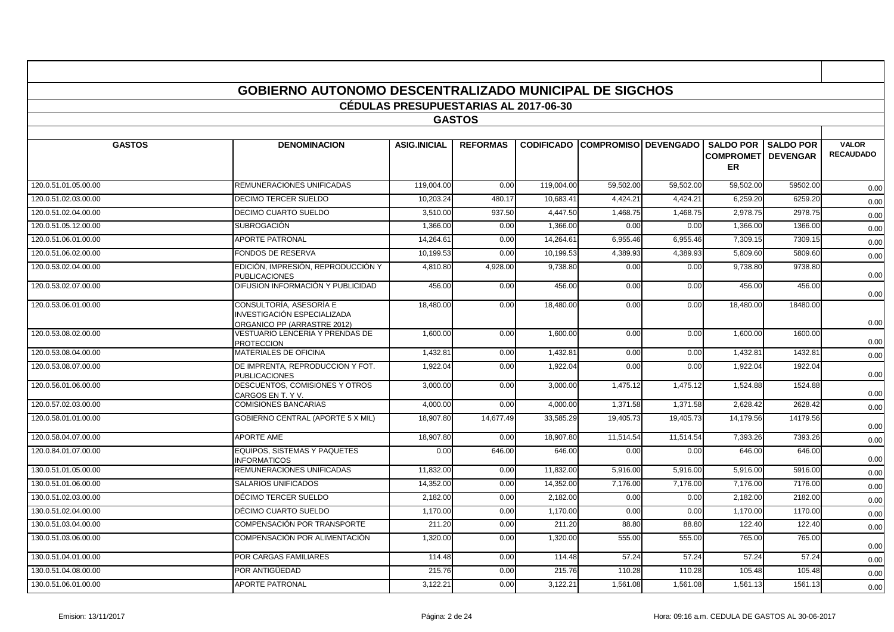|                      | <b>GOBIERNO AUTONOMO DESCENTRALIZADO MUNICIPAL DE SIGCHOS</b>                         |                                              |                 |            |                                        |           |                                                             |             |                                  |
|----------------------|---------------------------------------------------------------------------------------|----------------------------------------------|-----------------|------------|----------------------------------------|-----------|-------------------------------------------------------------|-------------|----------------------------------|
|                      |                                                                                       | <b>CÉDULAS PRESUPUESTARIAS AL 2017-06-30</b> |                 |            |                                        |           |                                                             |             |                                  |
|                      |                                                                                       |                                              | <b>GASTOS</b>   |            |                                        |           |                                                             |             |                                  |
| <b>GASTOS</b>        | <b>DENOMINACION</b>                                                                   | <b>ASIG.INICIAL</b>                          | <b>REFORMAS</b> |            | <b>CODIFICADO COMPROMISO DEVENGADO</b> |           | <b>SALDO POR</b><br><b>COMPROMETI DEVENGAR</b><br><b>ER</b> | I SALDO POR | <b>VALOR</b><br><b>RECAUDADO</b> |
| 120.0.51.01.05.00.00 | REMUNERACIONES UNIFICADAS                                                             | 119,004.00                                   | 0.00            | 119,004.00 | 59,502.00                              | 59,502.00 | 59,502.00                                                   | 59502.00    | 0.00                             |
| 120.0.51.02.03.00.00 | <b>DECIMO TERCER SUELDO</b>                                                           | 10,203.24                                    | 480.17          | 10,683.41  | 4,424.21                               | 4,424.21  | 6,259.20                                                    | 6259.20     | 0.00                             |
| 120.0.51.02.04.00.00 | DECIMO CUARTO SUELDO                                                                  | 3,510.00                                     | 937.50          | 4,447.50   | 1,468.75                               | 1,468.75  | 2,978.75                                                    | 2978.75     | 0.00                             |
| 120.0.51.05.12.00.00 | <b>SUBROGACIÓN</b>                                                                    | 1,366.00                                     | 0.00            | 1,366.00   | 0.00                                   | 0.00      | 1,366.00                                                    | 1366.00     | 0.00                             |
| 120.0.51.06.01.00.00 | <b>APORTE PATRONAL</b>                                                                | 14,264.61                                    | 0.00            | 14.264.61  | 6.955.46                               | 6,955.46  | 7,309.15                                                    | 7309.15     | 0.00                             |
| 120.0.51.06.02.00.00 | <b>FONDOS DE RESERVA</b>                                                              | 10.199.53                                    | 0.00            | 10.199.53  | 4.389.93                               | 4.389.93  | 5.809.60                                                    | 5809.60     | 0.00                             |
| 120.0.53.02.04.00.00 | EDICIÓN, IMPRESIÓN, REPRODUCCIÓN Y<br><b>PUBLICACIONES</b>                            | 4,810.80                                     | 4,928.00        | 9,738.80   | 0.00                                   | 0.00      | 9,738.80                                                    | 9738.80     | 0.00                             |
| 120.0.53.02.07.00.00 | DIFUSION INFORMACIÓN Y PUBLICIDAD                                                     | 456.00                                       | 0.00            | 456.00     | 0.00                                   | 0.00      | 456.00                                                      | 456.00      | 0.00                             |
| 120.0.53.06.01.00.00 | CONSULTORÍA, ASESORÍA E<br>INVESTIGACIÓN ESPECIALIZADA<br>ORGANICO PP (ARRASTRE 2012) | 18,480.00                                    | 0.00            | 18,480.00  | 0.00                                   | 0.00      | 18,480.00                                                   | 18480.00    | 0.00                             |
| 120.0.53.08.02.00.00 | VESTUARIO LENCERIA Y PRENDAS DE<br><b>PROTECCION</b>                                  | 1,600.00                                     | 0.00            | 1,600.00   | 0.00                                   | 0.00      | 1,600.00                                                    | 1600.00     | 0.00                             |
| 120.0.53.08.04.00.00 | <b>MATERIALES DE OFICINA</b>                                                          | 1,432.81                                     | 0.00            | 1,432.81   | 0.00                                   | 0.00      | 1,432.81                                                    | 1432.81     | 0.00                             |
| 120.0.53.08.07.00.00 | DE IMPRENTA. REPRODUCCION Y FOT.<br><b>PUBLICACIONES</b>                              | 1,922.04                                     | 0.00            | 1,922.04   | 0.00                                   | 0.00      | 1,922.04                                                    | 1922.04     | 0.00                             |
| 120.0.56.01.06.00.00 | DESCUENTOS, COMISIONES Y OTROS<br>CARGOS EN T. Y V.                                   | 3,000.00                                     | 0.00            | 3.000.00   | 1,475.12                               | 1.475.12  | 1,524.88                                                    | 1524.88     | 0.00                             |
| 120.0.57.02.03.00.00 | <b>COMISIONES BANCARIAS</b>                                                           | 4,000.00                                     | 0.00            | 4,000.00   | 1,371.58                               | 1,371.58  | 2,628.42                                                    | 2628.42     | 0.00                             |
| 120.0.58.01.01.00.00 | GOBIERNO CENTRAL (APORTE 5 X MIL)                                                     | 18,907.80                                    | 14,677.49       | 33,585.29  | 19,405.73                              | 19,405.73 | 14,179.56                                                   | 14179.56    | 0.00                             |
| 120.0.58.04.07.00.00 | <b>APORTE AME</b>                                                                     | 18,907.80                                    | 0.00            | 18,907.80  | 11,514.54                              | 11,514.54 | 7,393.26                                                    | 7393.26     | 0.00                             |
| 120.0.84.01.07.00.00 | <b>EQUIPOS. SISTEMAS Y PAQUETES</b><br><b>INFORMATICOS</b>                            | 0.00                                         | 646.00          | 646.00     | 0.00                                   | 0.00      | 646.00                                                      | 646.00      | 0.00                             |
| 130.0.51.01.05.00.00 | REMUNERACIONES UNIFICADAS                                                             | 11,832.00                                    | 0.00            | 11,832.00  | 5,916.00                               | 5,916.00  | 5,916.00                                                    | 5916.00     | 0.00                             |
| 130.0.51.01.06.00.00 | <b>SALARIOS UNIFICADOS</b>                                                            | 14,352.00                                    | 0.00            | 14,352.00  | 7,176.00                               | 7,176.00  | 7,176.00                                                    | 7176.00     | 0.00                             |
| 130.0.51.02.03.00.00 | DÉCIMO TERCER SUELDO                                                                  | 2,182.00                                     | 0.00            | 2,182.00   | 0.00                                   | 0.00      | 2,182.00                                                    | 2182.00     | 0.00                             |
| 130.0.51.02.04.00.00 | DÉCIMO CUARTO SUELDO                                                                  | 1.170.00                                     | 0.00            | 1.170.00   | 0.00                                   | 0.00      | 1.170.00                                                    | 1170.00     | 0.00                             |
| 130.0.51.03.04.00.00 | COMPENSACIÓN POR TRANSPORTE                                                           | 211.20                                       | 0.00            | 211.20     | 88.80                                  | 88.80     | 122.40                                                      | 122.40      | 0.00                             |
| 130.0.51.03.06.00.00 | COMPENSACIÓN POR ALIMENTACIÓN                                                         | 1,320.00                                     | 0.00            | 1,320.00   | 555.00                                 | 555.00    | 765.00                                                      | 765.00      | 0.00                             |
| 130.0.51.04.01.00.00 | POR CARGAS FAMILIARES                                                                 | 114.48                                       | 0.00            | 114.48     | 57.24                                  | 57.24     | 57.24                                                       | 57.24       | 0.00                             |
| 130.0.51.04.08.00.00 | POR ANTIGÜEDAD                                                                        | 215.76                                       | 0.00            | 215.76     | 110.28                                 | 110.28    | 105.48                                                      | 105.48      | 0.00                             |
| 130.0.51.06.01.00.00 | <b>APORTE PATRONAL</b>                                                                | 3.122.21                                     | 0.00            | 3.122.21   | 1,561.08                               | 1.561.08  | 1.561.13                                                    | 1561.13     | 0.00                             |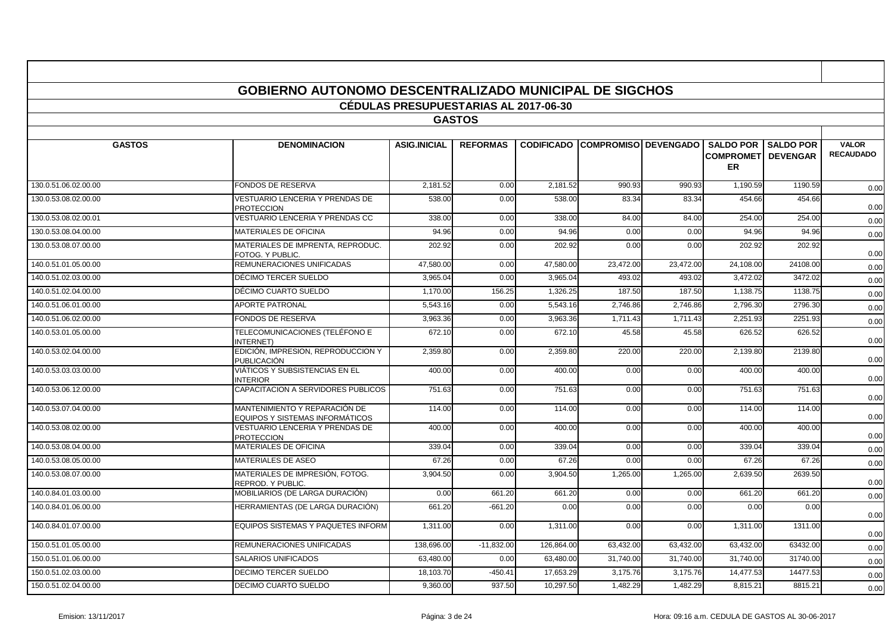|                      | <b>GOBIERNO AUTONOMO DESCENTRALIZADO MUNICIPAL DE SIGCHOS</b>    |                                              |                 |            |                                        |           |           |                                                           |                                  |
|----------------------|------------------------------------------------------------------|----------------------------------------------|-----------------|------------|----------------------------------------|-----------|-----------|-----------------------------------------------------------|----------------------------------|
|                      |                                                                  | <b>CÉDULAS PRESUPUESTARIAS AL 2017-06-30</b> |                 |            |                                        |           |           |                                                           |                                  |
|                      |                                                                  |                                              | <b>GASTOS</b>   |            |                                        |           |           |                                                           |                                  |
|                      |                                                                  |                                              |                 |            |                                        |           |           |                                                           |                                  |
| <b>GASTOS</b>        | <b>DENOMINACION</b>                                              | <b>ASIG.INICIAL</b>                          | <b>REFORMAS</b> |            | <b>CODIFICADO COMPROMISO DEVENGADO</b> |           | ER        | <b>SALDO POR I SALDO POR</b><br><b>COMPROMET DEVENGAR</b> | <b>VALOR</b><br><b>RECAUDADO</b> |
| 130.0.51.06.02.00.00 | <b>FONDOS DE RESERVA</b>                                         | 2.181.52                                     | 0.00            | 2.181.52   | 990.93                                 | 990.93    | 1,190.59  | 1190.59                                                   | 0.00                             |
| 130.0.53.08.02.00.00 | VESTUARIO LENCERIA Y PRENDAS DE<br><b>PROTECCION</b>             | 538.00                                       | 0.00            | 538.00     | 83.34                                  | 83.34     | 454.66    | 454.66                                                    | 0.00                             |
| 130.0.53.08.02.00.01 | VESTUARIO LENCERIA Y PRENDAS CC                                  | 338.00                                       | 0.00            | 338.00     | 84.00                                  | 84.00     | 254.00    | 254.00                                                    | 0.00                             |
| 130.0.53.08.04.00.00 | <b>MATERIALES DE OFICINA</b>                                     | 94.96                                        | 0.00            | 94.96      | 0.00                                   | 0.00      | 94.96     | 94.96                                                     | 0.00                             |
| 130.0.53.08.07.00.00 | MATERIALES DE IMPRENTA, REPRODUC.<br>FOTOG. Y PUBLIC.            | 202.92                                       | 0.00            | 202.92     | 0.00                                   | 0.00      | 202.92    | 202.92                                                    | 0.00                             |
| 140.0.51.01.05.00.00 | REMUNERACIONES UNIFICADAS                                        | 47,580.00                                    | 0.00            | 47,580.00  | 23,472.00                              | 23,472.00 | 24,108.00 | 24108.00                                                  | 0.00                             |
| 140.0.51.02.03.00.00 | DÉCIMO TERCER SUELDO                                             | 3,965.04                                     | 0.00            | 3,965.04   | 493.02                                 | 493.02    | 3,472.02  | 3472.02                                                   | 0.00                             |
| 140.0.51.02.04.00.00 | DÉCIMO CUARTO SUELDO                                             | 1.170.00                                     | 156.25          | 1,326.25   | 187.50                                 | 187.50    | 1,138.75  | 1138.75                                                   | 0.00                             |
| 140.0.51.06.01.00.00 | <b>APORTE PATRONAL</b>                                           | 5,543.16                                     | 0.00            | 5,543.16   | 2,746.86                               | 2,746.86  | 2,796.30  | 2796.30                                                   | 0.00                             |
| 140.0.51.06.02.00.00 | <b>FONDOS DE RESERVA</b>                                         | 3,963.36                                     | 0.00            | 3,963.36   | 1.711.43                               | 1,711.43  | 2,251.93  | 2251.93                                                   | 0.00                             |
| 140.0.53.01.05.00.00 | TELECOMUNICACIONES (TELÉFONO E<br><b>INTERNET</b>                | 672.10                                       | 0.00            | 672.10     | 45.58                                  | 45.58     | 626.52    | 626.52                                                    | 0.00                             |
| 140.0.53.02.04.00.00 | EDICIÓN, IMPRESION, REPRODUCCION Y<br><b>PUBLICACIÓN</b>         | 2,359.80                                     | 0.00            | 2,359.80   | 220.00                                 | 220.00    | 2,139.80  | 2139.80                                                   | 0.00                             |
| 140.0.53.03.03.00.00 | VIÁTICOS Y SUBSISTENCIAS EN EL<br><b>INTERIOR</b>                | 400.00                                       | 0.00            | 400.00     | 0.00                                   | 0.00      | 400.00    | 400.00                                                    | 0.00                             |
| 140.0.53.06.12.00.00 | CAPACITACION A SERVIDORES PUBLICOS                               | 751.63                                       | 0.00            | 751.63     | 0.00                                   | 0.00      | 751.63    | 751.63                                                    | 0.00                             |
| 140.0.53.07.04.00.00 | MANTENIMIENTO Y REPARACIÓN DE<br>EQUIPOS Y SISTEMAS INFORMÁTICOS | 114.00                                       | 0.00            | 114.00     | 0.00                                   | 0.00      | 114.00    | 114.00                                                    | 0.00                             |
| 140.0.53.08.02.00.00 | VESTUARIO LENCERIA Y PRENDAS DE<br><b>PROTECCION</b>             | 400.00                                       | 0.00            | 400.00     | 0.00                                   | 0.00      | 400.00    | 400.00                                                    | 0.00                             |
| 140.0.53.08.04.00.00 | <b>MATERIALES DE OFICINA</b>                                     | 339.04                                       | 0.00            | 339.04     | 0.00                                   | 0.00      | 339.04    | 339.04                                                    | 0.00                             |
| 140.0.53.08.05.00.00 | <b>MATERIALES DE ASEO</b>                                        | 67.26                                        | 0.00            | 67.26      | 0.00                                   | 0.00      | 67.26     | 67.26                                                     | 0.00                             |
| 140.0.53.08.07.00.00 | MATERIALES DE IMPRESIÓN, FOTOG.<br><b>REPROD, Y PUBLIC</b>       | 3,904.50                                     | 0.00            | 3,904.50   | 1,265.00                               | 1,265.00  | 2,639.50  | 2639.50                                                   | 0.00                             |
| 140.0.84.01.03.00.00 | MOBILIARIOS (DE LARGA DURACIÓN)                                  | 0.00                                         | 661.20          | 661.20     | 0.00                                   | 0.00      | 661.20    | 661.20                                                    | 0.00                             |
| 140.0.84.01.06.00.00 | HERRAMIENTAS (DE LARGA DURACIÓN)                                 | 661.20                                       | $-661.20$       | 0.00       | 0.00                                   | 0.00      | 0.00      | 0.00                                                      | 0.00                             |
| 140.0.84.01.07.00.00 | EQUIPOS SISTEMAS Y PAQUETES INFORM                               | 1,311.00                                     | 0.00            | 1,311.00   | 0.00                                   | 0.00      | 1,311.00  | 1311.00                                                   | 0.00                             |
| 150.0.51.01.05.00.00 | REMUNERACIONES UNIFICADAS                                        | 138,696.00                                   | $-11,832.00$    | 126,864.00 | 63,432.00                              | 63,432.00 | 63,432.00 | 63432.00                                                  | 0.00                             |
| 150.0.51.01.06.00.00 | <b>SALARIOS UNIFICADOS</b>                                       | 63,480.00                                    | 0.00            | 63,480.00  | 31,740.00                              | 31,740.00 | 31,740.00 | 31740.00                                                  | 0.00                             |
| 150.0.51.02.03.00.00 | <b>DECIMO TERCER SUELDO</b>                                      | 18,103.70                                    | $-450.41$       | 17,653.29  | 3,175.76                               | 3,175.76  | 14,477.53 | 14477.53                                                  | 0.00                             |
| 150.0.51.02.04.00.00 | <b>DECIMO CUARTO SUELDO</b>                                      | 9,360.00                                     | 937.50          | 10,297.50  | 1,482.29                               | 1,482.29  | 8,815.21  | 8815.21                                                   | 0.00                             |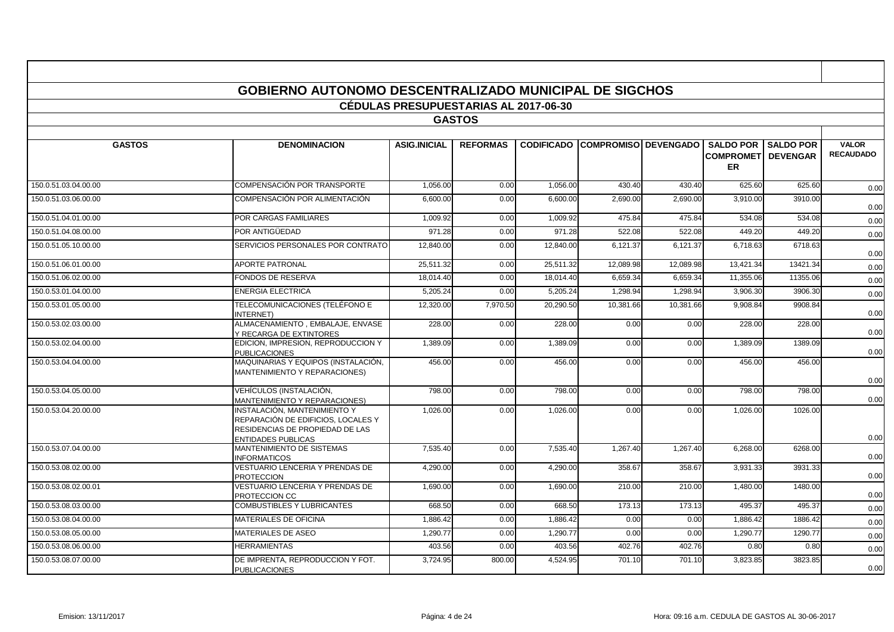|                      | <b>GOBIERNO AUTONOMO DESCENTRALIZADO MUNICIPAL DE SIGCHOS</b>                                         |                                              |                 |                   |                             |           |                                                             |                  |                                  |
|----------------------|-------------------------------------------------------------------------------------------------------|----------------------------------------------|-----------------|-------------------|-----------------------------|-----------|-------------------------------------------------------------|------------------|----------------------------------|
|                      |                                                                                                       | <b>CÉDULAS PRESUPUESTARIAS AL 2017-06-30</b> |                 |                   |                             |           |                                                             |                  |                                  |
|                      |                                                                                                       |                                              | <b>GASTOS</b>   |                   |                             |           |                                                             |                  |                                  |
|                      |                                                                                                       |                                              |                 |                   |                             |           |                                                             |                  |                                  |
| <b>GASTOS</b>        | <b>DENOMINACION</b>                                                                                   | <b>ASIG.INICIAL</b>                          | <b>REFORMAS</b> | <b>CODIFICADO</b> | <b>COMPROMISO DEVENGADO</b> |           | <b>SALDO POR</b><br><b>COMPROMETI DEVENGAR</b><br><b>ER</b> | <b>SALDO POR</b> | <b>VALOR</b><br><b>RECAUDADO</b> |
| 150.0.51.03.04.00.00 | COMPENSACIÓN POR TRANSPORTE                                                                           | 1,056.00                                     | 0.00            | 1.056.00          | 430.40                      | 430.40    | 625.60                                                      | 625.60           | 0.00                             |
| 150.0.51.03.06.00.00 | COMPENSACIÓN POR ALIMENTACIÓN                                                                         | 6,600.00                                     | 0.00            | 6,600.00          | 2,690.00                    | 2,690.00  | 3,910.00                                                    | 3910.00          | 0.00                             |
| 150.0.51.04.01.00.00 | POR CARGAS FAMILIARES                                                                                 | 1,009.92                                     | 0.00            | 1,009.92          | 475.84                      | 475.84    | 534.08                                                      | 534.08           | 0.00                             |
| 150.0.51.04.08.00.00 | POR ANTIGÜEDAD                                                                                        | 971.28                                       | 0.00            | 971.28            | 522.08                      | 522.08    | 449.20                                                      | 449.20           | 0.00                             |
| 150.0.51.05.10.00.00 | SERVICIOS PERSONALES POR CONTRATO                                                                     | 12,840.00                                    | 0.00            | 12,840.00         | 6,121.37                    | 6,121.37  | 6,718.63                                                    | 6718.63          | 0.00                             |
| 150.0.51.06.01.00.00 | <b>APORTE PATRONAL</b>                                                                                | 25,511.32                                    | 0.00            | 25,511.32         | 12,089.98                   | 12,089.98 | 13,421.34                                                   | 13421.34         | 0.00                             |
| 150.0.51.06.02.00.00 | <b>FONDOS DE RESERVA</b>                                                                              | 18.014.40                                    | 0.00            | 18.014.40         | 6.659.34                    | 6.659.34  | 11,355.06                                                   | 11355.06         | 0.00                             |
| 150.0.53.01.04.00.00 | <b>ENERGIA ELECTRICA</b>                                                                              | 5,205.24                                     | 0.00            | 5.205.24          | 1,298.94                    | 1.298.94  | 3,906.30                                                    | 3906.30          | 0.00                             |
| 150.0.53.01.05.00.00 | TELECOMUNICACIONES (TELÉFONO E<br>INTERNET)                                                           | 12.320.00                                    | 7,970.50        | 20.290.50         | 10.381.66                   | 10.381.66 | 9.908.84                                                    | 9908.84          | 0.00                             |
| 150.0.53.02.03.00.00 | ALMACENAMIENTO, EMBALAJE, ENVASE<br>Y RECARGA DE EXTINTORES                                           | 228.00                                       | 0.00            | 228.00            | 0.00                        | 0.00      | 228.00                                                      | 228.00           | 0.00                             |
| 150.0.53.02.04.00.00 | EDICION, IMPRESION, REPRODUCCION Y<br><b>PUBLICACIONES</b>                                            | 1,389.09                                     | 0.00            | 1,389.09          | 0.00                        | 0.00      | 1,389.09                                                    | 1389.09          | 0.00                             |
| 150.0.53.04.04.00.00 | MAQUINARIAS Y EQUIPOS (INSTALACIÓN,<br>MANTENIMIENTO Y REPARACIONES)                                  | 456.00                                       | 0.00            | 456.00            | 0.00                        | 0.00      | 456.00                                                      | 456.00           | 0.00                             |
| 150.0.53.04.05.00.00 | VEHÍCULOS (INSTALACIÓN,<br>MANTENIMIENTO Y REPARACIONES)                                              | 798.00                                       | 0.00            | 798.00            | 0.00                        | 0.00      | 798.00                                                      | 798.00           | 0.00                             |
| 150.0.53.04.20.00.00 | INSTALACIÓN. MANTENIMIENTO Y<br>REPARACIÓN DE EDIFICIOS, LOCALES Y<br>RESIDENCIAS DE PROPIEDAD DE LAS | 1,026.00                                     | 0.00            | 1.026.00          | 0.00                        | 0.00      | 1,026.00                                                    | 1026.00          |                                  |
| 150.0.53.07.04.00.00 | <b>ENTIDADES PUBLICAS</b><br>MANTENIMIENTO DE SISTEMAS                                                | 7,535.40                                     | 0.00            | 7,535.40          | 1,267.40                    | 1.267.40  | 6,268.00                                                    | 6268.00          | 0.00                             |
|                      | <b>INFORMATICOS</b>                                                                                   |                                              |                 |                   |                             |           |                                                             |                  | 0.00                             |
| 150.0.53.08.02.00.00 | VESTUARIO LENCERIA Y PRENDAS DE<br><b>PROTECCION</b>                                                  | 4,290.00                                     | 0.00            | 4,290.00          | 358.67                      | 358.67    | 3,931.33                                                    | 3931.33          | 0.00                             |
| 150.0.53.08.02.00.01 | VESTUARIO LENCERIA Y PRENDAS DE<br>PROTECCION CC                                                      | 1,690.00                                     | 0.00            | 1,690.00          | 210.00                      | 210.00    | 1,480.00                                                    | 1480.00          | 0.00                             |
| 150.0.53.08.03.00.00 | <b>COMBUSTIBLES Y LUBRICANTES</b>                                                                     | 668.50                                       | 0.00            | 668.50            | 173.13                      | 173.13    | 495.37                                                      | 495.37           | 0.00                             |
| 150.0.53.08.04.00.00 | <b>MATERIALES DE OFICINA</b>                                                                          | 1,886.42                                     | 0.00            | 1,886.42          | 0.00                        | 0.00      | 1,886.42                                                    | 1886.42          | 0.00                             |
| 150.0.53.08.05.00.00 | MATERIALES DE ASEO                                                                                    | 1,290.77                                     | 0.00            | 1,290.77          | 0.00                        | 0.00      | 1,290.77                                                    | 1290.77          | 0.00                             |
| 150.0.53.08.06.00.00 | <b>HERRAMIENTAS</b>                                                                                   | 403.56                                       | 0.00            | 403.56            | 402.76                      | 402.76    | 0.80                                                        | 0.80             | 0.00                             |
| 150.0.53.08.07.00.00 | DE IMPRENTA, REPRODUCCION Y FOT.<br><b>PUBLICACIONES</b>                                              | 3,724.95                                     | 800.00          | 4,524.95          | 701.10                      | 701.10    | 3,823.85                                                    | 3823.85          | 0.00                             |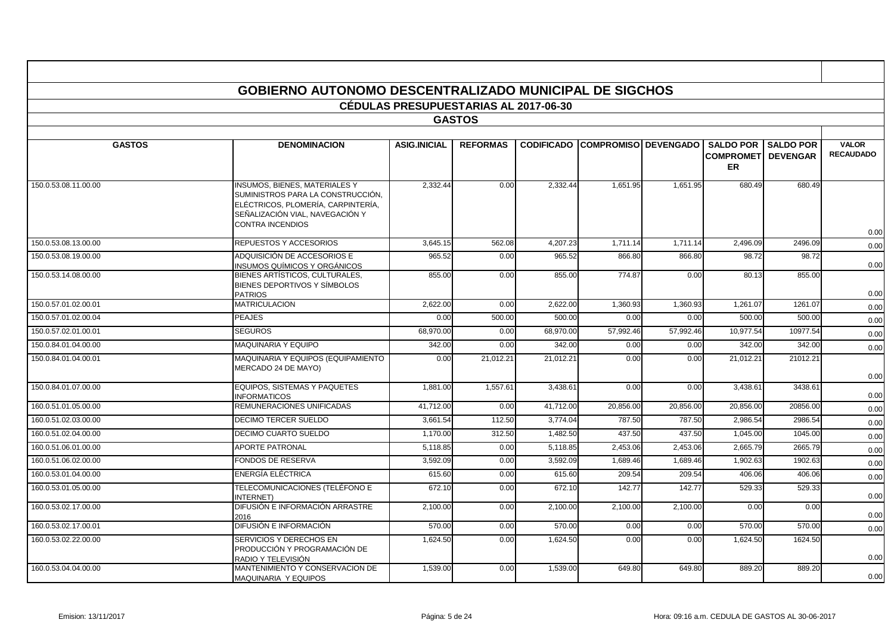|                      | <b>GOBIERNO AUTONOMO DESCENTRALIZADO MUNICIPAL DE SIGCHOS</b>                                                                                                                 |                                              |                 |           |                                        |           |                                                   |                                     |                                  |
|----------------------|-------------------------------------------------------------------------------------------------------------------------------------------------------------------------------|----------------------------------------------|-----------------|-----------|----------------------------------------|-----------|---------------------------------------------------|-------------------------------------|----------------------------------|
|                      |                                                                                                                                                                               | <b>CÉDULAS PRESUPUESTARIAS AL 2017-06-30</b> |                 |           |                                        |           |                                                   |                                     |                                  |
|                      |                                                                                                                                                                               |                                              | <b>GASTOS</b>   |           |                                        |           |                                                   |                                     |                                  |
| <b>GASTOS</b>        | <b>DENOMINACION</b>                                                                                                                                                           | <b>ASIG.INICIAL</b>                          | <b>REFORMAS</b> |           | <b>CODIFICADO COMPROMISO DEVENGADO</b> |           | <b>SALDO POR</b><br><b>COMPROMET</b><br><b>ER</b> | <b>SALDO POR</b><br><b>DEVENGAR</b> | <b>VALOR</b><br><b>RECAUDADO</b> |
| 150.0.53.08.11.00.00 | <b>INSUMOS, BIENES, MATERIALES Y</b><br>SUMINISTROS PARA LA CONSTRUCCIÓN,<br>ELÉCTRICOS, PLOMERÍA, CARPINTERÍA,<br>SEÑALIZACIÓN VIAL, NAVEGACIÓN Y<br><b>CONTRA INCENDIOS</b> | 2.332.44                                     | 0.00            | 2.332.44  | 1.651.95                               | 1.651.95  | 680.49                                            | 680.49                              |                                  |
| 150.0.53.08.13.00.00 | REPUESTOS Y ACCESORIOS                                                                                                                                                        | 3,645.15                                     | 562.08          | 4,207.23  | 1,711.14                               | 1,711.14  | 2,496.09                                          | 2496.09                             | 0.00                             |
| 150.0.53.08.19.00.00 | ADQUISICIÓN DE ACCESORIOS E                                                                                                                                                   | 965.52                                       | 0.00            | 965.52    | 866.80                                 | 866.80    | 98.72                                             | 98.7                                | 0.00                             |
|                      | INSUMOS QUÍMICOS Y ORGÁNICOS                                                                                                                                                  |                                              |                 |           |                                        |           |                                                   |                                     | 0.00                             |
| 150.0.53.14.08.00.00 | BIENES ARTÍSTICOS, CULTURALES,<br>BIENES DEPORTIVOS Y SÍMBOLOS<br><b>PATRIOS</b>                                                                                              | 855.00                                       | 0.00            | 855.00    | 774.87                                 | 0.00      | 80.13                                             | 855.00                              | 0.00                             |
| 150.0.57.01.02.00.01 | <b>MATRICULACION</b>                                                                                                                                                          | 2.622.00                                     | 0.00            | 2.622.00  | 1.360.93                               | 1,360.93  | 1,261.07                                          | 1261.07                             | 0.00                             |
| 150.0.57.01.02.00.04 | <b>PEAJES</b>                                                                                                                                                                 | 0.00                                         | 500.00          | 500.00    | 0.00                                   | 0.00      | 500.00                                            | 500.00                              | 0.00                             |
| 150.0.57.02.01.00.01 | <b>SEGUROS</b>                                                                                                                                                                | 68,970.00                                    | 0.00            | 68,970.00 | 57,992.46                              | 57,992.46 | 10,977.54                                         | 10977.54                            | 0.00                             |
| 150.0.84.01.04.00.00 | MAQUINARIA Y EQUIPO                                                                                                                                                           | 342.00                                       | 0.00            | 342.00    | 0.00                                   | 0.00      | 342.00                                            | 342.00                              | 0.00                             |
| 150.0.84.01.04.00.01 | MAQUINARIA Y EQUIPOS (EQUIPAMIENTO<br>MERCADO 24 DE MAYO)                                                                                                                     | 0.00                                         | 21,012.21       | 21,012.21 | 0.00                                   | 0.00      | 21,012.21                                         | 21012.21                            | 0.00                             |
| 150.0.84.01.07.00.00 | <b>EQUIPOS, SISTEMAS Y PAQUETES</b><br><b>INFORMATICOS</b>                                                                                                                    | 1,881.00                                     | 1,557.61        | 3,438.61  | 0.00                                   | 0.00      | 3,438.61                                          | 3438.61                             | 0.00                             |
| 160.0.51.01.05.00.00 | REMUNERACIONES UNIFICADAS                                                                                                                                                     | 41,712.00                                    | 0.00            | 41,712.00 | 20,856.00                              | 20,856.00 | 20,856.00                                         | 20856.00                            | 0.00                             |
| 160.0.51.02.03.00.00 | <b>DECIMO TERCER SUELDO</b>                                                                                                                                                   | 3,661.54                                     | 112.50          | 3,774.04  | 787.50                                 | 787.50    | 2,986.54                                          | 2986.54                             | 0.00                             |
| 160.0.51.02.04.00.00 | DECIMO CUARTO SUELDO                                                                                                                                                          | 1.170.00                                     | 312.50          | 1,482.50  | 437.50                                 | 437.50    | 1,045.00                                          | 1045.00                             | 0.00                             |
| 160.0.51.06.01.00.00 | <b>APORTE PATRONAL</b>                                                                                                                                                        | 5,118.85                                     | 0.00            | 5,118.85  | 2,453.06                               | 2,453.06  | 2,665.79                                          | 2665.79                             | 0.00                             |
| 160.0.51.06.02.00.00 | FONDOS DE RESERVA                                                                                                                                                             | 3.592.09                                     | 0.00            | 3,592.09  | 1,689.46                               | 1,689.46  | 1,902.63                                          | 1902.63                             | 0.00                             |
| 160.0.53.01.04.00.00 | ENERGÍA ELÉCTRICA                                                                                                                                                             | 615.60                                       | 0.00            | 615.60    | 209.54                                 | 209.54    | 406.06                                            | 406.06                              | 0.00                             |
| 160.0.53.01.05.00.00 | TELECOMUNICACIONES (TELÉFONO E<br><b>INTERNET)</b>                                                                                                                            | 672.10                                       | 0.00            | 672.10    | 142.77                                 | 142.77    | 529.33                                            | 529.33                              | 0.00                             |
| 160.0.53.02.17.00.00 | DIFUSIÓN E INFORMACIÓN ARRASTRE<br>2016                                                                                                                                       | 2,100.00                                     | 0.00            | 2,100.00  | 2,100.00                               | 2,100.00  | 0.00                                              | 0.00                                | 0.00                             |
| 160.0.53.02.17.00.01 | DIFUSIÓN E INFORMACIÓN                                                                                                                                                        | 570.00                                       | 0.00            | 570.00    | 0.00                                   | 0.00      | 570.00                                            | 570.00                              | 0.00                             |
| 160.0.53.02.22.00.00 | SERVICIOS Y DERECHOS EN<br>PRODUCCIÓN Y PROGRAMACIÓN DE<br>RADIO Y TELEVISIÓN                                                                                                 | 1,624.50                                     | 0.00            | 1,624.50  | 0.00                                   | 0.00      | 1,624.50                                          | 1624.50                             | 0.00                             |
| 160.0.53.04.04.00.00 | MANTENIMIENTO Y CONSERVACION DE<br>MAQUINARIA Y EQUIPOS                                                                                                                       | 1,539.00                                     | 0.00            | 1,539.00  | 649.80                                 | 649.80    | 889.20                                            | 889.20                              | 0.00                             |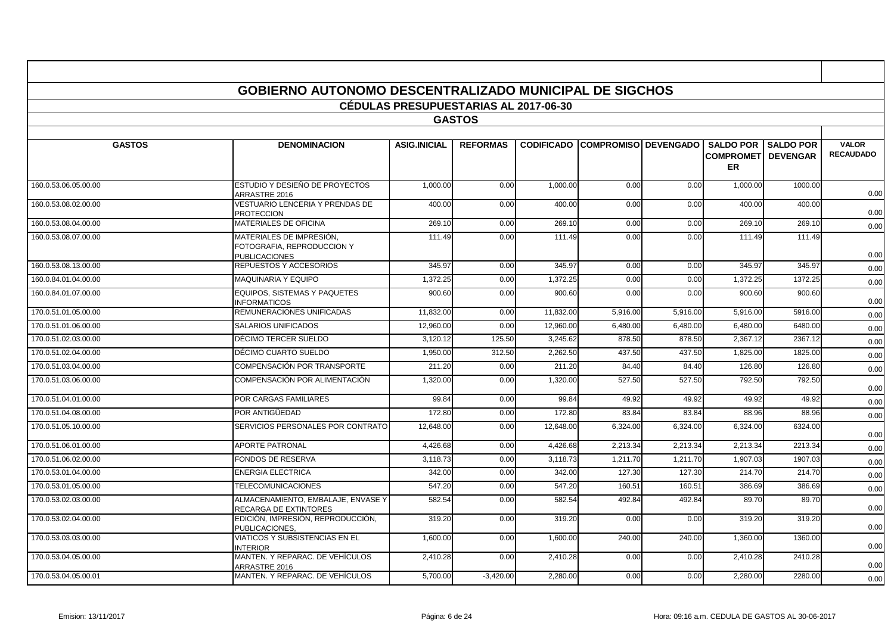|                      | <b>GOBIERNO AUTONOMO DESCENTRALIZADO MUNICIPAL DE SIGCHOS</b>                  |                                              |                 |                   |                        |          |                               |                                                |                                  |
|----------------------|--------------------------------------------------------------------------------|----------------------------------------------|-----------------|-------------------|------------------------|----------|-------------------------------|------------------------------------------------|----------------------------------|
|                      |                                                                                | <b>CÉDULAS PRESUPUESTARIAS AL 2017-06-30</b> |                 |                   |                        |          |                               |                                                |                                  |
|                      |                                                                                |                                              | <b>GASTOS</b>   |                   |                        |          |                               |                                                |                                  |
|                      |                                                                                |                                              |                 |                   |                        |          |                               |                                                |                                  |
| <b>GASTOS</b>        | <b>DENOMINACION</b>                                                            | <b>ASIG.INICIAL</b>                          | <b>REFORMAS</b> | <b>CODIFICADO</b> | COMPROMISO   DEVENGADO |          | <b>SALDO POR</b><br><b>ER</b> | <b>SALDO POR</b><br><b>COMPROMETI DEVENGAR</b> | <b>VALOR</b><br><b>RECAUDADO</b> |
| 160.0.53.06.05.00.00 | ESTUDIO Y DESIEÑO DE PROYECTOS<br>ARRASTRE 2016                                | 1,000.00                                     | 0.00            | 1,000.00          | 0.00                   | 0.00     | 1,000.00                      | 1000.00                                        | 0.00                             |
| 160.0.53.08.02.00.00 | <b>VESTUARIO LENCERIA Y PRENDAS DE</b><br><b>PROTECCION</b>                    | 400.00                                       | 0.00            | 400.00            | 0.00                   | 0.00     | 400.00                        | 400.00                                         | 0.00                             |
| 160.0.53.08.04.00.00 | <b>MATERIALES DE OFICINA</b>                                                   | 269.10                                       | 0.00            | 269.10            | 0.00                   | 0.00     | 269.10                        | 269.10                                         | 0.00                             |
| 160.0.53.08.07.00.00 | MATERIALES DE IMPRESIÓN.<br>FOTOGRAFIA, REPRODUCCION Y<br><b>PUBLICACIONES</b> | 111.49                                       | 0.00            | 111.49            | 0.00                   | 0.00     | 111.49                        | 111.49                                         | 0.00                             |
| 160.0.53.08.13.00.00 | REPUESTOS Y ACCESORIOS                                                         | 345.97                                       | 0.00            | 345.97            | 0.00                   | 0.00     | 345.97                        | 345.97                                         | 0.00                             |
| 160.0.84.01.04.00.00 | MAQUINARIA Y EQUIPO                                                            | 1,372.25                                     | 0.00            | 1,372.25          | 0.00                   | 0.00     | 1,372.25                      | 1372.25                                        | 0.00                             |
| 160.0.84.01.07.00.00 | EQUIPOS. SISTEMAS Y PAQUETES<br><b>INFORMATICOS</b>                            | 900.60                                       | 0.00            | 900.60            | 0.00                   | 0.00     | 900.60                        | 900.60                                         | 0.00                             |
| 170.0.51.01.05.00.00 | REMUNERACIONES UNIFICADAS                                                      | 11.832.00                                    | 0.00            | 11.832.00         | 5,916.00               | 5.916.00 | 5.916.00                      | 5916.00                                        | 0.00                             |
| 170.0.51.01.06.00.00 | <b>SALARIOS UNIFICADOS</b>                                                     | 12,960.00                                    | 0.00            | 12.960.0          | 6,480.00               | 6.480.00 | 6,480.00                      | 6480.00                                        | 0.00                             |
| 170.0.51.02.03.00.00 | DÉCIMO TERCER SUELDO                                                           | 3,120.12                                     | 125.50          | 3,245.62          | 878.50                 | 878.50   | 2,367.12                      | 2367.12                                        | 0.00                             |
| 170.0.51.02.04.00.00 | DÉCIMO CUARTO SUELDO                                                           | 1,950.00                                     | 312.50          | 2,262.50          | 437.50                 | 437.50   | 1,825.00                      | 1825.00                                        | 0.00                             |
| 170.0.51.03.04.00.00 | COMPENSACIÓN POR TRANSPORTE                                                    | 211.20                                       | 0.00            | 211.20            | 84.40                  | 84.40    | 126.80                        | 126.80                                         | 0.00                             |
| 170.0.51.03.06.00.00 | COMPENSACIÓN POR ALIMENTACIÓN                                                  | 1,320.00                                     | 0.00            | 1,320.00          | 527.50                 | 527.50   | 792.50                        | 792.50                                         | 0.00                             |
| 170.0.51.04.01.00.00 | POR CARGAS FAMILIARES                                                          | 99.84                                        | 0.00            | 99.84             | 49.92                  | 49.92    | 49.92                         | 49.92                                          | 0.00                             |
| 170.0.51.04.08.00.00 | POR ANTIGÜEDAD                                                                 | 172.80                                       | 0.00            | 172.80            | 83.84                  | 83.84    | 88.96                         | 88.96                                          | 0.00                             |
| 170.0.51.05.10.00.00 | SERVICIOS PERSONALES POR CONTRATO                                              | 12,648.00                                    | 0.00            | 12,648.00         | 6,324.00               | 6,324.00 | 6,324.00                      | 6324.00                                        | 0.00                             |
| 170.0.51.06.01.00.00 | <b>APORTE PATRONAL</b>                                                         | 4,426.68                                     | 0.00            | 4,426.68          | 2,213.34               | 2,213.34 | 2,213.34                      | 2213.34                                        | 0.00                             |
| 170.0.51.06.02.00.00 | <b>FONDOS DE RESERVA</b>                                                       | 3,118.73                                     | 0.00            | 3,118.73          | 1,211.70               | 1,211.70 | 1,907.03                      | 1907.03                                        | 0.00                             |
| 170.0.53.01.04.00.00 | <b>ENERGIA ELECTRICA</b>                                                       | 342.00                                       | 0.00            | 342.00            | 127.30                 | 127.30   | 214.70                        | 214.70                                         | 0.00                             |
| 170.0.53.01.05.00.00 | <b>TELECOMUNICACIONES</b>                                                      | 547.20                                       | 0.00            | 547.20            | 160.51                 | 160.51   | 386.69                        | 386.69                                         | 0.00                             |
| 170.0.53.02.03.00.00 | ALMACENAMIENTO, EMBALAJE, ENVASE Y<br><b>RECARGA DE EXTINTORES</b>             | 582.54                                       | 0.00            | 582.54            | 492.84                 | 492.84   | 89.70                         | 89.70                                          | 0.00                             |
| 170.0.53.02.04.00.00 | EDICIÓN, IMPRESIÓN, REPRODUCCIÓN,<br>PUBLICACIONES,                            | 319.20                                       | 0.00            | 319.20            | 0.00                   | 0.00     | 319.20                        | 319.20                                         | 0.00                             |
| 170.0.53.03.03.00.00 | VIATICOS Y SUBSISTENCIAS EN EL<br><b>INTERIOR</b>                              | 1,600.00                                     | 0.00            | 1,600.00          | 240.00                 | 240.00   | 1,360.00                      | 1360.00                                        | 0.00                             |
| 170.0.53.04.05.00.00 | MANTEN, Y REPARAC, DE VEHÍCULOS<br>ARRASTRE 2016                               | 2,410.28                                     | 0.00            | 2,410.28          | 0.00                   | 0.00     | 2,410.28                      | 2410.28                                        | 0.00                             |
| 170.0.53.04.05.00.01 | MANTEN. Y REPARAC. DE VEHÍCULOS                                                | 5,700.00                                     | $-3,420.00$     | 2,280.00          | 0.00                   | 0.00     | 2.280.00                      | 2280.00                                        | 0.00                             |

- 11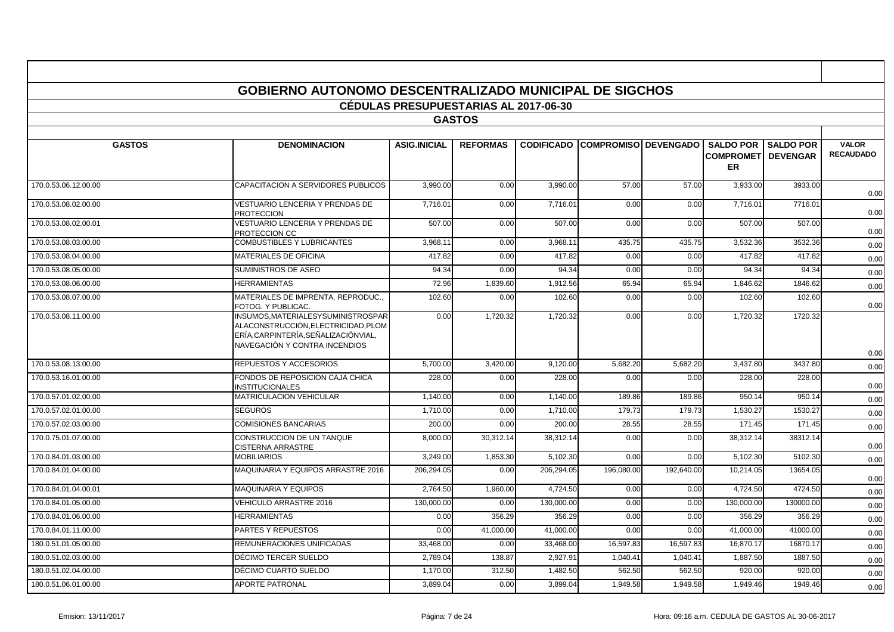|                      | <b>GOBIERNO AUTONOMO DESCENTRALIZADO MUNICIPAL DE SIGCHOS</b>                                                                                    |                                              |                 |            |                                        |            |                                                             |             |                                  |
|----------------------|--------------------------------------------------------------------------------------------------------------------------------------------------|----------------------------------------------|-----------------|------------|----------------------------------------|------------|-------------------------------------------------------------|-------------|----------------------------------|
|                      |                                                                                                                                                  | <b>CÉDULAS PRESUPUESTARIAS AL 2017-06-30</b> | <b>GASTOS</b>   |            |                                        |            |                                                             |             |                                  |
|                      |                                                                                                                                                  |                                              |                 |            |                                        |            |                                                             |             |                                  |
| <b>GASTOS</b>        | <b>DENOMINACION</b>                                                                                                                              | <b>ASIG.INICIAL</b>                          | <b>REFORMAS</b> |            | <b>CODIFICADO COMPROMISO DEVENGADO</b> |            | <b>SALDO POR</b><br><b>COMPROMETI DEVENGAR</b><br><b>ER</b> | I SALDO POR | <b>VALOR</b><br><b>RECAUDADO</b> |
| 170.0.53.06.12.00.00 | CAPACITACION A SERVIDORES PUBLICOS                                                                                                               | 3,990.00                                     | 0.00            | 3,990.00   | 57.00                                  | 57.00      | 3,933.00                                                    | 3933.00     | 0.00                             |
| 170.0.53.08.02.00.00 | VESTUARIO LENCERIA Y PRENDAS DE<br><b>PROTECCION</b>                                                                                             | 7,716.0                                      | 0.00            | 7,716.01   | 0.00                                   | 0.00       | 7,716.01                                                    | 7716.01     | 0.00                             |
| 170.0.53.08.02.00.01 | VESTUARIO LENCERIA Y PRENDAS DE<br>PROTECCION CC                                                                                                 | 507.00                                       | 0.00            | 507.00     | 0.00                                   | 0.00       | 507.00                                                      | 507.00      | 0.00                             |
| 170.0.53.08.03.00.00 | COMBUSTIBLES Y LUBRICANTES                                                                                                                       | 3.968.11                                     | 0.00            | 3.968.11   | 435.75                                 | 435.75     | 3,532.36                                                    | 3532.36     | 0.00                             |
| 170.0.53.08.04.00.00 | MATERIALES DE OFICINA                                                                                                                            | 417.82                                       | 0.00            | 417.82     | 0.00                                   | 0.00       | 417.82                                                      | 417.82      | 0.00                             |
| 170.0.53.08.05.00.00 | SUMINISTROS DE ASEO                                                                                                                              | 94.34                                        | 0.00            | 94.34      | 0.00                                   | 0.00       | 94.34                                                       | 94.34       | 0.00                             |
| 170.0.53.08.06.00.00 | <b>HERRAMIENTAS</b>                                                                                                                              | 72.96                                        | 1,839.60        | 1,912.56   | 65.94                                  | 65.94      | 1,846.62                                                    | 1846.62     | 0.00                             |
| 170.0.53.08.07.00.00 | MATERIALES DE IMPRENTA, REPRODUC.<br>FOTOG. Y PUBLICAC.                                                                                          | 102.60                                       | 0.00            | 102.60     | 0.00                                   | 0.00       | 102.60                                                      | 102.60      | 0.00                             |
| 170.0.53.08.11.00.00 | INSUMOS, MATERIALESYSUMINISTROSPAR<br>ALACONSTRUCCIÓN.ELECTRICIDAD.PLOM<br>ERÍA, CARPINTERÍA, SEÑALIZACIÓNVIAL,<br>NAVEGACIÓN Y CONTRA INCENDIOS | 0.00                                         | 1,720.32        | 1,720.32   | 0.00                                   | 0.00       | 1,720.32                                                    | 1720.32     | 0.00                             |
| 170.0.53.08.13.00.00 | REPUESTOS Y ACCESORIOS                                                                                                                           | 5,700.00                                     | 3,420.00        | 9,120.00   | 5,682.20                               | 5,682.20   | 3,437.80                                                    | 3437.80     | 0.00                             |
| 170.0.53.16.01.00.00 | FONDOS DE REPOSICION CAJA CHICA<br><b>INSTITUCIONALES</b>                                                                                        | 228.00                                       | 0.00            | 228.00     | 0.00                                   | 0.00       | 228.00                                                      | 228.00      | 0.00                             |
| 170.0.57.01.02.00.00 | <b>MATRICULACION VEHICULAR</b>                                                                                                                   | 1,140.00                                     | 0.00            | 1,140.00   | 189.86                                 | 189.86     | 950.14                                                      | 950.14      | 0.00                             |
| 170.0.57.02.01.00.00 | <b>SEGUROS</b>                                                                                                                                   | 1,710.00                                     | 0.00            | 1,710.00   | 179.73                                 | 179.73     | 1,530.27                                                    | 1530.27     | 0.00                             |
| 170.0.57.02.03.00.00 | <b>COMISIONES BANCARIAS</b>                                                                                                                      | 200.00                                       | 0.00            | 200.00     | 28.55                                  | 28.55      | 171.45                                                      | 171.45      | 0.00                             |
| 170.0.75.01.07.00.00 | CONSTRUCCION DE UN TANQUE<br><b>CISTERNA ARRASTRE</b>                                                                                            | 8.000.00                                     | 30,312.14       | 38.312.14  | 0.00                                   | 0.00       | 38,312.14                                                   | 38312.14    | 0.00                             |
| 170.0.84.01.03.00.00 | <b>MOBILIARIOS</b>                                                                                                                               | 3.249.00                                     | 1,853.30        | 5,102.30   | 0.00                                   | 0.00       | 5,102.30                                                    | 5102.30     | 0.00                             |
| 170.0.84.01.04.00.00 | MAQUINARIA Y EQUIPOS ARRASTRE 2016                                                                                                               | 206,294.05                                   | 0.00            | 206,294.05 | 196,080.00                             | 192,640.00 | 10,214.05                                                   | 13654.05    | 0.00                             |
| 170.0.84.01.04.00.01 | MAQUINARIA Y EQUIPOS                                                                                                                             | 2,764.50                                     | 1,960.00        | 4,724.50   | 0.00                                   | 0.00       | 4,724.50                                                    | 4724.50     | 0.00                             |
| 170.0.84.01.05.00.00 | <b>VEHICULO ARRASTRE 2016</b>                                                                                                                    | 130,000.00                                   | 0.00            | 130,000.00 | 0.00                                   | 0.00       | 130,000.00                                                  | 130000.00   | 0.00                             |
| 170.0.84.01.06.00.00 | <b>HERRAMIENTAS</b>                                                                                                                              | 0.00                                         | 356.29          | 356.29     | 0.00                                   | 0.00       | 356.29                                                      | 356.29      | 0.00                             |
| 170.0.84.01.11.00.00 | PARTES Y REPUESTOS                                                                                                                               | 0.00                                         | 41,000.00       | 41,000.00  | 0.00                                   | 0.00       | 41,000.00                                                   | 41000.00    | 0.00                             |
| 180.0.51.01.05.00.00 | REMUNERACIONES UNIFICADAS                                                                                                                        | 33,468.00                                    | 0.00            | 33,468.00  | 16,597.83                              | 16,597.83  | 16,870.17                                                   | 16870.17    | 0.00                             |
| 180.0.51.02.03.00.00 | DÉCIMO TERCER SUELDO                                                                                                                             | 2.789.04                                     | 138.87          | 2.927.91   | 1.040.41                               | 1,040.41   | 1,887.50                                                    | 1887.50     | 0.00                             |
| 180.0.51.02.04.00.00 | DÉCIMO CUARTO SUELDO                                                                                                                             | 1.170.00                                     | 312.50          | 1.482.50   | 562.50                                 | 562.50     | 920.00                                                      | 920.00      | 0.00                             |
| 180.0.51.06.01.00.00 | <b>APORTE PATRONAL</b>                                                                                                                           | 3,899.04                                     | 0.00            | 3,899.04   | 1,949.58                               | 1,949.58   | 1,949.46                                                    | 1949.46     | 0.00                             |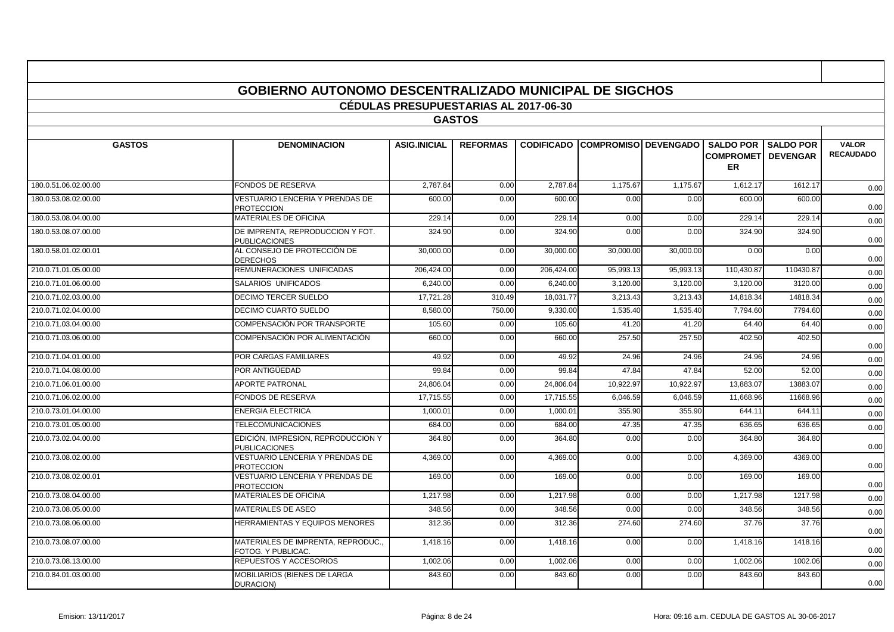|                      | <b>GOBIERNO AUTONOMO DESCENTRALIZADO MUNICIPAL DE SIGCHOS</b> | <b>CÉDULAS PRESUPUESTARIAS AL 2017-06-30</b> |                 |                   |                             |           |                        |                                                |                                  |
|----------------------|---------------------------------------------------------------|----------------------------------------------|-----------------|-------------------|-----------------------------|-----------|------------------------|------------------------------------------------|----------------------------------|
|                      |                                                               |                                              | <b>GASTOS</b>   |                   |                             |           |                        |                                                |                                  |
| <b>GASTOS</b>        | <b>DENOMINACION</b>                                           | <b>ASIG.INICIAL</b>                          | <b>REFORMAS</b> | <b>CODIFICADO</b> | <b>COMPROMISO DEVENGADO</b> |           | <b>SALDO POR</b><br>ER | <b>SALDO POR</b><br><b>COMPROMETI DEVENGAR</b> | <b>VALOR</b><br><b>RECAUDADO</b> |
| 180.0.51.06.02.00.00 | FONDOS DE RESERVA                                             | 2,787.84                                     | 0.00            | 2,787.84          | 1,175.67                    | 1,175.67  | 1,612.17               | 1612.17                                        | 0.00                             |
| 180.0.53.08.02.00.00 | VESTUARIO LENCERIA Y PRENDAS DE<br><b>PROTECCION</b>          | 600.00                                       | 0.00            | 600.00            | 0.00                        | 0.00      | 600.00                 | 600.00                                         | 0.00                             |
| 180.0.53.08.04.00.00 | <b>MATERIALES DE OFICINA</b>                                  | 229.14                                       | 0.00            | 229.14            | 0.00                        | 0.00      | 229.14                 | 229.14                                         | 0.00                             |
| 180.0.53.08.07.00.00 | DE IMPRENTA, REPRODUCCION Y FOT.<br><b>PUBLICACIONES</b>      | 324.90                                       | 0.00            | 324.90            | 0.00                        | 0.00      | 324.90                 | 324.90                                         | 0.00                             |
| 180.0.58.01.02.00.01 | AL CONSEJO DE PROTECCIÓN DE<br><b>DERECHOS</b>                | 30,000.00                                    | 0.00            | 30,000.00         | 30,000.00                   | 30,000.00 | 0.00                   | 0.00                                           | 0.00                             |
| 210.0.71.01.05.00.00 | REMUNERACIONES UNIFICADAS                                     | 206,424.00                                   | 0.00            | 206,424.00        | 95,993.13                   | 95,993.13 | 110.430.87             | 110430.87                                      | 0.00                             |
| 210.0.71.01.06.00.00 | SALARIOS UNIFICADOS                                           | 6.240.00                                     | 0.00            | 6.240.00          | 3.120.00                    | 3.120.00  | 3.120.00               | 3120.00                                        | 0.00                             |
| 210.0.71.02.03.00.00 | DECIMO TERCER SUELDO                                          | 17,721.28                                    | 310.49          | 18,031.77         | 3,213.43                    | 3,213.43  | 14,818.34              | 14818.34                                       | 0.00                             |
| 210.0.71.02.04.00.00 | <b>DECIMO CUARTO SUELDO</b>                                   | 8,580.00                                     | 750.00          | 9,330.00          | 1,535.40                    | 1,535.40  | 7,794.60               | 7794.60                                        | 0.00                             |
| 210.0.71.03.04.00.00 | COMPENSACIÓN POR TRANSPORTE                                   | 105.60                                       | 0.00            | 105.60            | 41.20                       | 41.20     | 64.40                  | 64.40                                          | 0.00                             |
| 210.0.71.03.06.00.00 | COMPENSACIÓN POR ALIMENTACIÓN                                 | 660.00                                       | 0.00            | 660.00            | 257.50                      | 257.50    | 402.50                 | 402.50                                         | 0.00                             |
| 210.0.71.04.01.00.00 | POR CARGAS FAMILIARES                                         | 49.92                                        | 0.00            | 49.92             | 24.96                       | 24.96     | 24.96                  | 24.96                                          | 0.00                             |
| 210.0.71.04.08.00.00 | POR ANTIGÜEDAD                                                | 99.84                                        | 0.00            | 99.84             | 47.84                       | 47.84     | 52.00                  | 52.00                                          | 0.00                             |
| 210.0.71.06.01.00.00 | <b>APORTE PATRONAL</b>                                        | 24,806.04                                    | 0.00            | 24,806.04         | 10,922.97                   | 10,922.97 | 13,883.07              | 13883.07                                       | 0.00                             |
| 210.0.71.06.02.00.00 | FONDOS DE RESERVA                                             | 17.715.55                                    | 0.00            | 17.715.55         | 6,046.59                    | 6,046.59  | 11,668.96              | 11668.96                                       | 0.00                             |
| 210.0.73.01.04.00.00 | <b>ENERGIA ELECTRICA</b>                                      | 1,000.0                                      | 0.00            | 1,000.01          | 355.90                      | 355.90    | 644.11                 | 644.1'                                         | 0.00                             |
| 210.0.73.01.05.00.00 | <b>TELECOMUNICACIONES</b>                                     | 684.00                                       | 0.00            | 684.00            | 47.35                       | 47.35     | 636.65                 | 636.65                                         | 0.00                             |
| 210.0.73.02.04.00.00 | EDICIÓN, IMPRESION, REPRODUCCION Y<br><b>PUBLICACIONES</b>    | 364.80                                       | 0.00            | 364.80            | 0.00                        | 0.00      | 364.80                 | 364.80                                         | 0.00                             |
| 210.0.73.08.02.00.00 | <b>VESTUARIO LENCERIA Y PRENDAS DE</b><br><b>PROTECCION</b>   | 4,369.00                                     | 0.00            | 4,369.00          | 0.00                        | 0.00      | 4,369.00               | 4369.00                                        | 0.00                             |
| 210.0.73.08.02.00.01 | VESTUARIO LENCERIA Y PRENDAS DE<br><b>PROTECCION</b>          | 169.00                                       | 0.00            | 169.00            | 0.00                        | 0.00      | 169.00                 | 169.00                                         | 0.00                             |
| 210.0.73.08.04.00.00 | MATERIALES DE OFICINA                                         | 1.217.98                                     | 0.00            | 1,217.98          | 0.00                        | 0.00      | 1,217.98               | 1217.98                                        | 0.00                             |
| 210.0.73.08.05.00.00 | MATERIALES DE ASEO                                            | 348.56                                       | 0.00            | 348.56            | 0.00                        | 0.00      | 348.56                 | 348.56                                         | 0.00                             |
| 210.0.73.08.06.00.00 | HERRAMIENTAS Y EQUIPOS MENORES                                | 312.36                                       | 0.00            | 312.36            | 274.60                      | 274.60    | 37.76                  | 37.76                                          | 0.00                             |
| 210.0.73.08.07.00.00 | MATERIALES DE IMPRENTA, REPRODUC<br>FOTOG. Y PUBLICAC.        | 1.418.16                                     | 0.00            | 1.418.16          | 0.00                        | 0.00      | 1.418.16               | 1418.16                                        | 0.00                             |
| 210.0.73.08.13.00.00 | REPUESTOS Y ACCESORIOS                                        | 1,002.06                                     | 0.00            | 1,002.06          | 0.00                        | 0.00      | 1,002.06               | 1002.06                                        | 0.00                             |
| 210.0.84.01.03.00.00 | MOBILIARIOS (BIENES DE LARGA<br>DURACION)                     | 843.60                                       | 0.00            | 843.60            | 0.00                        | 0.00      | 843.60                 | 843.60                                         | 0.00                             |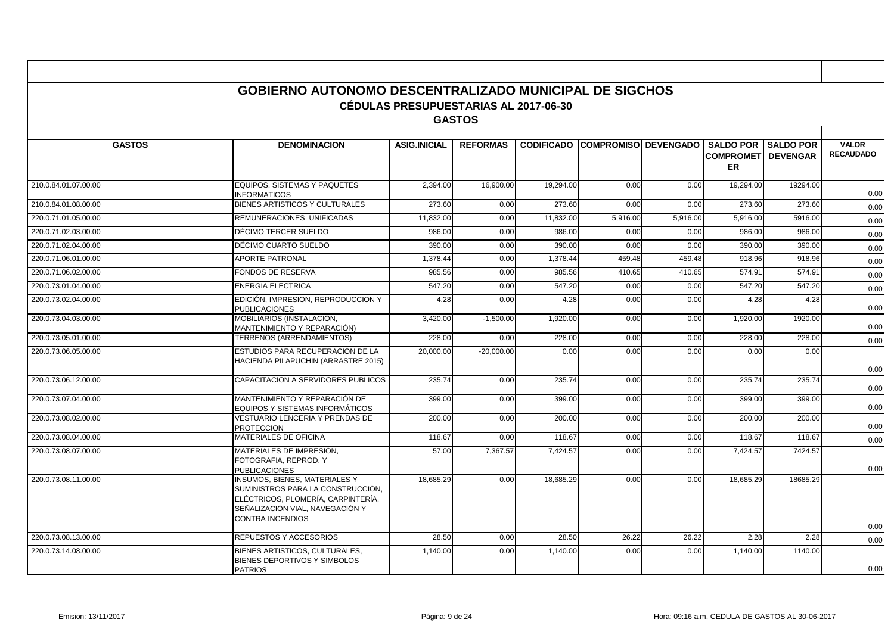| <b>GOBIERNO AUTONOMO DESCENTRALIZADO MUNICIPAL DE SIGCHOS</b> |                                                                                                                                                                               |                                              |                 |           |                                        |          |                                         |                            |                                  |  |  |  |
|---------------------------------------------------------------|-------------------------------------------------------------------------------------------------------------------------------------------------------------------------------|----------------------------------------------|-----------------|-----------|----------------------------------------|----------|-----------------------------------------|----------------------------|----------------------------------|--|--|--|
|                                                               |                                                                                                                                                                               | <b>CÉDULAS PRESUPUESTARIAS AL 2017-06-30</b> |                 |           |                                        |          |                                         |                            |                                  |  |  |  |
|                                                               |                                                                                                                                                                               |                                              | <b>GASTOS</b>   |           |                                        |          |                                         |                            |                                  |  |  |  |
|                                                               |                                                                                                                                                                               |                                              |                 |           |                                        |          |                                         |                            |                                  |  |  |  |
| <b>GASTOS</b>                                                 | <b>DENOMINACION</b>                                                                                                                                                           | <b>ASIG.INICIAL</b>                          | <b>REFORMAS</b> |           | <b>CODIFICADO COMPROMISO DEVENGADO</b> |          | <b>COMPROMETI DEVENGAR</b><br><b>ER</b> | <b>SALDO POR SALDO POR</b> | <b>VALOR</b><br><b>RECAUDADO</b> |  |  |  |
| 210.0.84.01.07.00.00                                          | EQUIPOS. SISTEMAS Y PAQUETES<br><b>INFORMATICOS</b>                                                                                                                           | 2.394.00                                     | 16,900.00       | 19,294.00 | 0.00                                   | 0.00     | 19.294.00                               | 19294.00                   | 0.00                             |  |  |  |
| 210.0.84.01.08.00.00                                          | BIENES ARTISTICOS Y CULTURALES                                                                                                                                                | 273.60                                       | 0.00            | 273.60    | 0.00                                   | 0.00     | 273.60                                  | 273.60                     | 0.00                             |  |  |  |
| 220.0.71.01.05.00.00                                          | REMUNERACIONES UNIFICADAS                                                                                                                                                     | 11,832.00                                    | 0.00            | 11,832.00 | 5,916.00                               | 5,916.00 | 5,916.00                                | 5916.00                    | 0.00                             |  |  |  |
| 220.0.71.02.03.00.00                                          | DÉCIMO TERCER SUELDO                                                                                                                                                          | 986.00                                       | 0.00            | 986.00    | 0.00                                   | 0.00     | 986.00                                  | 986.00                     | 0.00                             |  |  |  |
| 220.0.71.02.04.00.00                                          | DÉCIMO CUARTO SUELDO                                                                                                                                                          | 390.00                                       | 0.00            | 390.00    | 0.00                                   | 0.00     | 390.00                                  | 390.00                     | 0.00                             |  |  |  |
| 220.0.71.06.01.00.00                                          | <b>APORTE PATRONAL</b>                                                                                                                                                        | 1,378.44                                     | 0.00            | 1,378.44  | 459.48                                 | 459.48   | 918.96                                  | 918.96                     | 0.00                             |  |  |  |
| 220.0.71.06.02.00.00                                          | <b>FONDOS DE RESERVA</b>                                                                                                                                                      | 985.56                                       | 0.00            | 985.56    | 410.65                                 | 410.65   | 574.91                                  | 574.91                     | 0.00                             |  |  |  |
| 220.0.73.01.04.00.00                                          | <b>ENERGIA ELECTRICA</b>                                                                                                                                                      | 547.20                                       | 0.00            | 547.20    | 0.00                                   | 0.00     | 547.20                                  | 547.20                     | 0.00                             |  |  |  |
| 220.0.73.02.04.00.00                                          | EDICIÓN, IMPRESION, REPRODUCCION Y<br><b>PUBLICACIONES</b>                                                                                                                    | 4.28                                         | 0.00            | 4.28      | 0.00                                   | 0.00     | 4.28                                    | 4.28                       | 0.00                             |  |  |  |
| 220.0.73.04.03.00.00                                          | MOBILIARIOS (INSTALACIÓN,<br>MANTENIMIENTO Y REPARACIÓN)                                                                                                                      | 3,420.00                                     | $-1,500.00$     | 1,920.00  | 0.00                                   | 0.00     | 1,920.00                                | 1920.00                    | 0.00                             |  |  |  |
| 220.0.73.05.01.00.00                                          | TERRENOS (ARRENDAMIENTOS)                                                                                                                                                     | 228.00                                       | 0.00            | 228.00    | 0.00                                   | 0.00     | 228.00                                  | 228.00                     | 0.00                             |  |  |  |
| 220.0.73.06.05.00.00                                          | ESTUDIOS PARA RECUPERACION DE LA<br>HACIENDA PILAPUCHIN (ARRASTRE 2015)                                                                                                       | 20,000.00                                    | $-20,000.00$    | 0.00      | 0.00                                   | 0.00     | 0.00                                    | 0.00                       | 0.00                             |  |  |  |
| 220.0.73.06.12.00.00                                          | CAPACITACION A SERVIDORES PUBLICOS                                                                                                                                            | 235.74                                       | 0.00            | 235.74    | 0.00                                   | 0.00     | 235.74                                  | 235.74                     | 0.00                             |  |  |  |
| 220.0.73.07.04.00.00                                          | MANTENIMIENTO Y REPARACIÓN DE<br>EQUIPOS Y SISTEMAS INFORMÁTICOS                                                                                                              | 399.00                                       | 0.00            | 399.00    | 0.00                                   | 0.00     | 399.00                                  | 399.00                     | 0.00                             |  |  |  |
| 220.0.73.08.02.00.00                                          | VESTUARIO LENCERIA Y PRENDAS DE<br><b>PROTECCION</b>                                                                                                                          | 200.00                                       | 0.00            | 200.00    | 0.00                                   | 0.00     | 200.00                                  | 200.00                     | 0.00                             |  |  |  |
| 220.0.73.08.04.00.00                                          | <b>MATERIALES DE OFICINA</b>                                                                                                                                                  | 118.67                                       | 0.00            | 118.67    | 0.00                                   | 0.00     | 118.67                                  | 118.67                     | 0.00                             |  |  |  |
| 220.0.73.08.07.00.00                                          | MATERIALES DE IMPRESIÓN.<br>FOTOGRAFIA, REPROD, Y<br><b>PUBLICACIONES</b>                                                                                                     | 57.00                                        | 7.367.57        | 7.424.57  | 0.00                                   | 0.00     | 7.424.57                                | 7424.57                    | 0.00                             |  |  |  |
| 220.0.73.08.11.00.00                                          | <b>INSUMOS, BIENES, MATERIALES Y</b><br>SUMINISTROS PARA LA CONSTRUCCIÓN.<br>ELÉCTRICOS, PLOMERÍA, CARPINTERÍA,<br>SEÑALIZACIÓN VIAL. NAVEGACIÓN Y<br><b>CONTRA INCENDIOS</b> | 18.685.29                                    | 0.00            | 18.685.29 | 0.00                                   | 0.00     | 18.685.29                               | 18685.29                   | 0.00                             |  |  |  |
| 220.0.73.08.13.00.00                                          | REPUESTOS Y ACCESORIOS                                                                                                                                                        | 28.50                                        | 0.00            | 28.50     | 26.22                                  | 26.22    | 2.28                                    | 2.28                       | 0.00                             |  |  |  |
| 220.0.73.14.08.00.00                                          | BIENES ARTISTICOS, CULTURALES.<br>BIENES DEPORTIVOS Y SIMBOLOS<br><b>PATRIOS</b>                                                                                              | 1,140.00                                     | 0.00            | 1,140.00  | 0.00                                   | 0.00     | 1,140.00                                | 1140.00                    | 0.00                             |  |  |  |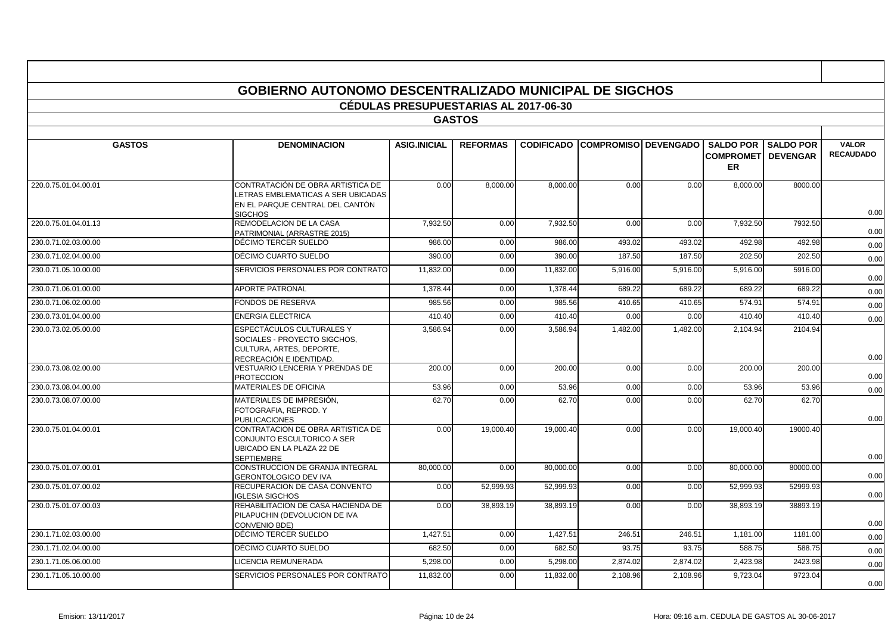|                      | <b>GOBIERNO AUTONOMO DESCENTRALIZADO MUNICIPAL DE SIGCHOS</b>                                                                |                                              |                 |           |                                        |          |                               |                  |                  |
|----------------------|------------------------------------------------------------------------------------------------------------------------------|----------------------------------------------|-----------------|-----------|----------------------------------------|----------|-------------------------------|------------------|------------------|
|                      |                                                                                                                              | <b>CÉDULAS PRESUPUESTARIAS AL 2017-06-30</b> |                 |           |                                        |          |                               |                  |                  |
|                      |                                                                                                                              |                                              | <b>GASTOS</b>   |           |                                        |          |                               |                  |                  |
| <b>GASTOS</b>        | <b>DENOMINACION</b>                                                                                                          | <b>ASIG.INICIAL</b>                          | <b>REFORMAS</b> |           | <b>CODIFICADO COMPROMISO DEVENGADO</b> |          | <b>SALDO POR</b>              | <b>SALDO POR</b> | <b>VALOR</b>     |
|                      |                                                                                                                              |                                              |                 |           |                                        |          | <b>COMPROMET</b><br><b>ER</b> | <b>DEVENGAR</b>  | <b>RECAUDADO</b> |
| 220.0.75.01.04.00.01 | CONTRATACIÓN DE OBRA ARTISTICA DE<br>LETRAS EMBLEMATICAS A SER UBICADAS<br>EN EL PARQUE CENTRAL DEL CANTÓN<br><b>SIGCHOS</b> | 0.00                                         | 8,000.00        | 8,000.00  | 0.00                                   | 0.00     | 8,000.00                      | 8000.00          | 0.00             |
| 220.0.75.01.04.01.13 | REMODELACION DE LA CASA<br>PATRIMONIAL (ARRASTRE 2015)                                                                       | 7,932.50                                     | 0.00            | 7,932.50  | 0.00                                   | 0.00     | 7,932.50                      | 7932.50          | 0.00             |
| 230.0.71.02.03.00.00 | DÉCIMO TERCER SUELDO                                                                                                         | 986.00                                       | 0.00            | 986.00    | 493.02                                 | 493.02   | 492.98                        | 492.98           | 0.00             |
| 230.0.71.02.04.00.00 | DÉCIMO CUARTO SUELDO                                                                                                         | 390.00                                       | 0.00            | 390.00    | 187.50                                 | 187.50   | 202.50                        | 202.50           | 0.00             |
| 230.0.71.05.10.00.00 | SERVICIOS PERSONALES POR CONTRATO                                                                                            | 11,832.00                                    | 0.00            | 11.832.00 | 5,916.00                               | 5,916.00 | 5,916.00                      | 5916.00          | 0.00             |
| 230.0.71.06.01.00.00 | <b>APORTE PATRONAL</b>                                                                                                       | 1,378.44                                     | 0.00            | 1,378.44  | 689.22                                 | 689.22   | 689.22                        | 689.22           | 0.00             |
| 230.0.71.06.02.00.00 | <b>FONDOS DE RESERVA</b>                                                                                                     | 985.56                                       | 0.00            | 985.56    | 410.65                                 | 410.65   | 574.91                        | 574.91           | 0.00             |
| 230.0.73.01.04.00.00 | <b>ENERGIA ELECTRICA</b>                                                                                                     | 410.40                                       | 0.00            | 410.40    | 0.00                                   | 0.00     | 410.40                        | 410.40           | 0.00             |
| 230.0.73.02.05.00.00 | <b>ESPECTÁCULOS CULTURALES Y</b><br>SOCIALES - PROYECTO SIGCHOS.<br>CULTURA, ARTES, DEPORTE.<br>RECREACIÓN E IDENTIDAD.      | 3.586.94                                     | 0.00            | 3.586.94  | 1,482.00                               | 1.482.00 | 2.104.94                      | 2104.94          | 0.00             |
| 230.0.73.08.02.00.00 | VESTUARIO LENCERIA Y PRENDAS DE<br><b>PROTECCION</b>                                                                         | 200.00                                       | 0.00            | 200.00    | 0.00                                   | 0.00     | 200.00                        | 200.00           | 0.00             |
| 230.0.73.08.04.00.00 | MATERIALES DE OFICINA                                                                                                        | 53.96                                        | 0.00            | 53.96     | 0.00                                   | 0.00     | 53.96                         | 53.96            | 0.00             |
| 230.0.73.08.07.00.00 | MATERIALES DE IMPRESIÓN,<br>FOTOGRAFIA, REPROD. Y<br><b>PUBLICACIONES</b>                                                    | 62.70                                        | 0.00            | 62.70     | 0.00                                   | 0.00     | 62.70                         | 62.70            | 0.00             |
| 230.0.75.01.04.00.01 | CONTRATACION DE OBRA ARTISTICA DE<br>CONJUNTO ESCULTORICO A SER<br>UBICADO EN LA PLAZA 22 DE<br><b>SEPTIEMBRE</b>            | 0.00                                         | 19,000.40       | 19,000.40 | 0.00                                   | 0.00     | 19,000.40                     | 19000.40         | 0.00             |
| 230.0.75.01.07.00.01 | CONSTRUCCION DE GRANJA INTEGRAL<br><b>GERONTOLOGICO DEV IVA</b>                                                              | 80,000.00                                    | 0.00            | 80,000.00 | 0.00                                   | 0.00     | 80,000.00                     | 80000.00         | 0.00             |
| 230.0.75.01.07.00.02 | RECUPERACION DE CASA CONVENTO<br><b>IGLESIA SIGCHOS</b>                                                                      | 0.00                                         | 52.999.93       | 52.999.93 | 0.00                                   | 0.00     | 52.999.93                     | 52999.93         | 0.00             |
| 230.0.75.01.07.00.03 | REHABILITACION DE CASA HACIENDA DE<br>PILAPUCHIN (DEVOLUCION DE IVA<br>CONVENIO BDE)                                         | 0.00                                         | 38,893.19       | 38,893.19 | 0.00                                   | 0.00     | 38,893.19                     | 38893.19         | 0.00             |
| 230.1.71.02.03.00.00 | DÉCIMO TERCER SUELDO                                                                                                         | 1,427.51                                     | 0.00            | 1,427.51  | 246.51                                 | 246.51   | 1,181.00                      | 1181.00          | 0.00             |
| 230.1.71.02.04.00.00 | DÉCIMO CUARTO SUELDO                                                                                                         | 682.50                                       | 0.00            | 682.50    | 93.75                                  | 93.75    | 588.75                        | 588.75           | 0.00             |
| 230.1.71.05.06.00.00 | <b>LICENCIA REMUNERADA</b>                                                                                                   | 5,298.00                                     | 0.00            | 5,298.00  | 2,874.02                               | 2,874.02 | 2,423.98                      | 2423.98          | 0.00             |
| 230.1.71.05.10.00.00 | SERVICIOS PERSONALES POR CONTRATO                                                                                            | 11,832.00                                    | 0.00            | 11,832.00 | 2,108.96                               | 2,108.96 | 9,723.04                      | 9723.04          | 0.00             |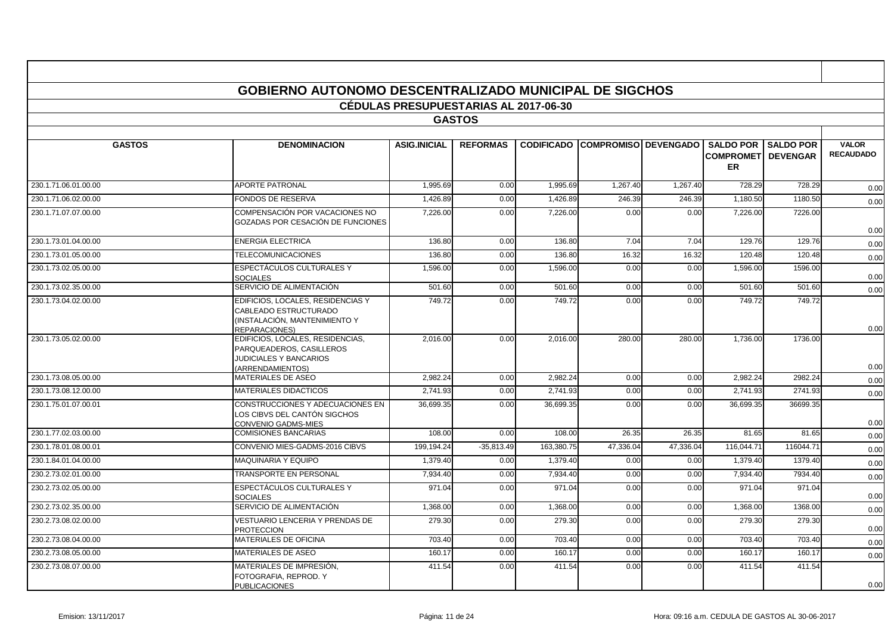|                      | GOBIERNO AUTONOMO DESCENTRALIZADO MUNICIPAL DE SIGCHOS                                                                  | <b>CÉDULAS PRESUPUESTARIAS AL 2017-06-30</b> |                 |                   |                                |           |                                                             |                  |                                  |
|----------------------|-------------------------------------------------------------------------------------------------------------------------|----------------------------------------------|-----------------|-------------------|--------------------------------|-----------|-------------------------------------------------------------|------------------|----------------------------------|
|                      |                                                                                                                         |                                              | <b>GASTOS</b>   |                   |                                |           |                                                             |                  |                                  |
| <b>GASTOS</b>        | <b>DENOMINACION</b>                                                                                                     | <b>ASIG.INICIAL</b>                          | <b>REFORMAS</b> | <b>CODIFICADO</b> | <b>ICOMPROMISO I DEVENGADO</b> |           | <b>SALDO POR</b><br><b>COMPROMETI DEVENGAR</b><br><b>ER</b> | <b>SALDO POR</b> | <b>VALOR</b><br><b>RECAUDADO</b> |
| 230.1.71.06.01.00.00 | <b>APORTE PATRONAL</b>                                                                                                  | 1,995.69                                     | 0.00            | 1,995.69          | 1,267.40                       | 1,267.40  | 728.29                                                      | 728.29           | 0.00                             |
| 230.1.71.06.02.00.00 | FONDOS DE RESERVA                                                                                                       | 1,426.89                                     | 0.00            | 1,426.89          | 246.39                         | 246.39    | 1,180.50                                                    | 1180.50          | 0.00                             |
| 230.1.71.07.07.00.00 | COMPENSACIÓN POR VACACIONES NO<br>GOZADAS POR CESACIÓN DE FUNCIONES                                                     | 7,226.00                                     | 0.00            | 7,226.00          | 0.00                           | 0.00      | 7,226.00                                                    | 7226.00          | 0.00                             |
| 230.1.73.01.04.00.00 | <b>ENERGIA ELECTRICA</b>                                                                                                | 136.80                                       | 0.00            | 136.80            | 7.04                           | 7.04      | 129.76                                                      | 129.76           | 0.00                             |
| 230.1.73.01.05.00.00 | <b>TELECOMUNICACIONES</b>                                                                                               | 136.80                                       | 0.00            | 136.80            | 16.32                          | 16.32     | 120.48                                                      | 120.48           | 0.00                             |
| 230.1.73.02.05.00.00 | ESPECTÁCULOS CULTURALES Y<br><b>SOCIALES</b>                                                                            | 1,596.00                                     | 0.00            | 1,596.00          | 0.00                           | 0.00      | 1,596.00                                                    | 1596.00          | 0.00                             |
| 230.1.73.02.35.00.00 | SERVICIO DE ALIMENTACIÓN                                                                                                | 501.60                                       | 0.00            | 501.60            | 0.00                           | 0.00      | 501.60                                                      | 501.60           | 0.00                             |
| 230.1.73.04.02.00.00 | EDIFICIOS, LOCALES, RESIDENCIAS Y<br>CABLEADO ESTRUCTURADO<br>(INSTALACIÓN, MANTENIMIENTO Y<br><b>REPARACIONES)</b>     | 749.72                                       | 0.00            | 749.72            | 0.00                           | 0.00      | 749.72                                                      | 749.72           | 0.00                             |
| 230.1.73.05.02.00.00 | EDIFICIOS, LOCALES, RESIDENCIAS,<br>PARQUEADEROS, CASILLEROS<br><b>JUDICIALES Y BANCARIOS</b><br><b>ARRENDAMIENTOS)</b> | 2,016.00                                     | 0.00            | 2,016.00          | 280.00                         | 280.00    | 1,736.00                                                    | 1736.00          | 0.00                             |
| 230.1.73.08.05.00.00 | <b>MATERIALES DE ASEO</b>                                                                                               | 2,982.24                                     | 0.00            | 2,982.24          | 0.00                           | 0.00      | 2,982.24                                                    | 2982.24          | 0.00                             |
| 230.1.73.08.12.00.00 | <b>MATERIALES DIDACTICOS</b>                                                                                            | 2.741.93                                     | 0.00            | 2.741.93          | 0.00                           | 0.00      | 2.741.93                                                    | 2741.93          | 0.00                             |
| 230.1.75.01.07.00.01 | CONSTRUCCIONES Y ADECUACIONES EN<br>LOS CIBVS DEL CANTÓN SIGCHOS<br>CONVENIO GADMS-MIES                                 | 36.699.35                                    | 0.00            | 36.699.35         | 0.00                           | 0.00      | 36,699.35                                                   | 36699.35         | 0.00                             |
| 230.1.77.02.03.00.00 | <b>COMISIONES BANCARIAS</b>                                                                                             | 108.00                                       | 0.00            | 108.00            | 26.35                          | 26.35     | 81.65                                                       | 81.65            | 0.00                             |
| 230.1.78.01.08.00.01 | CONVENIO MIES-GADMS-2016 CIBVS                                                                                          | 199,194.24                                   | $-35,813.49$    | 163,380.75        | 47,336.04                      | 47,336.04 | 116,044.71                                                  | 116044.71        | 0.00                             |
| 230.1.84.01.04.00.00 | <b>MAQUINARIA Y EQUIPO</b>                                                                                              | 1,379.40                                     | 0.00            | 1,379.40          | 0.00                           | 0.00      | 1,379.40                                                    | 1379.40          | 0.00                             |
| 230.2.73.02.01.00.00 | TRANSPORTE EN PERSONAL                                                                                                  | 7,934.40                                     | 0.00            | 7,934.40          | 0.00                           | 0.00      | 7,934.40                                                    | 7934.40          | 0.00                             |
| 230.2.73.02.05.00.00 | ESPECTÁCULOS CULTURALES Y<br><b>SOCIALES</b>                                                                            | 971.04                                       | 0.00            | 971.04            | 0.00                           | 0.00      | 971.04                                                      | 971.04           | 0.00                             |
| 230.2.73.02.35.00.00 | SERVICIO DE ALIMENTACIÓN                                                                                                | 1,368.00                                     | 0.00            | 1,368.00          | 0.00                           | 0.00      | 1,368.00                                                    | 1368.00          | 0.00                             |
| 230.2.73.08.02.00.00 | VESTUARIO LENCERIA Y PRENDAS DE<br><b>PROTECCION</b>                                                                    | 279.30                                       | 0.00            | 279.30            | 0.00                           | 0.00      | 279.30                                                      | 279.30           | 0.00                             |
| 230.2.73.08.04.00.00 | <b>MATERIALES DE OFICINA</b>                                                                                            | 703.40                                       | 0.00            | 703.40            | 0.00                           | 0.00      | 703.40                                                      | 703.40           | 0.00                             |
| 230.2.73.08.05.00.00 | MATERIALES DE ASEO                                                                                                      | 160.17                                       | 0.00            | 160.17            | 0.00                           | 0.00      | 160.17                                                      | 160.17           | 0.00                             |
| 230.2.73.08.07.00.00 | MATERIALES DE IMPRESIÓN.<br>FOTOGRAFIA, REPROD. Y<br><b>PUBLICACIONES</b>                                               | 411.54                                       | 0.00            | 411.54            | 0.00                           | 0.00      | 411.54                                                      | 411.54           | 0.00                             |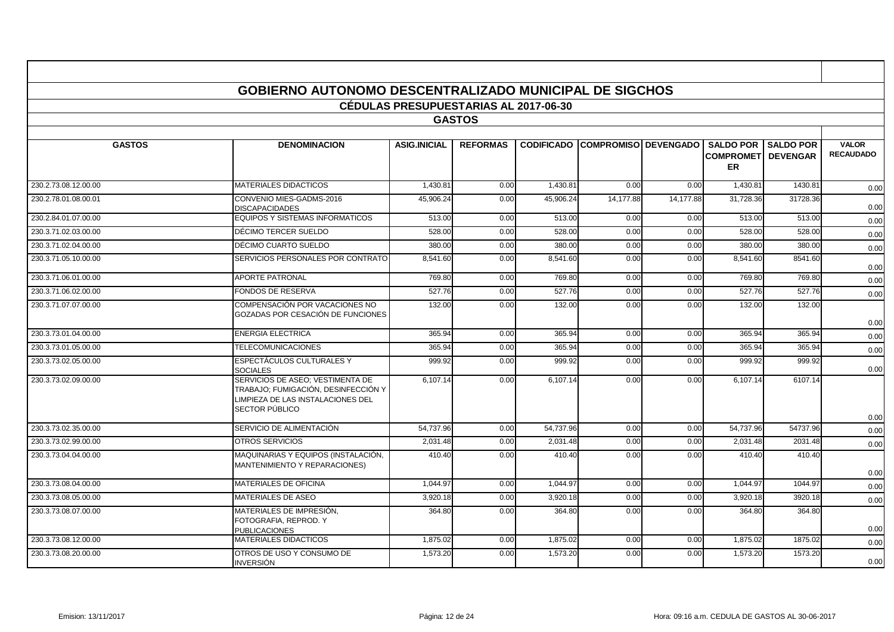|                      | <b>GOBIERNO AUTONOMO DESCENTRALIZADO MUNICIPAL DE SIGCHOS</b>                                                                  |                                              |                 |           |                                        |           |                                                             |                  |                                  |
|----------------------|--------------------------------------------------------------------------------------------------------------------------------|----------------------------------------------|-----------------|-----------|----------------------------------------|-----------|-------------------------------------------------------------|------------------|----------------------------------|
|                      |                                                                                                                                | <b>CÉDULAS PRESUPUESTARIAS AL 2017-06-30</b> |                 |           |                                        |           |                                                             |                  |                                  |
|                      |                                                                                                                                |                                              | <b>GASTOS</b>   |           |                                        |           |                                                             |                  |                                  |
| <b>GASTOS</b>        | <b>DENOMINACION</b>                                                                                                            | <b>ASIG.INICIAL</b>                          | <b>REFORMAS</b> |           | <b>CODIFICADO COMPROMISO DEVENGADO</b> |           | <b>SALDO POR</b><br><b>COMPROMETI DEVENGAR</b><br><b>ER</b> | <b>SALDO POR</b> | <b>VALOR</b><br><b>RECAUDADO</b> |
| 230.2.73.08.12.00.00 | <b>MATERIALES DIDACTICOS</b>                                                                                                   | 1,430.81                                     | 0.00            | 1,430.81  | 0.00                                   | 0.00      | 1,430.81                                                    | 1430.81          | 0.00                             |
| 230.2.78.01.08.00.01 | CONVENIO MIES-GADMS-2016<br><b>DISCAPACIDADES</b>                                                                              | 45,906.24                                    | 0.00            | 45,906.24 | 14,177.88                              | 14,177.88 | 31,728.36                                                   | 31728.36         | 0.00                             |
| 230.2.84.01.07.00.00 | <b>EQUIPOS Y SISTEMAS INFORMATICOS</b>                                                                                         | 513.00                                       | 0.00            | 513.00    | 0.00                                   | 0.00      | 513.00                                                      | 513.00           | 0.00                             |
| 230.3.71.02.03.00.00 | DÉCIMO TERCER SUELDO                                                                                                           | 528.00                                       | 0.00            | 528.00    | 0.00                                   | 0.00      | 528.00                                                      | 528.00           | 0.00                             |
| 230.3.71.02.04.00.00 | DÉCIMO CUARTO SUELDO                                                                                                           | 380.00                                       | 0.00            | 380.00    | 0.00                                   | 0.00      | 380.00                                                      | 380.00           | 0.00                             |
| 230.3.71.05.10.00.00 | SERVICIOS PERSONALES POR CONTRATO                                                                                              | 8,541.60                                     | 0.00            | 8,541.60  | 0.00                                   | 0.00      | 8,541.60                                                    | 8541.60          | 0.00                             |
| 230.3.71.06.01.00.00 | <b>APORTE PATRONAL</b>                                                                                                         | 769.80                                       | 0.00            | 769.80    | 0.00                                   | 0.00      | 769.80                                                      | 769.80           | 0.00                             |
| 230.3.71.06.02.00.00 | <b>FONDOS DE RESERVA</b>                                                                                                       | 527.76                                       | 0.00            | 527.76    | 0.00                                   | 0.00      | 527.76                                                      | 527.76           | 0.00                             |
| 230.3.71.07.07.00.00 | COMPENSACIÓN POR VACACIONES NO<br>GOZADAS POR CESACIÓN DE FUNCIONES                                                            | 132.00                                       | 0.00            | 132.00    | 0.00                                   | 0.00      | 132.00                                                      | 132.00           | 0.00                             |
| 230.3.73.01.04.00.00 | <b>ENERGIA ELECTRICA</b>                                                                                                       | 365.94                                       | 0.00            | 365.94    | 0.00                                   | 0.00      | 365.94                                                      | 365.94           | 0.00                             |
| 230.3.73.01.05.00.00 | <b>TELECOMUNICACIONES</b>                                                                                                      | 365.94                                       | 0.00            | 365.94    | 0.00                                   | 0.00      | 365.94                                                      | 365.94           | 0.00                             |
| 230.3.73.02.05.00.00 | ESPECTÁCULOS CULTURALES Y<br><b>SOCIALES</b>                                                                                   | 999.92                                       | 0.00            | 999.92    | 0.00                                   | 0.00      | 999.92                                                      | 999.92           | 0.00                             |
| 230.3.73.02.09.00.00 | SERVICIOS DE ASEO: VESTIMENTA DE<br>TRABAJO; FUMIGACIÓN, DESINFECCIÓN Y<br>LIMPIEZA DE LAS INSTALACIONES DEL<br>SECTOR PÚBLICO | 6,107.14                                     | 0.00            | 6,107.14  | 0.00                                   | 0.00      | 6,107.14                                                    | 6107.14          |                                  |
| 230.3.73.02.35.00.00 | SERVICIO DE ALIMENTACIÓN                                                                                                       | 54,737.96                                    | 0.00            | 54,737.96 | 0.00                                   | 0.00      | 54,737.96                                                   | 54737.96         | 0.00<br>0.00                     |
| 230.3.73.02.99.00.00 | OTROS SERVICIOS                                                                                                                | 2,031.48                                     | 0.00            | 2,031.48  | 0.00                                   | 0.00      | 2,031.48                                                    | 2031.48          | 0.00                             |
| 230.3.73.04.04.00.00 | MAQUINARIAS Y EQUIPOS (INSTALACIÓN,                                                                                            | 410.40                                       | 0.00            | 410.40    | 0.00                                   | 0.00      | 410.40                                                      | 410.40           |                                  |
|                      | <b>MANTENIMIENTO Y REPARACIONES)</b>                                                                                           |                                              |                 |           |                                        |           |                                                             |                  | 0.00                             |
| 230.3.73.08.04.00.00 | MATERIALES DE OFICINA                                                                                                          | 1,044.97                                     | 0.00            | 1,044.97  | 0.00                                   | 0.00      | 1,044.97                                                    | 1044.97          | 0.00                             |
| 230.3.73.08.05.00.00 | <b>MATERIALES DE ASEO</b>                                                                                                      | 3,920.18                                     | 0.00            | 3,920.18  | 0.00                                   | 0.00      | 3,920.18                                                    | 3920.18          | 0.00                             |
| 230.3.73.08.07.00.00 | MATERIALES DE IMPRESIÓN,<br>FOTOGRAFIA, REPROD. Y<br><b>PUBLICACIONES</b>                                                      | 364.80                                       | 0.00            | 364.80    | 0.00                                   | 0.00      | 364.80                                                      | 364.80           | 0.00                             |
| 230.3.73.08.12.00.00 | <b>MATERIALES DIDACTICOS</b>                                                                                                   | 1,875.02                                     | 0.00            | 1,875.02  | 0.00                                   | 0.00      | 1,875.02                                                    | 1875.02          | 0.00                             |
| 230.3.73.08.20.00.00 | OTROS DE USO Y CONSUMO DE<br><b>INVERSIÓN</b>                                                                                  | 1,573.20                                     | 0.00            | 1,573.20  | 0.00                                   | 0.00      | 1,573.20                                                    | 1573.20          | 0.00                             |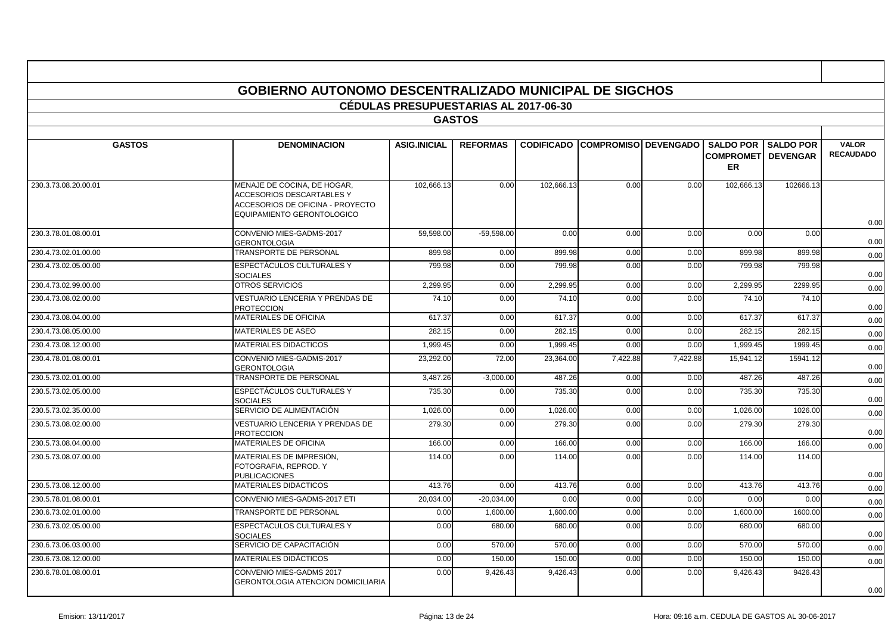|                      |                                                                                                                            | <b>CÉDULAS PRESUPUESTARIAS AL 2017-06-30</b> |                 |                   |                             |          |                               |                                                |                                  |
|----------------------|----------------------------------------------------------------------------------------------------------------------------|----------------------------------------------|-----------------|-------------------|-----------------------------|----------|-------------------------------|------------------------------------------------|----------------------------------|
|                      |                                                                                                                            |                                              | <b>GASTOS</b>   |                   |                             |          |                               |                                                |                                  |
| <b>GASTOS</b>        | <b>DENOMINACION</b>                                                                                                        | <b>ASIG.INICIAL</b>                          | <b>REFORMAS</b> | <b>CODIFICADO</b> | <b>COMPROMISO DEVENGADO</b> |          | <b>SALDO POR</b><br><b>ER</b> | <b>SALDO POR</b><br><b>COMPROMETI DEVENGAR</b> | <b>VALOR</b><br><b>RECAUDADO</b> |
| 230.3.73.08.20.00.01 | MENAJE DE COCINA, DE HOGAR,<br>ACCESORIOS DESCARTABLES Y<br>ACCESORIOS DE OFICINA - PROYECTO<br>EQUIPAMIENTO GERONTOLOGICO | 102,666.13                                   | 0.00            | 102,666.13        | 0.00                        | 0.00     | 102,666.13                    | 102666.13                                      | 0.00                             |
| 230.3.78.01.08.00.01 | CONVENIO MIES-GADMS-2017<br><b>GERONTOLOGIA</b>                                                                            | 59,598.00                                    | $-59,598.00$    | 0.00              | 0.00                        | 0.00     | 0.00                          | 0.00                                           | 0.00                             |
| 230.4.73.02.01.00.00 | <b>TRANSPORTE DE PERSONAL</b>                                                                                              | 899.98                                       | 0.00            | 899.98            | 0.00                        | 0.00     | 899.98                        | 899.98                                         | 0.00                             |
| 230.4.73.02.05.00.00 | ESPECTÁCULOS CULTURALES Y<br><b>SOCIALES</b>                                                                               | 799.98                                       | 0.00            | 799.98            | 0.00                        | 0.00     | 799.98                        | 799.98                                         | 0.00                             |
| 230.4.73.02.99.00.00 | <b>OTROS SERVICIOS</b>                                                                                                     | 2,299.95                                     | 0.00            | 2,299.95          | 0.00                        | 0.00     | 2,299.95                      | 2299.95                                        | 0.00                             |
| 230.4.73.08.02.00.00 | VESTUARIO LENCERIA Y PRENDAS DE<br><b>PROTECCION</b>                                                                       | 74.10                                        | 0.00            | 74.10             | 0.00                        | 0.00     | 74.10                         | 74.10                                          | 0.00                             |
| 230.4.73.08.04.00.00 | MATERIALES DE OFICINA                                                                                                      | 617.37                                       | 0.00            | 617.37            | 0.00                        | 0.00     | 617.37                        | 617.37                                         | 0.00                             |
| 230.4.73.08.05.00.00 | MATERIALES DE ASEO                                                                                                         | 282.15                                       | 0.00            | 282.15            | 0.00                        | 0.00     | 282.15                        | 282.15                                         | 0.00                             |
| 230.4.73.08.12.00.00 | <b>MATERIALES DIDACTICOS</b>                                                                                               | 1,999.45                                     | 0.00            | 1,999.45          | 0.00                        | 0.00     | 1,999.45                      | 1999.45                                        | 0.00                             |
| 230.4.78.01.08.00.01 | CONVENIO MIES-GADMS-2017<br><b>GERONTOLOGIA</b>                                                                            | 23,292.00                                    | 72.00           | 23,364.00         | 7,422.88                    | 7,422.88 | 15.941.12                     | 15941.12                                       | 0.00                             |
| 230.5.73.02.01.00.00 | TRANSPORTE DE PERSONAL                                                                                                     | 3,487.26                                     | $-3,000.00$     | 487.26            | 0.00                        | 0.00     | 487.26                        | 487.26                                         | 0.00                             |
| 230.5.73.02.05.00.00 | <b>ESPECTÁCULOS CULTURALES Y</b><br><b>SOCIALES</b>                                                                        | 735.30                                       | 0.00            | 735.30            | 0.00                        | 0.00     | 735.30                        | 735.30                                         | 0.00                             |
| 230.5.73.02.35.00.00 | SERVICIO DE ALIMENTACIÓN                                                                                                   | 1.026.00                                     | 0.00            | 1.026.00          | 0.00                        | 0.00     | 1.026.00                      | 1026.00                                        | 0.00                             |
| 230.5.73.08.02.00.00 | VESTUARIO LENCERIA Y PRENDAS DE<br><b>PROTECCION</b>                                                                       | 279.30                                       | 0.00            | 279.30            | 0.00                        | 0.00     | 279.30                        | 279.30                                         | 0.00                             |
| 230.5.73.08.04.00.00 | MATERIALES DE OFICINA                                                                                                      | 166.00                                       | 0.00            | 166.00            | 0.00                        | 0.00     | 166.00                        | 166.00                                         | 0.00                             |
| 230.5.73.08.07.00.00 | MATERIALES DE IMPRESIÓN.<br>FOTOGRAFIA, REPROD. Y<br><b>PUBLICACIONES</b>                                                  | 114.00                                       | 0.00            | 114.00            | 0.00                        | 0.00     | 114.00                        | 114.00                                         | 0.00                             |
| 230.5.73.08.12.00.00 | <b>MATERIALES DIDACTICOS</b>                                                                                               | 413.76                                       | 0.00            | 413.76            | 0.00                        | 0.00     | 413.76                        | 413.76                                         | 0.00                             |
| 230.5.78.01.08.00.01 | CONVENIO MIES-GADMS-2017 ETI                                                                                               | 20,034.00                                    | $-20,034.00$    | 0.00              | 0.00                        | 0.00     | 0.00                          | 0.00                                           | 0.00                             |
| 230.6.73.02.01.00.00 | TRANSPORTE DE PERSONAL                                                                                                     | 0.00                                         | 1,600.00        | 1,600.00          | 0.00                        | 0.00     | 1,600.00                      | 1600.00                                        | 0.00                             |
| 230.6.73.02.05.00.00 | <b>ESPECTÁCULOS CULTURALES Y</b><br><b>SOCIALES</b>                                                                        | 0.00                                         | 680.00          | 680.00            | 0.00                        | 0.00     | 680.00                        | 680.00                                         | 0.00                             |
| 230.6.73.06.03.00.00 | SERVICIO DE CAPACITACIÓN                                                                                                   | 0.00                                         | 570.00          | 570.00            | 0.00                        | 0.00     | 570.00                        | 570.00                                         | 0.00                             |
| 230.6.73.08.12.00.00 | <b>MATERIALES DIDÁCTICOS</b>                                                                                               | 0.00                                         | 150.00          | 150.00            | 0.00                        | 0.00     | 150.00                        | 150.00                                         | 0.00                             |
| 230.6.78.01.08.00.01 | CONVENIO MIES-GADMS 2017<br><b>GERONTOLOGIA ATENCION DOMICILIARIA</b>                                                      | 0.00                                         | 9,426.43        | 9,426.43          | 0.00                        | 0.00     | 9,426.43                      | 9426.43                                        | 0.00                             |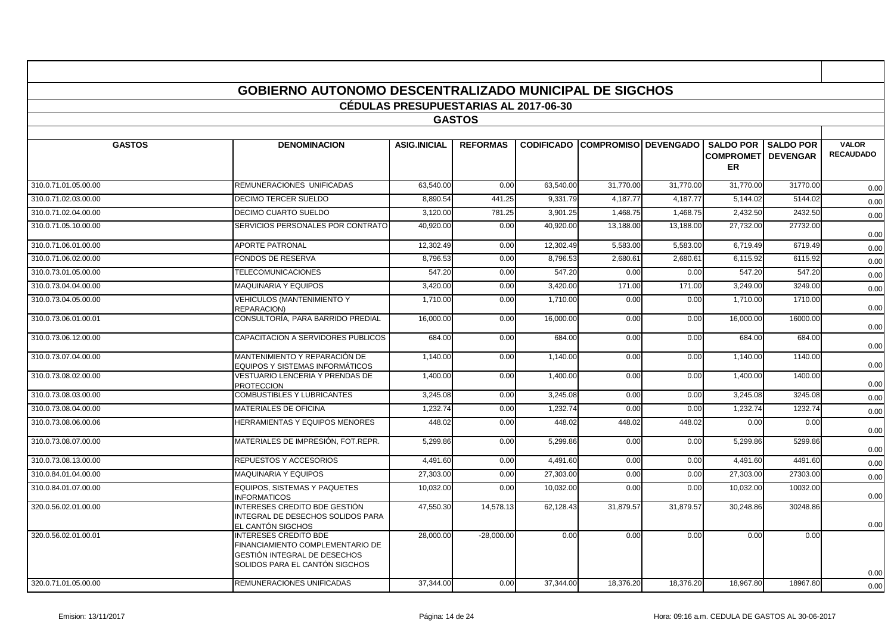|                      | <b>GOBIERNO AUTONOMO DESCENTRALIZADO MUNICIPAL DE SIGCHOS</b>                                                                             |                                              |                 |           |                                        |           |                                                             |                  |                                  |
|----------------------|-------------------------------------------------------------------------------------------------------------------------------------------|----------------------------------------------|-----------------|-----------|----------------------------------------|-----------|-------------------------------------------------------------|------------------|----------------------------------|
|                      |                                                                                                                                           | <b>CÉDULAS PRESUPUESTARIAS AL 2017-06-30</b> |                 |           |                                        |           |                                                             |                  |                                  |
|                      |                                                                                                                                           |                                              | <b>GASTOS</b>   |           |                                        |           |                                                             |                  |                                  |
|                      |                                                                                                                                           |                                              |                 |           |                                        |           |                                                             |                  |                                  |
| <b>GASTOS</b>        | <b>DENOMINACION</b>                                                                                                                       | <b>ASIG.INICIAL</b>                          | <b>REFORMAS</b> |           | <b>CODIFICADO COMPROMISO DEVENGADO</b> |           | <b>SALDO POR</b><br><b>COMPROMETI DEVENGAR</b><br><b>ER</b> | <b>SALDO POR</b> | <b>VALOR</b><br><b>RECAUDADO</b> |
| 310.0.71.01.05.00.00 | REMUNERACIONES UNIFICADAS                                                                                                                 | 63.540.00                                    | 0.00            | 63,540.00 | 31,770.00                              | 31.770.00 | 31,770.00                                                   | 31770.00         | 0.00                             |
| 310.0.71.02.03.00.00 | <b>DECIMO TERCER SUELDO</b>                                                                                                               | 8.890.54                                     | 441.25          | 9.331.79  | 4.187.77                               | 4.187.77  | 5.144.02                                                    | 5144.02          | 0.00                             |
| 310.0.71.02.04.00.00 | DECIMO CUARTO SUELDO                                                                                                                      | 3,120.00                                     | 781.25          | 3,901.25  | 1,468.75                               | 1,468.75  | 2,432.50                                                    | 2432.50          | 0.00                             |
| 310.0.71.05.10.00.00 | SERVICIOS PERSONALES POR CONTRATO                                                                                                         | 40,920.00                                    | 0.00            | 40,920.00 | 13,188.00                              | 13,188.00 | 27,732.00                                                   | 27732.00         | 0.00                             |
| 310.0.71.06.01.00.00 | <b>APORTE PATRONAL</b>                                                                                                                    | 12,302.49                                    | 0.00            | 12,302.49 | 5,583.00                               | 5,583.00  | 6,719.49                                                    | 6719.49          | 0.00                             |
| 310.0.71.06.02.00.00 | <b>FONDOS DE RESERVA</b>                                                                                                                  | 8,796.53                                     | 0.00            | 8,796.53  | 2,680.61                               | 2,680.61  | 6,115.92                                                    | 6115.92          | 0.00                             |
| 310.0.73.01.05.00.00 | <b>TELECOMUNICACIONES</b>                                                                                                                 | 547.20                                       | 0.00            | 547.20    | 0.00                                   | 0.00      | 547.20                                                      | 547.20           | 0.00                             |
| 310.0.73.04.04.00.00 | <b>MAQUINARIA Y EQUIPOS</b>                                                                                                               | 3.420.00                                     | 0.00            | 3.420.00  | 171.00                                 | 171.00    | 3.249.00                                                    | 3249.00          | 0.00                             |
| 310.0.73.04.05.00.00 | VEHICULOS (MANTENIMIENTO Y<br><b>REPARACION)</b>                                                                                          | 1,710.00                                     | 0.00            | 1,710.00  | 0.00                                   | 0.00      | 1,710.00                                                    | 1710.00          | 0.00                             |
| 310.0.73.06.01.00.01 | CONSULTORÍA. PARA BARRIDO PREDIAL                                                                                                         | 16.000.00                                    | 0.00            | 16.000.00 | 0.00                                   | 0.00      | 16.000.00                                                   | 16000.00         | 0.00                             |
| 310.0.73.06.12.00.00 | CAPACITACION A SERVIDORES PUBLICOS                                                                                                        | 684.00                                       | 0.00            | 684.00    | 0.00                                   | 0.00      | 684.00                                                      | 684.00           | 0.00                             |
| 310.0.73.07.04.00.00 | MANTENIMIENTO Y REPARACIÓN DE<br>EQUIPOS Y SISTEMAS INFORMÁTICOS                                                                          | 1,140.00                                     | 0.00            | 1,140.00  | 0.00                                   | 0.00      | 1,140.00                                                    | 1140.00          | 0.00                             |
| 310.0.73.08.02.00.00 | VESTUARIO LENCERIA Y PRENDAS DE<br><b>PROTECCION</b>                                                                                      | 1,400.00                                     | 0.00            | 1,400.00  | 0.00                                   | 0.00      | 1,400.00                                                    | 1400.00          | 0.00                             |
| 310.0.73.08.03.00.00 | <b>COMBUSTIBLES Y LUBRICANTES</b>                                                                                                         | 3,245.08                                     | 0.00            | 3,245.08  | 0.00                                   | 0.00      | 3,245.08                                                    | 3245.08          | 0.00                             |
| 310.0.73.08.04.00.00 | MATERIALES DE OFICINA                                                                                                                     | 1,232.74                                     | 0.00            | 1,232.74  | 0.00                                   | 0.00      | 1,232.74                                                    | 1232.74          | 0.00                             |
| 310.0.73.08.06.00.06 | <b>HERRAMIENTAS Y EQUIPOS MENORES</b>                                                                                                     | 448.02                                       | 0.00            | 448.02    | 448.02                                 | 448.02    | 0.00                                                        | 0.00             | 0.00                             |
| 310.0.73.08.07.00.00 | MATERIALES DE IMPRESIÓN. FOT.REPR.                                                                                                        | 5,299.86                                     | 0.00            | 5,299.86  | 0.00                                   | 0.00      | 5.299.86                                                    | 5299.86          | 0.00                             |
| 310.0.73.08.13.00.00 | REPUESTOS Y ACCESORIOS                                                                                                                    | 4,491.60                                     | 0.00            | 4.491.60  | 0.00                                   | 0.00      | 4,491.60                                                    | 4491.60          | 0.00                             |
| 310.0.84.01.04.00.00 | <b>MAQUINARIA Y EQUIPOS</b>                                                                                                               | 27.303.00                                    | 0.00            | 27.303.00 | 0.00                                   | 0.00      | 27.303.00                                                   | 27303.00         | 0.00                             |
| 310.0.84.01.07.00.00 | EQUIPOS, SISTEMAS Y PAQUETES<br><b>INFORMATICOS</b>                                                                                       | 10,032.00                                    | 0.00            | 10,032.00 | 0.00                                   | 0.00      | 10,032.00                                                   | 10032.00         | 0.00                             |
| 320.0.56.02.01.00.00 | INTERESES CREDITO BDE GESTIÓN<br>INTEGRAL DE DESECHOS SOLIDOS PARA<br>EL CANTÓN SIGCHOS                                                   | 47,550.30                                    | 14,578.13       | 62,128.43 | 31,879.57                              | 31,879.57 | 30,248.86                                                   | 30248.86         | 0.00                             |
| 320.0.56.02.01.00.01 | <b>INTERESES CREDITO BDE</b><br>FINANCIAMIENTO COMPLEMENTARIO DE<br><b>GESTIÓN INTEGRAL DE DESECHOS</b><br>SOLIDOS PARA EL CANTÓN SIGCHOS | 28,000.00                                    | $-28.000.00$    | 0.00      | 0.00                                   | 0.00      | 0.00                                                        | 0.00             | 0.00                             |
| 320.0.71.01.05.00.00 | REMUNERACIONES UNIFICADAS                                                                                                                 | 37.344.00                                    | 0.00            | 37.344.00 | 18.376.20                              | 18.376.20 | 18.967.80                                                   | 18967.80         | 0.00                             |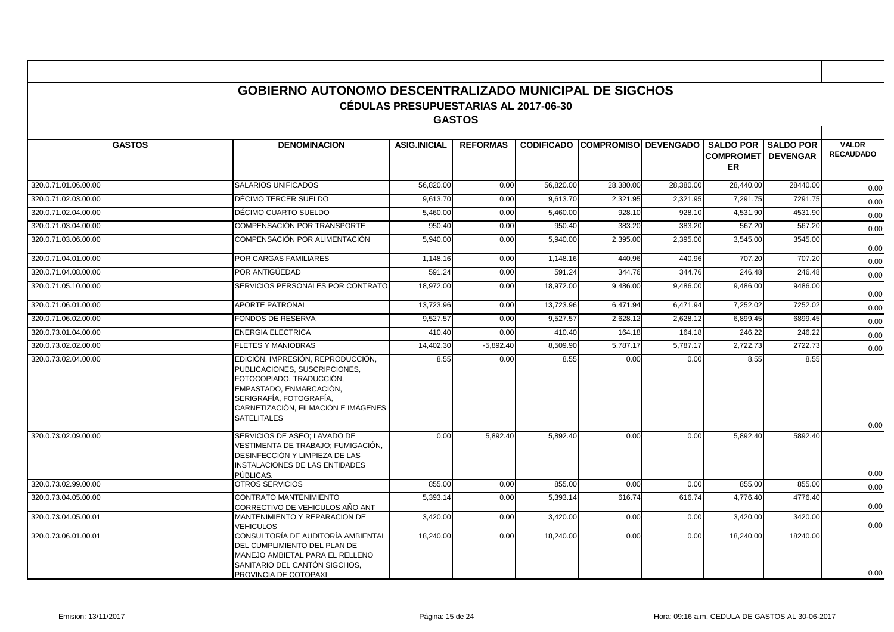|                      | <b>GOBIERNO AUTONOMO DESCENTRALIZADO MUNICIPAL DE SIGCHOS</b>                                                                                                                                                     |                                              |                 |           |                                        |           |                                             |                                     |                                  |
|----------------------|-------------------------------------------------------------------------------------------------------------------------------------------------------------------------------------------------------------------|----------------------------------------------|-----------------|-----------|----------------------------------------|-----------|---------------------------------------------|-------------------------------------|----------------------------------|
|                      |                                                                                                                                                                                                                   | <b>CÉDULAS PRESUPUESTARIAS AL 2017-06-30</b> |                 |           |                                        |           |                                             |                                     |                                  |
|                      |                                                                                                                                                                                                                   |                                              | <b>GASTOS</b>   |           |                                        |           |                                             |                                     |                                  |
|                      |                                                                                                                                                                                                                   |                                              |                 |           |                                        |           |                                             |                                     |                                  |
| <b>GASTOS</b>        | <b>DENOMINACION</b>                                                                                                                                                                                               | <b>ASIG.INICIAL</b>                          | <b>REFORMAS</b> |           | <b>CODIFICADO COMPROMISO DEVENGADO</b> |           | <b>SALDO POR</b><br><b>COMPROMET</b><br>ER. | <b>SALDO POR</b><br><b>DEVENGAR</b> | <b>VALOR</b><br><b>RECAUDADO</b> |
| 320.0.71.01.06.00.00 | <b>SALARIOS UNIFICADOS</b>                                                                                                                                                                                        | 56,820.00                                    | 0.00            | 56.820.00 | 28,380.00                              | 28,380.00 | 28,440.00                                   | 28440.00                            | 0.00                             |
| 320.0.71.02.03.00.00 | DÉCIMO TERCER SUELDO                                                                                                                                                                                              | 9.613.70                                     | 0.00            | 9,613.70  | 2,321.95                               | 2,321.95  | 7,291.75                                    | 7291.75                             | 0.00                             |
| 320.0.71.02.04.00.00 | DÉCIMO CUARTO SUELDO                                                                                                                                                                                              | 5.460.00                                     | 0.00            | 5.460.00  | 928.10                                 | 928.10    | 4,531.90                                    | 4531.90                             | 0.00                             |
| 320.0.71.03.04.00.00 | COMPENSACIÓN POR TRANSPORTE                                                                                                                                                                                       | 950.40                                       | 0.00            | 950.40    | 383.20                                 | 383.20    | 567.20                                      | 567.20                              | 0.00                             |
| 320.0.71.03.06.00.00 | COMPENSACIÓN POR ALIMENTACIÓN                                                                                                                                                                                     | 5,940.00                                     | 0.00            | 5,940.00  | 2,395.00                               | 2,395.00  | 3,545.00                                    | 3545.00                             | 0.00                             |
| 320.0.71.04.01.00.00 | POR CARGAS FAMILIARES                                                                                                                                                                                             | 1,148.16                                     | 0.00            | 1,148.16  | 440.96                                 | 440.96    | 707.20                                      | 707.20                              | 0.00                             |
| 320.0.71.04.08.00.00 | POR ANTIGÜEDAD                                                                                                                                                                                                    | 591.24                                       | 0.00            | 591.24    | 344.76                                 | 344.76    | 246.48                                      | 246.48                              | 0.00                             |
| 320.0.71.05.10.00.00 | SERVICIOS PERSONALES POR CONTRATO                                                                                                                                                                                 | 18,972.00                                    | 0.00            | 18,972.00 | 9,486.00                               | 9,486.00  | 9,486.00                                    | 9486.00                             | 0.00                             |
| 320.0.71.06.01.00.00 | <b>APORTE PATRONAL</b>                                                                                                                                                                                            | 13,723.96                                    | 0.00            | 13,723.96 | 6,471.94                               | 6,471.94  | 7,252.02                                    | 7252.02                             | 0.00                             |
| 320.0.71.06.02.00.00 | <b>FONDOS DE RESERVA</b>                                                                                                                                                                                          | 9,527.57                                     | 0.00            | 9,527.57  | 2,628.12                               | 2,628.12  | 6,899.45                                    | 6899.45                             | 0.00                             |
| 320.0.73.01.04.00.00 | <b>ENERGIA ELECTRICA</b>                                                                                                                                                                                          | 410.40                                       | 0.00            | 410.40    | 164.18                                 | 164.18    | 246.22                                      | 246.22                              | 0.00                             |
| 320.0.73.02.02.00.00 | <b>FLETES Y MANIOBRAS</b>                                                                                                                                                                                         | 14,402.30                                    | $-5,892.40$     | 8,509.90  | 5,787.17                               | 5,787.17  | 2,722.73                                    | 2722.73                             | 0.00                             |
| 320.0.73.02.04.00.00 | EDICIÓN, IMPRESIÓN, REPRODUCCIÓN,<br>PUBLICACIONES, SUSCRIPCIONES.<br>FOTOCOPIADO, TRADUCCIÓN,<br>EMPASTADO, ENMARCACIÓN,<br>SERIGRAFÍA, FOTOGRAFÍA,<br>CARNETIZACIÓN, FILMACIÓN E IMÁGENES<br><b>SATELITALES</b> | 8.55                                         | 0.00            | 8.55      | 0.00                                   | 0.00      | 8.55                                        | 8.55                                |                                  |
| 320.0.73.02.09.00.00 | SERVICIOS DE ASEO: LAVADO DE                                                                                                                                                                                      | 0.00                                         | 5,892.40        | 5,892.40  | 0.00                                   | 0.00      | 5,892.40                                    | 5892.40                             | 0.00                             |
|                      | VESTIMENTA DE TRABAJO: FUMIGACIÓN.<br>DESINFECCIÓN Y LIMPIEZA DE LAS<br><b>INSTALACIONES DE LAS ENTIDADES</b><br>PÚBLICAS.                                                                                        |                                              |                 |           |                                        |           |                                             |                                     | 0.00                             |
| 320.0.73.02.99.00.00 | OTROS SERVICIOS                                                                                                                                                                                                   | 855.00                                       | 0.00            | 855.00    | 0.00                                   | 0.00      | 855.00                                      | 855.00                              | 0.00                             |
| 320.0.73.04.05.00.00 | <b>CONTRATO MANTENIMIENTO</b><br>CORRECTIVO DE VEHICULOS AÑO ANT                                                                                                                                                  | 5,393.14                                     | 0.00            | 5,393.14  | 616.74                                 | 616.74    | 4,776.40                                    | 4776.40                             | 0.00                             |
| 320.0.73.04.05.00.01 | MANTENIMIENTO Y REPARACION DE<br><b>VEHICULOS</b>                                                                                                                                                                 | 3,420.00                                     | 0.00            | 3,420.00  | 0.00                                   | 0.00      | 3,420.00                                    | 3420.00                             | 0.00                             |
| 320.0.73.06.01.00.01 | CONSULTORÍA DE AUDITORÍA AMBIENTAL<br>DEL CUMPLIMIENTO DEL PLAN DE<br>MANEJO AMBIETAL PARA EL RELLENO<br>SANITARIO DEL CANTÓN SIGCHOS,<br>PROVINCIA DE COTOPAXI                                                   | 18.240.00                                    | 0.00            | 18,240.00 | 0.00                                   | 0.00      | 18,240.00                                   | 18240.00                            | 0.00                             |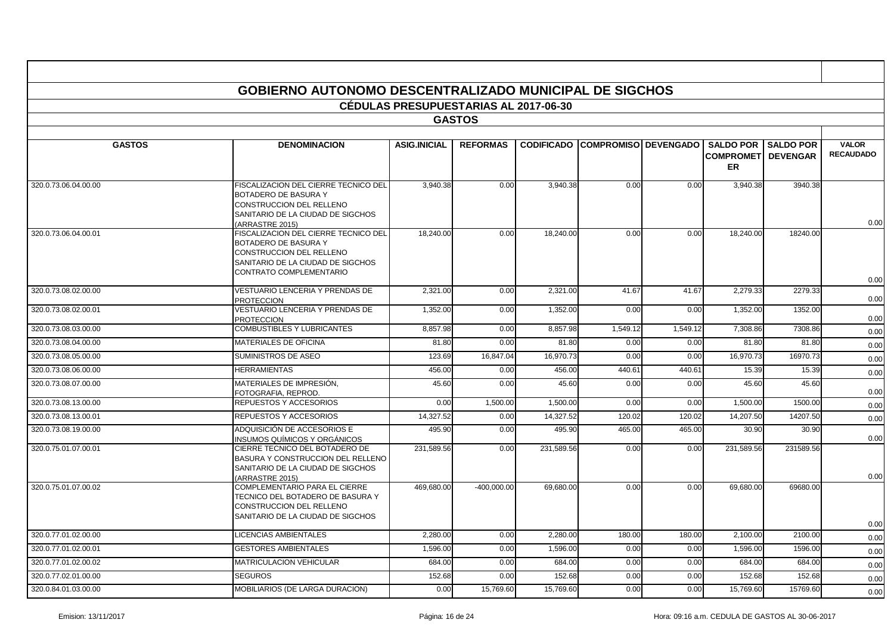|                      | <b>GOBIERNO AUTONOMO DESCENTRALIZADO MUNICIPAL DE SIGCHOS</b>                                                                                                   |                                              |                 |                   |                               |          |                                                             |                  |                                  |
|----------------------|-----------------------------------------------------------------------------------------------------------------------------------------------------------------|----------------------------------------------|-----------------|-------------------|-------------------------------|----------|-------------------------------------------------------------|------------------|----------------------------------|
|                      |                                                                                                                                                                 | <b>CÉDULAS PRESUPUESTARIAS AL 2017-06-30</b> |                 |                   |                               |          |                                                             |                  |                                  |
|                      |                                                                                                                                                                 |                                              | <b>GASTOS</b>   |                   |                               |          |                                                             |                  |                                  |
|                      |                                                                                                                                                                 |                                              |                 |                   |                               |          |                                                             |                  |                                  |
| <b>GASTOS</b>        | <b>DENOMINACION</b>                                                                                                                                             | <b>ASIG.INICIAL</b>                          | <b>REFORMAS</b> | <b>CODIFICADO</b> | <b>COMPROMISO   DEVENGADO</b> |          | <b>SALDO POR</b><br><b>COMPROMETI DEVENGAR</b><br><b>ER</b> | <b>SALDO POR</b> | <b>VALOR</b><br><b>RECAUDADO</b> |
| 320.0.73.06.04.00.00 | FISCALIZACION DEL CIERRE TECNICO DEL<br><b>BOTADERO DE BASURA Y</b><br>CONSTRUCCION DEL RELLENO<br>SANITARIO DE LA CIUDAD DE SIGCHOS<br>(ARRASTRE 2015)         | 3,940.38                                     | 0.00            | 3,940.38          | 0.00                          | 0.00     | 3,940.38                                                    | 3940.38          | 0.00                             |
| 320.0.73.06.04.00.01 | FISCALIZACION DEL CIERRE TECNICO DEL<br>BOTADERO DE BASURA Y<br>CONSTRUCCION DEL RELLENO<br>SANITARIO DE LA CIUDAD DE SIGCHOS<br><b>CONTRATO COMPLEMENTARIO</b> | 18,240.00                                    | 0.00            | 18,240.00         | 0.00                          | 0.00     | 18,240.00                                                   | 18240.00         | 0.00                             |
| 320.0.73.08.02.00.00 | VESTUARIO LENCERIA Y PRENDAS DE<br><b>PROTECCION</b>                                                                                                            | 2,321.00                                     | 0.00            | 2,321.00          | 41.67                         | 41.67    | 2,279.33                                                    | 2279.33          | 0.00                             |
| 320.0.73.08.02.00.01 | VESTUARIO LENCERIA Y PRENDAS DE<br><b>PROTECCION</b>                                                                                                            | 1,352.00                                     | 0.00            | 1,352.00          | 0.00                          | 0.00     | 1,352.00                                                    | 1352.00          | 0.00                             |
| 320.0.73.08.03.00.00 | <b>COMBUSTIBLES Y LUBRICANTES</b>                                                                                                                               | 8.857.98                                     | 0.00            | 8,857.98          | 1,549.12                      | 1,549.12 | 7,308.86                                                    | 7308.86          | 0.00                             |
| 320.0.73.08.04.00.00 | MATERIALES DE OFICINA                                                                                                                                           | 81.80                                        | 0.00            | 81.80             | 0.00                          | 0.00     | 81.80                                                       | 81.80            | 0.00                             |
| 320.0.73.08.05.00.00 | <b>SUMINISTROS DE ASEO</b>                                                                                                                                      | 123.69                                       | 16,847.04       | 16,970.73         | 0.00                          | 0.00     | 16,970.73                                                   | 16970.73         | 0.00                             |
| 320.0.73.08.06.00.00 | <b>HERRAMIENTAS</b>                                                                                                                                             | 456.00                                       | 0.00            | 456.00            | 440.61                        | 440.61   | 15.39                                                       | 15.39            | 0.00                             |
| 320.0.73.08.07.00.00 | MATERIALES DE IMPRESIÓN,<br>FOTOGRAFIA. REPROD.                                                                                                                 | 45.60                                        | 0.00            | 45.60             | 0.00                          | 0.00     | 45.60                                                       | 45.60            | 0.00                             |
| 320.0.73.08.13.00.00 | REPUESTOS Y ACCESORIOS                                                                                                                                          | 0.00                                         | 1,500.00        | 1,500.00          | 0.00                          | 0.00     | 1,500.00                                                    | 1500.00          | 0.00                             |
| 320.0.73.08.13.00.01 | REPUESTOS Y ACCESORIOS                                                                                                                                          | 14,327.52                                    | 0.00            | 14,327.52         | 120.02                        | 120.02   | 14,207.50                                                   | 14207.50         | 0.00                             |
| 320.0.73.08.19.00.00 | ADQUISICIÓN DE ACCESORIOS E<br>INSUMOS QUÍMICOS Y ORGÁNICOS                                                                                                     | 495.90                                       | 0.00            | 495.90            | 465.00                        | 465.00   | 30.90                                                       | 30.90            | 0.00                             |
| 320.0.75.01.07.00.01 | CIERRE TECNICO DEL BOTADERO DE<br>BASURA Y CONSTRUCCION DEL RELLENO<br>SANITARIO DE LA CIUDAD DE SIGCHOS<br>ARRASTRE 2015)                                      | 231,589.56                                   | 0.00            | 231,589.56        | 0.00                          | 0.00     | 231,589.56                                                  | 231589.56        | 0.00                             |
| 320.0.75.01.07.00.02 | COMPLEMENTARIO PARA EL CIERRE<br>TECNICO DEL BOTADERO DE BASURA Y<br>CONSTRUCCION DEL RELLENO<br>SANITARIO DE LA CIUDAD DE SIGCHOS                              | 469,680.00                                   | $-400,000.00$   | 69,680.00         | 0.00                          | 0.00     | 69,680.00                                                   | 69680.00         | 0.00                             |
| 320.0.77.01.02.00.00 | LICENCIAS AMBIENTALES                                                                                                                                           | 2,280.00                                     | 0.00            | 2,280.00          | 180.00                        | 180.00   | 2,100.00                                                    | 2100.00          | 0.00                             |
| 320.0.77.01.02.00.01 | <b>GESTORES AMBIENTALES</b>                                                                                                                                     | 1,596.00                                     | 0.00            | 1,596.00          | 0.00                          | 0.00     | 1,596.00                                                    | 1596.00          | 0.00                             |
| 320.0.77.01.02.00.02 | <b>MATRICULACION VEHICULAR</b>                                                                                                                                  | 684.00                                       | 0.00            | 684.00            | 0.00                          | 0.00     | 684.00                                                      | 684.00           | 0.00                             |
| 320.0.77.02.01.00.00 | <b>SEGUROS</b>                                                                                                                                                  | 152.68                                       | 0.00            | 152.68            | 0.00                          | 0.00     | 152.68                                                      | 152.68           | 0.00                             |
| 320.0.84.01.03.00.00 | MOBILIARIOS (DE LARGA DURACION)                                                                                                                                 | 0.00                                         | 15,769.60       | 15,769.60         | 0.00                          | 0.00     | 15,769.60                                                   | 15769.60         | 0.00                             |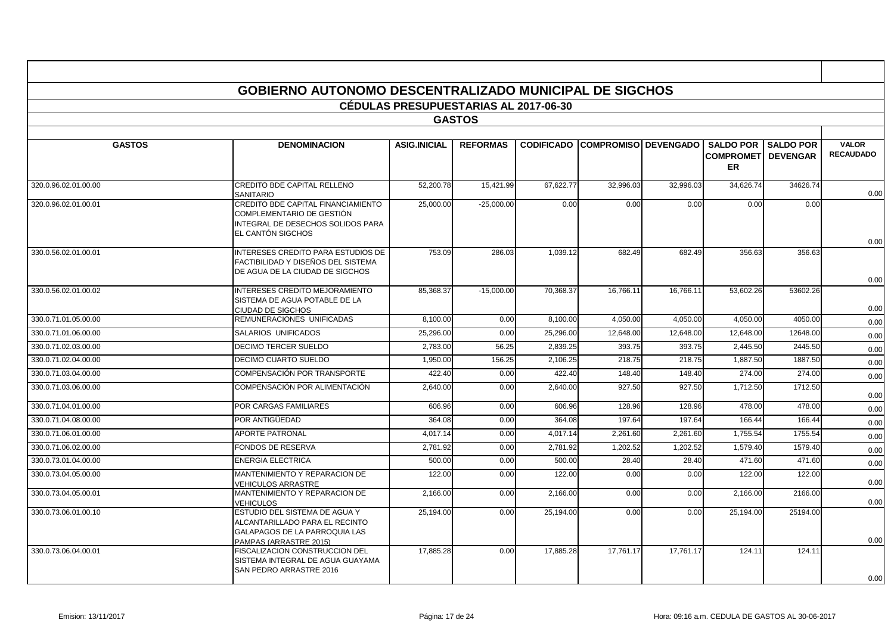|                      |                                                                                                                            | <b>CÉDULAS PRESUPUESTARIAS AL 2017-06-30</b> |                 |           |                                        |           |                                         |                              |                                  |
|----------------------|----------------------------------------------------------------------------------------------------------------------------|----------------------------------------------|-----------------|-----------|----------------------------------------|-----------|-----------------------------------------|------------------------------|----------------------------------|
|                      |                                                                                                                            |                                              | <b>GASTOS</b>   |           |                                        |           |                                         |                              |                                  |
|                      |                                                                                                                            |                                              |                 |           |                                        |           |                                         |                              |                                  |
| <b>GASTOS</b>        | <b>DENOMINACION</b>                                                                                                        | <b>ASIG.INICIAL</b>                          | <b>REFORMAS</b> |           | <b>CODIFICADO COMPROMISO DEVENGADO</b> |           | <b>COMPROMETI DEVENGAR</b><br><b>ER</b> | <b>SALDO POR I SALDO POR</b> | <b>VALOR</b><br><b>RECAUDADO</b> |
| 320.0.96.02.01.00.00 | CREDITO BDE CAPITAL RELLENO<br><b>SANITARIO</b>                                                                            | 52,200.78                                    | 15,421.99       | 67,622.77 | 32,996.03                              | 32,996.03 | 34,626.74                               | 34626.74                     | 0.00                             |
| 320.0.96.02.01.00.01 | CREDITO BDE CAPITAL FINANCIAMIENTO<br>COMPLEMENTARIO DE GESTIÓN<br>INTEGRAL DE DESECHOS SOLIDOS PARA<br>EL CANTÓN SIGCHOS  | 25,000.00                                    | $-25.000.00$    | 0.00      | 0.00                                   | 0.00      | 0.00                                    | 0.00                         | 0.00                             |
| 330.0.56.02.01.00.01 | INTERESES CREDITO PARA ESTUDIOS DE<br>FACTIBILIDAD Y DISEÑOS DEL SISTEMA<br>DE AGUA DE LA CIUDAD DE SIGCHOS                | 753.09                                       | 286.03          | 1,039.12  | 682.49                                 | 682.49    | 356.63                                  | 356.63                       | 0.00                             |
| 330.0.56.02.01.00.02 | INTERESES CREDITO MEJORAMIENTO<br>SISTEMA DE AGUA POTABLE DE LA<br>CIUDAD DE SIGCHOS                                       | 85,368.37                                    | $-15,000.00$    | 70,368.37 | 16,766.11                              | 16,766.11 | 53,602.26                               | 53602.26                     | 0.00                             |
| 330.0.71.01.05.00.00 | REMUNERACIONES UNIFICADAS                                                                                                  | 8.100.00                                     | 0.00            | 8.100.00  | 4,050.00                               | 4.050.00  | 4.050.00                                | 4050.00                      | 0.00                             |
| 330.0.71.01.06.00.00 | <b>SALARIOS UNIFICADOS</b>                                                                                                 | 25,296.00                                    | 0.00            | 25,296.00 | 12.648.00                              | 12.648.00 | 12.648.00                               | 12648.00                     | 0.00                             |
| 330.0.71.02.03.00.00 | <b>DECIMO TERCER SUELDO</b>                                                                                                | 2,783.00                                     | 56.25           | 2,839.25  | 393.75                                 | 393.75    | 2,445.50                                | 2445.50                      | 0.00                             |
| 330.0.71.02.04.00.00 | <b>DECIMO CUARTO SUELDO</b>                                                                                                | 1.950.00                                     | 156.25          | 2.106.25  | 218.75                                 | 218.75    | 1.887.50                                | 1887.50                      | 0.00                             |
| 330.0.71.03.04.00.00 | COMPENSACIÓN POR TRANSPORTE                                                                                                | 422.40                                       | 0.00            | 422.40    | 148.40                                 | 148.40    | 274.00                                  | 274.00                       | 0.00                             |
| 330.0.71.03.06.00.00 | COMPENSACIÓN POR ALIMENTACIÓN                                                                                              | 2,640.00                                     | 0.00            | 2,640.00  | 927.50                                 | 927.50    | 1,712.50                                | 1712.50                      | 0.00                             |
| 330.0.71.04.01.00.00 | POR CARGAS FAMILIARES                                                                                                      | 606.96                                       | 0.00            | 606.96    | 128.96                                 | 128.96    | 478.00                                  | 478.00                       | 0.00                             |
| 330.0.71.04.08.00.00 | POR ANTIGÜEDAD                                                                                                             | 364.08                                       | 0.00            | 364.08    | 197.64                                 | 197.64    | 166.44                                  | 166.44                       | 0.00                             |
| 330.0.71.06.01.00.00 | APORTE PATRONAL                                                                                                            | 4,017.14                                     | 0.00            | 4,017.14  | 2,261.60                               | 2,261.60  | 1,755.54                                | 1755.54                      | 0.00                             |
| 330.0.71.06.02.00.00 | FONDOS DE RESERVA                                                                                                          | 2,781.92                                     | 0.00            | 2,781.92  | 1,202.52                               | 1,202.52  | 1,579.40                                | 1579.40                      | 0.00                             |
| 330.0.73.01.04.00.00 | <b>ENERGIA ELECTRICA</b>                                                                                                   | 500.00                                       | 0.00            | 500.00    | 28.40                                  | 28.40     | 471.60                                  | 471.60                       | 0.00                             |
| 330.0.73.04.05.00.00 | MANTENIMIENTO Y REPARACION DE<br>VEHICULOS ARRASTRE                                                                        | 122.00                                       | 0.00            | 122.00    | 0.00                                   | 0.00      | 122.00                                  | 122.00                       | 0.00                             |
| 330.0.73.04.05.00.01 | MANTENIMIENTO Y REPARACION DE<br>VEHICULOS                                                                                 | 2,166.00                                     | 0.00            | 2,166.00  | 0.00                                   | 0.00      | 2,166.00                                | 2166.00                      | 0.00                             |
| 330.0.73.06.01.00.10 | ESTUDIO DEL SISTEMA DE AGUA Y<br>ALCANTARILLADO PARA EL RECINTO<br>GALAPAGOS DE LA PARROQUIA LAS<br>PAMPAS (ARRASTRE 2015) | 25,194.00                                    | 0.00            | 25,194.00 | 0.00                                   | 0.00      | 25,194.00                               | 25194.00                     | 0.00                             |
| 330.0.73.06.04.00.01 | FISCALIZACION CONSTRUCCION DEL<br>SISTEMA INTEGRAL DE AGUA GUAYAMA<br>SAN PEDRO ARRASTRE 2016                              | 17,885.28                                    | 0.00            | 17,885.28 | 17,761.17                              | 17,761.17 | 124.11                                  | 124.11                       | 0.00                             |

 $\mathbf{r}$ 

т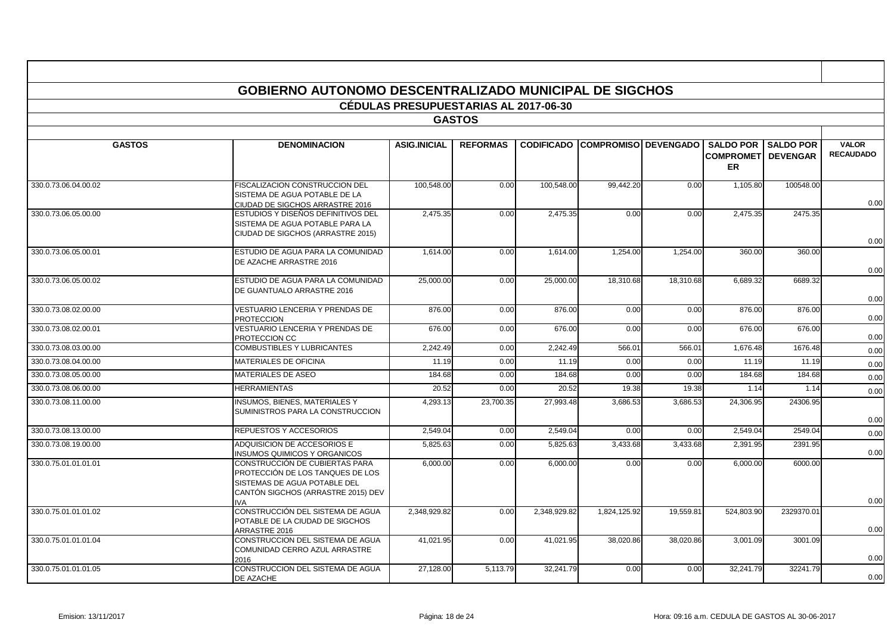|                      | <b>GOBIERNO AUTONOMO DESCENTRALIZADO MUNICIPAL DE SIGCHOS</b>                                                                                          |                                              |                 |              |                                        |           |                                                    |                                     |                                  |  |  |  |  |
|----------------------|--------------------------------------------------------------------------------------------------------------------------------------------------------|----------------------------------------------|-----------------|--------------|----------------------------------------|-----------|----------------------------------------------------|-------------------------------------|----------------------------------|--|--|--|--|
|                      |                                                                                                                                                        |                                              |                 |              |                                        |           |                                                    |                                     |                                  |  |  |  |  |
|                      |                                                                                                                                                        | <b>CÉDULAS PRESUPUESTARIAS AL 2017-06-30</b> |                 |              |                                        |           |                                                    |                                     |                                  |  |  |  |  |
|                      |                                                                                                                                                        |                                              | <b>GASTOS</b>   |              |                                        |           |                                                    |                                     |                                  |  |  |  |  |
| <b>GASTOS</b>        | <b>DENOMINACION</b>                                                                                                                                    | <b>ASIG.INICIAL</b>                          | <b>REFORMAS</b> |              | <b>CODIFICADO COMPROMISO DEVENGADO</b> |           | <b>SALDO POR</b><br><b>COMPROMETI</b><br><b>ER</b> | <b>SALDO POR</b><br><b>DEVENGAR</b> | <b>VALOR</b><br><b>RECAUDADO</b> |  |  |  |  |
| 330.0.73.06.04.00.02 | FISCALIZACION CONSTRUCCION DEL<br>SISTEMA DE AGUA POTABLE DE LA<br>CIUDAD DE SIGCHOS ARRASTRE 2016                                                     | 100,548.00                                   | 0.00            | 100,548.00   | 99,442.20                              | 0.00      | 1,105.80                                           | 100548.00                           | 0.00                             |  |  |  |  |
| 330.0.73.06.05.00.00 | ESTUDIOS Y DISEÑOS DEFINITIVOS DEL<br>SISTEMA DE AGUA POTABLE PARA LA<br>CIUDAD DE SIGCHOS (ARRASTRE 2015)                                             | 2.475.35                                     | 0.00            | 2,475.35     | 0.00                                   | 0.00      | 2.475.35                                           | 2475.35                             | 0.00                             |  |  |  |  |
| 330.0.73.06.05.00.01 | ESTUDIO DE AGUA PARA LA COMUNIDAD<br>DE AZACHE ARRASTRE 2016                                                                                           | 1,614.00                                     | 0.00            | 1,614.00     | 1,254.00                               | 1,254.00  | 360.00                                             | 360.00                              | 0.00                             |  |  |  |  |
| 330.0.73.06.05.00.02 | ESTUDIO DE AGUA PARA LA COMUNIDAD<br>DE GUANTUALO ARRASTRE 2016                                                                                        | 25,000.00                                    | 0.00            | 25,000.00    | 18,310.68                              | 18,310.68 | 6,689.32                                           | 6689.32                             | 0.00                             |  |  |  |  |
| 330.0.73.08.02.00.00 | VESTUARIO LENCERIA Y PRENDAS DE<br><b>PROTECCION</b>                                                                                                   | 876.00                                       | 0.00            | 876.00       | 0.00                                   | 0.00      | 876.00                                             | 876.00                              | 0.00                             |  |  |  |  |
| 330.0.73.08.02.00.01 | VESTUARIO LENCERIA Y PRENDAS DE<br>PROTECCION CC                                                                                                       | 676.00                                       | 0.00            | 676.00       | 0.00                                   | 0.00      | 676.00                                             | 676.00                              | 0.00                             |  |  |  |  |
| 330.0.73.08.03.00.00 | COMBUSTIBLES Y LUBRICANTES                                                                                                                             | 2,242.49                                     | 0.00            | 2,242.49     | 566.01                                 | 566.01    | 1,676.48                                           | 1676.48                             | 0.00                             |  |  |  |  |
| 330.0.73.08.04.00.00 | MATERIALES DE OFICINA                                                                                                                                  | 11.19                                        | 0.00            | 11.19        | 0.00                                   | 0.00      | 11.19                                              | 11.19                               | 0.00                             |  |  |  |  |
| 330.0.73.08.05.00.00 | <b>MATERIALES DE ASEO</b>                                                                                                                              | 184.68                                       | 0.00            | 184.68       | 0.00                                   | 0.00      | 184.68                                             | 184.68                              | 0.00                             |  |  |  |  |
| 330.0.73.08.06.00.00 | <b>HERRAMIENTAS</b>                                                                                                                                    | 20.52                                        | 0.00            | 20.52        | 19.38                                  | 19.38     | 1.14                                               | 1.14                                | 0.00                             |  |  |  |  |
| 330.0.73.08.11.00.00 | <b>INSUMOS, BIENES, MATERIALES Y</b><br>SUMINISTROS PARA LA CONSTRUCCION                                                                               | 4,293.13                                     | 23,700.35       | 27,993.48    | 3,686.53                               | 3,686.53  | 24,306.95                                          | 24306.95                            | 0.00                             |  |  |  |  |
| 330.0.73.08.13.00.00 | REPUESTOS Y ACCESORIOS                                                                                                                                 | 2,549.04                                     | 0.00            | 2,549.04     | 0.00                                   | 0.00      | 2,549.04                                           | 2549.0                              | 0.00                             |  |  |  |  |
| 330.0.73.08.19.00.00 | ADQUISICION DE ACCESORIOS E<br>INSUMOS QUIMICOS Y ORGANICOS                                                                                            | 5,825.63                                     | 0.00            | 5,825.63     | 3,433.68                               | 3,433.68  | 2,391.95                                           | 2391.95                             | 0.00                             |  |  |  |  |
| 330.0.75.01.01.01.01 | CONSTRUCCIÓN DE CUBIERTAS PARA<br>PROTECCIÓN DE LOS TANQUES DE LOS<br>SISTEMAS DE AGUA POTABLE DEL<br>CANTÓN SIGCHOS (ARRASTRE 2015) DEV<br><b>NVA</b> | 6,000.00                                     | 0.00            | 6,000.00     | 0.00                                   | 0.00      | 6,000.00                                           | 6000.00                             | 0.00                             |  |  |  |  |
| 330.0.75.01.01.01.02 | CONSTRUCCIÓN DEL SISTEMA DE AGUA<br>POTABLE DE LA CIUDAD DE SIGCHOS<br>ARRASTRE 2016                                                                   | 2.348.929.82                                 | 0.00            | 2.348.929.82 | 1,824,125.92                           | 19,559.81 | 524,803.90                                         | 2329370.01                          | 0.00                             |  |  |  |  |
| 330.0.75.01.01.01.04 | CONSTRUCCION DEL SISTEMA DE AGUA<br>COMUNIDAD CERRO AZUL ARRASTRE<br>2016                                                                              | 41.021.95                                    | 0.00            | 41,021.95    | 38.020.86                              | 38,020.86 | 3,001.09                                           | 3001.09                             | 0.00                             |  |  |  |  |
| 330.0.75.01.01.01.05 | CONSTRUCCION DEL SISTEMA DE AGUA<br>DE AZACHE                                                                                                          | 27,128.00                                    | 5,113.79        | 32,241.79    | 0.00                                   | 0.00      | 32,241.79                                          | 32241.79                            | 0.00                             |  |  |  |  |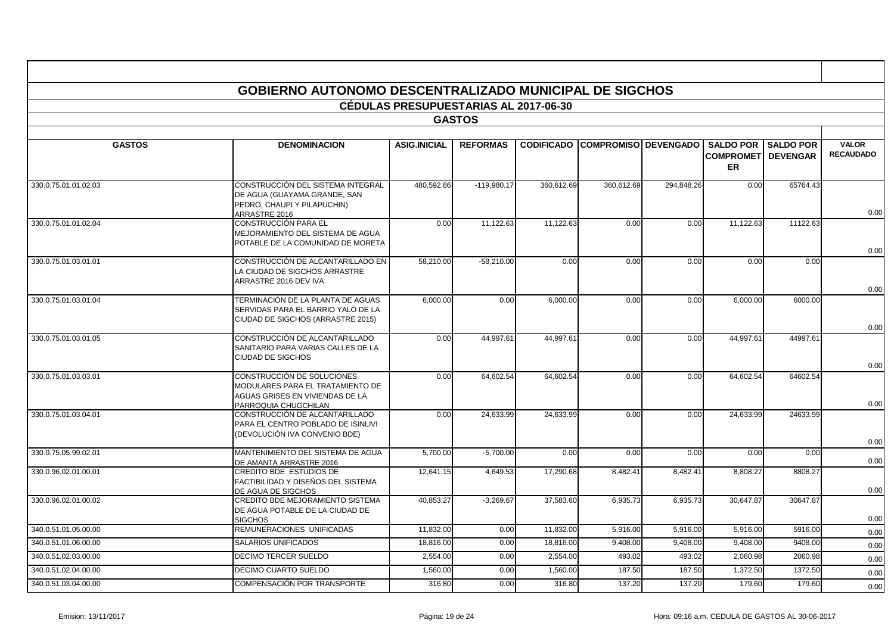|                      | <b>GOBIERNO AUTONOMO DESCENTRALIZADO MUNICIPAL DE SIGCHOS</b>                                                             |                                              |                 |            |                                        |            |                                                   |                                     |                                  |
|----------------------|---------------------------------------------------------------------------------------------------------------------------|----------------------------------------------|-----------------|------------|----------------------------------------|------------|---------------------------------------------------|-------------------------------------|----------------------------------|
|                      |                                                                                                                           | <b>CÉDULAS PRESUPUESTARIAS AL 2017-06-30</b> |                 |            |                                        |            |                                                   |                                     |                                  |
|                      |                                                                                                                           |                                              | <b>GASTOS</b>   |            |                                        |            |                                                   |                                     |                                  |
|                      |                                                                                                                           |                                              |                 |            |                                        |            |                                                   |                                     |                                  |
| <b>GASTOS</b>        | <b>DENOMINACION</b>                                                                                                       | <b>ASIG.INICIAL</b>                          | <b>REFORMAS</b> |            | <b>CODIFICADO COMPROMISO DEVENGADO</b> |            | <b>SALDO POR</b><br><b>COMPROMET</b><br><b>ER</b> | <b>SALDO POR</b><br><b>DEVENGAR</b> | <b>VALOR</b><br><b>RECAUDADO</b> |
| 330.0.75.01.01.02.03 | CONSTRUCCIÓN DEL SISTEMA INTEGRAL<br>DE AGUA (GUAYAMA GRANDE, SAN<br>PEDRO, CHAUPI Y PILAPUCHIN)<br>ARRASTRE 2016         | 480,592.86                                   | $-119,980.17$   | 360,612.69 | 360,612.69                             | 294,848.26 | 0.00                                              | 65764.43                            | 0.00                             |
| 330.0.75.01.01.02.04 | CONSTRUCCIÓN PARA EL<br>MEJORAMIENTO DEL SISTEMA DE AGUA<br>POTABLE DE LA COMUNIDAD DE MORETA                             | 0.00                                         | 11,122.63       | 11,122.63  | 0.00                                   | 0.00       | 11,122.63                                         | 11122.63                            | 0.00                             |
| 330.0.75.01.03.01.01 | CONSTRUCCIÓN DE ALCANTARILLADO EN<br>LA CIUDAD DE SIGCHOS ARRASTRE<br>ARRASTRE 2016 DEV IVA                               | 58.210.00                                    | $-58.210.00$    | 0.00       | 0.00                                   | 0.00       | 0.00                                              | 0.00                                | 0.00                             |
| 330.0.75.01.03.01.04 | TERMINACIÓN DE LA PLANTA DE AGUAS<br>SERVIDAS PARA EL BARRIO YALÓ DE LA<br>CIUDAD DE SIGCHOS (ARRASTRE 2015)              | 6,000.00                                     | 0.00            | 6,000.00   | 0.00                                   | 0.00       | 6,000.00                                          | 6000.00                             | 0.00                             |
| 330.0.75.01.03.01.05 | CONSTRUCCIÓN DE ALCANTARILLADO<br>SANITARIO PARA VARIAS CALLES DE LA<br>CIUDAD DE SIGCHOS                                 | 0.00                                         | 44,997.61       | 44,997.61  | 0.00                                   | 0.00       | 44,997.61                                         | 44997.61                            | 0.00                             |
| 330.0.75.01.03.03.01 | CONSTRUCCIÓN DE SOLUCIONES<br>MODULARES PARA EL TRATAMIENTO DE<br>AGUAS GRISES EN VIVIENDAS DE LA<br>PARROQUIA CHUGCHILAN | 0.00                                         | 64,602.54       | 64,602.54  | 0.00                                   | 0.00       | 64,602.54                                         | 64602.54                            | 0.00                             |
| 330.0.75.01.03.04.01 | CONSTRUCCIÓN DE ALCANTARILLADO<br>PARA EL CENTRO POBLADO DE ISINLIVI<br>(DEVOLUCIÓN IVA CONVENIO BDE)                     | 0.00                                         | 24,633.99       | 24,633.99  | 0.00                                   | 0.00       | 24,633.99                                         | 24633.99                            | 0.00                             |
| 330.0.75.05.99.02.01 | MANTENIMIENTO DEL SISTEMA DE AGUA<br>DE AMANTA ARRASTRE 2016                                                              | 5.700.00                                     | $-5,700.00$     | 0.00       | 0.00                                   | 0.00       | 0.00                                              | 0.00                                | 0.00                             |
| 330.0.96.02.01.00.01 | CREDITO BDE ESTUDIOS DE<br>FACTIBILIDAD Y DISEÑOS DEL SISTEMA<br>DE AGUA DE SIGCHOS                                       | 12,641.15                                    | 4,649.53        | 17,290.68  | 8,482.41                               | 8,482.41   | 8,808.27                                          | 8808.27                             | 0.00                             |
| 330.0.96.02.01.00.02 | CREDITO BDE MEJORAMIENTO SISTEMA<br>DE AGUA POTABLE DE LA CIUDAD DE<br><b>SIGCHOS</b>                                     | 40,853.27                                    | $-3,269.67$     | 37,583.60  | 6,935.73                               | 6,935.73   | 30,647.87                                         | 30647.87                            | 0.00                             |
| 340.0.51.01.05.00.00 | REMUNERACIONES UNIFICADAS                                                                                                 | 11,832.00                                    | 0.00            | 11,832.00  | 5,916.00                               | 5,916.00   | 5,916.00                                          | 5916.00                             | 0.00                             |
| 340.0.51.01.06.00.00 | <b>SALARIOS UNIFICADOS</b>                                                                                                | 18,816.00                                    | 0.00            | 18,816.00  | 9,408.00                               | 9,408.00   | 9,408.00                                          | 9408.00                             | 0.00                             |
| 340.0.51.02.03.00.00 | DECIMO TERCER SUELDO                                                                                                      | 2,554.00                                     | 0.00            | 2,554.00   | 493.02                                 | 493.02     | 2,060.98                                          | 2060.98                             | 0.00                             |
| 340.0.51.02.04.00.00 | DECIMO CUARTO SUELDO                                                                                                      | 1,560.00                                     | 0.00            | 1,560.00   | 187.50                                 | 187.50     | 1,372.50                                          | 1372.50                             | 0.00                             |
| 340.0.51.03.04.00.00 | COMPENSACIÓN POR TRANSPORTE                                                                                               | 316.80                                       | 0.00            | 316.80     | 137.20                                 | 137.20     | 179.60                                            | 179.60                              | 0.00                             |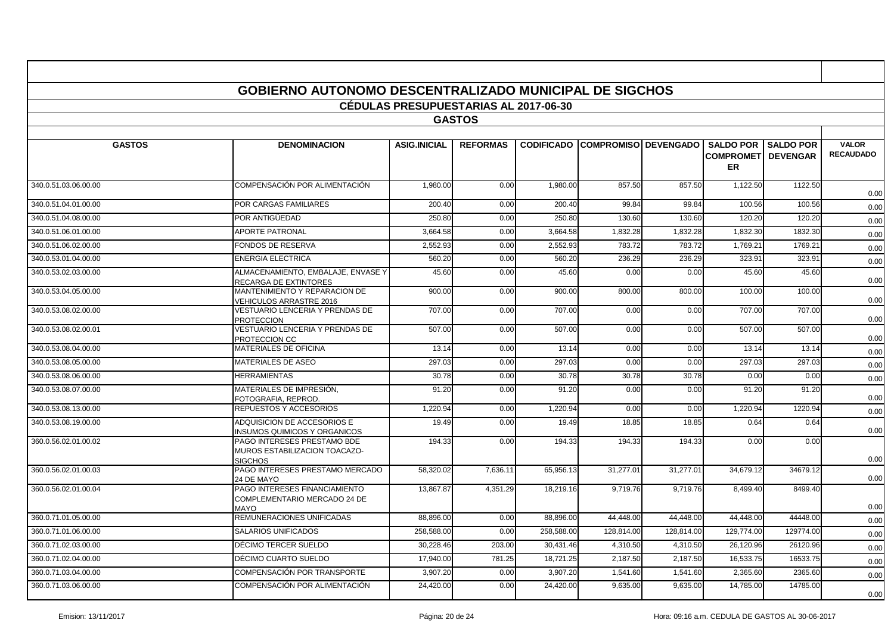|                      | <b>GOBIERNO AUTONOMO DESCENTRALIZADO MUNICIPAL DE SIGCHOS</b>                  |                                              |                 |                   |                             |            |                               |                                                |                                  |  |  |  |  |  |
|----------------------|--------------------------------------------------------------------------------|----------------------------------------------|-----------------|-------------------|-----------------------------|------------|-------------------------------|------------------------------------------------|----------------------------------|--|--|--|--|--|
|                      |                                                                                |                                              |                 |                   |                             |            |                               |                                                |                                  |  |  |  |  |  |
|                      |                                                                                | <b>CÉDULAS PRESUPUESTARIAS AL 2017-06-30</b> |                 |                   |                             |            |                               |                                                |                                  |  |  |  |  |  |
|                      |                                                                                |                                              | <b>GASTOS</b>   |                   |                             |            |                               |                                                |                                  |  |  |  |  |  |
| <b>GASTOS</b>        | <b>DENOMINACION</b>                                                            | <b>ASIG.INICIAL</b>                          | <b>REFORMAS</b> | <b>CODIFICADO</b> | <b>COMPROMISO DEVENGADO</b> |            | <b>SALDO POR</b><br><b>ER</b> | <b>SALDO POR</b><br><b>COMPROMETI DEVENGAR</b> | <b>VALOR</b><br><b>RECAUDADO</b> |  |  |  |  |  |
| 340.0.51.03.06.00.00 | COMPENSACIÓN POR ALIMENTACIÓN                                                  | 1,980.00                                     | 0.00            | 1,980.00          | 857.50                      | 857.50     | 1,122.50                      | 1122.50                                        | 0.00                             |  |  |  |  |  |
| 340.0.51.04.01.00.00 | POR CARGAS FAMILIARES                                                          | 200.40                                       | 0.00            | 200.40            | 99.84                       | 99.84      | 100.56                        | 100.56                                         | 0.00                             |  |  |  |  |  |
| 340.0.51.04.08.00.00 | POR ANTIGÜEDAD                                                                 | 250.80                                       | 0.00            | 250.80            | 130.60                      | 130.60     | 120.20                        | 120.20                                         | 0.00                             |  |  |  |  |  |
| 340.0.51.06.01.00.00 | <b>APORTE PATRONAL</b>                                                         | 3,664.58                                     | 0.00            | 3,664.58          | 1,832.28                    | 1,832.28   | 1,832.30                      | 1832.30                                        | 0.00                             |  |  |  |  |  |
| 340.0.51.06.02.00.00 | FONDOS DE RESERVA                                                              | 2.552.93                                     | 0.00            | 2.552.93          | 783.72                      | 783.72     | 1.769.21                      | 1769.21                                        | 0.00                             |  |  |  |  |  |
| 340.0.53.01.04.00.00 | <b>ENERGIA ELECTRICA</b>                                                       | 560.20                                       | 0.00            | 560.20            | 236.29                      | 236.29     | 323.91                        | 323.91                                         | 0.00                             |  |  |  |  |  |
| 340.0.53.02.03.00.00 | ALMACENAMIENTO, EMBALAJE, ENVASE Y<br>RECARGA DE EXTINTORES                    | 45.60                                        | 0.00            | 45.60             | 0.00                        | 0.00       | 45.60                         | 45.60                                          | 0.00                             |  |  |  |  |  |
| 340.0.53.04.05.00.00 | MANTENIMIENTO Y REPARACION DE<br>VEHICULOS ARRASTRE 2016                       | 900.00                                       | 0.00            | 900.00            | 800.00                      | 800.00     | 100.00                        | 100.00                                         | 0.00                             |  |  |  |  |  |
| 340.0.53.08.02.00.00 | VESTUARIO LENCERIA Y PRENDAS DE<br><b>PROTECCION</b>                           | 707.00                                       | 0.00            | 707.00            | 0.00                        | 0.00       | 707.00                        | 707.00                                         | 0.00                             |  |  |  |  |  |
| 340.0.53.08.02.00.01 | <b>VESTUARIO LENCERIA Y PRENDAS DE</b><br>PROTECCION CC                        | 507.00                                       | 0.00            | 507.00            | 0.00                        | 0.00       | 507.00                        | 507.00                                         | 0.00                             |  |  |  |  |  |
| 340.0.53.08.04.00.00 | MATERIALES DE OFICINA                                                          | 13.14                                        | 0.00            | 13.14             | 0.00                        | 0.00       | 13.14                         | 13.14                                          | 0.00                             |  |  |  |  |  |
| 340.0.53.08.05.00.00 | MATERIALES DE ASEO                                                             | 297.03                                       | 0.00            | 297.03            | 0.00                        | 0.00       | 297.03                        | 297.03                                         | 0.00                             |  |  |  |  |  |
| 340.0.53.08.06.00.00 | <b>HERRAMIENTAS</b>                                                            | 30.78                                        | 0.00            | 30.78             | 30.78                       | 30.78      | 0.00                          | 0.00                                           | 0.00                             |  |  |  |  |  |
| 340.0.53.08.07.00.00 | MATERIALES DE IMPRESIÓN,<br>FOTOGRAFIA. REPROD.                                | 91.20                                        | 0.00            | 91.20             | 0.00                        | 0.00       | 91.20                         | 91.20                                          | 0.00                             |  |  |  |  |  |
| 340.0.53.08.13.00.00 | REPUESTOS Y ACCESORIOS                                                         | 1,220.94                                     | 0.00            | 1,220.94          | 0.00                        | 0.00       | 1,220.94                      | 1220.94                                        | 0.00                             |  |  |  |  |  |
| 340.0.53.08.19.00.00 | ADQUISICION DE ACCESORIOS E<br>NSUMOS QUIMICOS Y ORGANICOS                     | 19.49                                        | 0.00            | 19.49             | 18.85                       | 18.85      | 0.64                          | 0.64                                           | 0.00                             |  |  |  |  |  |
| 360.0.56.02.01.00.02 | PAGO INTERESES PRESTAMO BDE<br>MUROS ESTABILIZACION TOACAZO-<br><b>SIGCHOS</b> | 194.33                                       | 0.00            | 194.33            | 194.33                      | 194.33     | 0.00                          | 0.00                                           | 0.00                             |  |  |  |  |  |
| 360.0.56.02.01.00.03 | PAGO INTERESES PRESTAMO MERCADO<br>24 DE MAYO                                  | 58,320.02                                    | 7,636.11        | 65,956.13         | 31,277.01                   | 31,277.01  | 34,679.12                     | 34679.12                                       | 0.00                             |  |  |  |  |  |
| 360.0.56.02.01.00.04 | PAGO INTERESES FINANCIAMIENTO<br>COMPLEMENTARIO MERCADO 24 DE<br>MAYO          | 13,867.87                                    | 4,351.29        | 18,219.16         | 9.719.76                    | 9,719.76   | 8,499.40                      | 8499.40                                        | 0.00                             |  |  |  |  |  |
| 360.0.71.01.05.00.00 | REMUNERACIONES UNIFICADAS                                                      | 88,896.00                                    | 0.00            | 88,896.00         | 44,448.00                   | 44,448.00  | 44,448.00                     | 44448.00                                       | 0.00                             |  |  |  |  |  |
| 360.0.71.01.06.00.00 | <b>SALARIOS UNIFICADOS</b>                                                     | 258,588.00                                   | 0.00            | 258,588.00        | 128.814.00                  | 128,814.00 | 129,774.00                    | 129774.00                                      | 0.00                             |  |  |  |  |  |
| 360.0.71.02.03.00.00 | DÉCIMO TERCER SUELDO                                                           | 30,228.46                                    | 203.00          | 30,431.46         | 4,310.50                    | 4,310.50   | 26,120.96                     | 26120.96                                       | 0.00                             |  |  |  |  |  |
| 360.0.71.02.04.00.00 | DÉCIMO CUARTO SUELDO                                                           | 17,940.00                                    | 781.25          | 18,721.25         | 2,187.50                    | 2,187.50   | 16,533.75                     | 16533.75                                       | 0.00                             |  |  |  |  |  |
| 360.0.71.03.04.00.00 | COMPENSACIÓN POR TRANSPORTE                                                    | 3.907.20                                     | 0.00            | 3.907.20          | 1.541.60                    | 1.541.60   | 2,365.60                      | 2365.60                                        | 0.00                             |  |  |  |  |  |
| 360.0.71.03.06.00.00 | COMPENSACIÓN POR ALIMENTACIÓN.                                                 | 24,420.00                                    | 0.00            | 24,420.00         | 9,635.00                    | 9,635.00   | 14,785.00                     | 14785.00                                       | 0.00                             |  |  |  |  |  |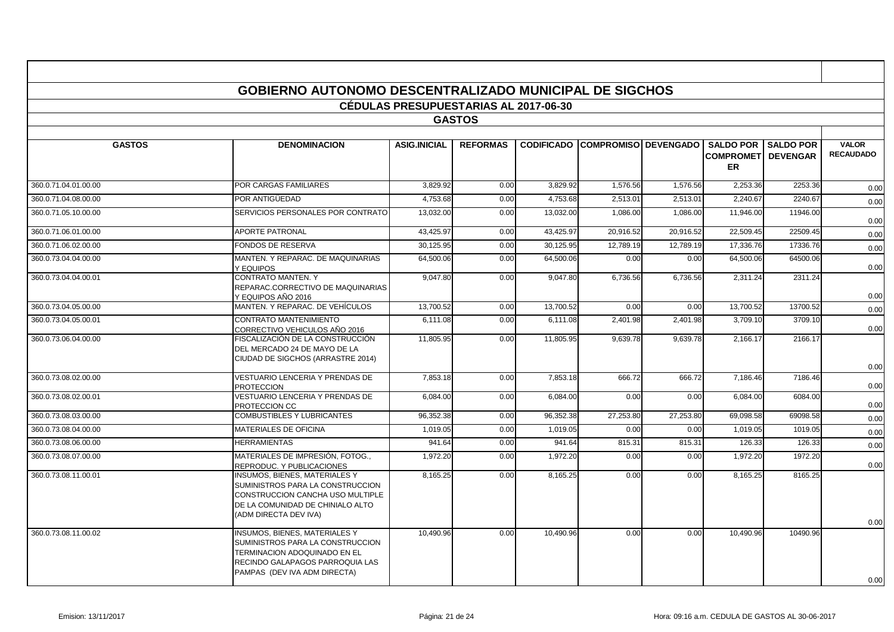|                      |                                                                                                                                                                             | <b>CÉDULAS PRESUPUESTARIAS AL 2017-06-30</b> |                 |           |                                        |           |                                   |                              |                                  |
|----------------------|-----------------------------------------------------------------------------------------------------------------------------------------------------------------------------|----------------------------------------------|-----------------|-----------|----------------------------------------|-----------|-----------------------------------|------------------------------|----------------------------------|
|                      |                                                                                                                                                                             |                                              | <b>GASTOS</b>   |           |                                        |           |                                   |                              |                                  |
| <b>GASTOS</b>        | <b>DENOMINACION</b>                                                                                                                                                         | <b>ASIG.INICIAL</b>                          | <b>REFORMAS</b> |           | <b>CODIFICADO COMPROMISO DEVENGADO</b> |           | <b>COMPROMETI DEVENGAR</b><br>ER. | <b>SALDO POR I SALDO POR</b> | <b>VALOR</b><br><b>RECAUDADO</b> |
| 360.0.71.04.01.00.00 | POR CARGAS FAMILIARES                                                                                                                                                       | 3.829.92                                     | 0.00            | 3.829.92  | 1,576.56                               | 1,576.56  | 2,253.36                          | 2253.36                      | 0.00                             |
| 360.0.71.04.08.00.00 | POR ANTIGÜEDAD                                                                                                                                                              | 4,753.68                                     | 0.00            | 4,753.68  | 2,513.01                               | 2,513.01  | 2.240.67                          | 2240.67                      | 0.00                             |
| 360.0.71.05.10.00.00 | SERVICIOS PERSONALES POR CONTRATO                                                                                                                                           | 13,032.00                                    | 0.00            | 13,032.00 | 1,086.00                               | 1,086.00  | 11,946.00                         | 11946.00                     | 0.00                             |
| 360.0.71.06.01.00.00 | <b>APORTE PATRONAL</b>                                                                                                                                                      | 43.425.97                                    | 0.00            | 43.425.97 | 20.916.52                              | 20.916.52 | 22.509.45                         | 22509.45                     | 0.00                             |
| 360.0.71.06.02.00.00 | FONDOS DE RESERVA                                                                                                                                                           | 30.125.95                                    | 0.00            | 30.125.95 | 12.789.19                              | 12.789.19 | 17.336.76                         | 17336.76                     | 0.00                             |
| 360.0.73.04.04.00.00 | MANTEN. Y REPARAC. DE MAQUINARIAS<br>Y EQUIPOS                                                                                                                              | 64,500.06                                    | 0.00            | 64,500.06 | 0.00                                   | 0.00      | 64,500.06                         | 64500.06                     | 0.00                             |
| 360.0.73.04.04.00.01 | CONTRATO MANTEN. Y<br>REPARAC.CORRECTIVO DE MAQUINARIAS<br>Y EQUIPOS AÑO 2016                                                                                               | 9,047.80                                     | 0.00            | 9,047.80  | 6,736.56                               | 6,736.56  | 2,311.24                          | 2311.24                      | 0.00                             |
| 360.0.73.04.05.00.00 | MANTEN. Y REPARAC. DE VEHÍCULOS                                                                                                                                             | 13,700.52                                    | 0.00            | 13,700.52 | 0.00                                   | 0.00      | 13,700.52                         | 13700.52                     | 0.00                             |
| 360.0.73.04.05.00.01 | <b>CONTRATO MANTENIMIENTO</b><br>CORRECTIVO VEHICULOS AÑO 2016                                                                                                              | 6,111.08                                     | 0.00            | 6,111.08  | 2,401.98                               | 2,401.98  | 3,709.10                          | 3709.10                      | 0.00                             |
| 360.0.73.06.04.00.00 | FISCALIZACIÓN DE LA CONSTRUCCIÓN<br>DEL MERCADO 24 DE MAYO DE LA<br>CIUDAD DE SIGCHOS (ARRASTRE 2014)                                                                       | 11,805.95                                    | 0.00            | 11,805.95 | 9,639.78                               | 9,639.78  | 2,166.17                          | 2166.17                      | 0.00                             |
| 360.0.73.08.02.00.00 | VESTUARIO LENCERIA Y PRENDAS DE<br><b>PROTECCION</b>                                                                                                                        | 7,853.18                                     | 0.00            | 7,853.18  | 666.72                                 | 666.72    | 7,186.46                          | 7186.46                      | 0.00                             |
| 360.0.73.08.02.00.01 | VESTUARIO LENCERIA Y PRENDAS DE<br>PROTECCION CC                                                                                                                            | 6,084.00                                     | 0.00            | 6,084.00  | 0.00                                   | 0.00      | 6,084.00                          | 6084.00                      | 0.00                             |
| 360.0.73.08.03.00.00 | COMBUSTIBLES Y LUBRICANTES                                                                                                                                                  | 96,352.38                                    | 0.00            | 96,352.38 | 27,253.80                              | 27,253.80 | 69,098.58                         | 69098.58                     | 0.00                             |
| 360.0.73.08.04.00.00 | <b>MATERIALES DE OFICINA</b>                                                                                                                                                | 1,019.05                                     | 0.00            | 1,019.05  | 0.00                                   | 0.00      | 1,019.05                          | 1019.05                      | 0.00                             |
| 360.0.73.08.06.00.00 | <b>HERRAMIENTAS</b>                                                                                                                                                         | 941.64                                       | 0.00            | 941.64    | 815.31                                 | 815.31    | 126.33                            | 126.33                       | 0.00                             |
| 360.0.73.08.07.00.00 | MATERIALES DE IMPRESIÓN, FOTOG.,<br>REPRODUC. Y PUBLICACIONES                                                                                                               | 1,972.20                                     | 0.00            | 1,972.20  | 0.00                                   | 0.00      | 1,972.20                          | 1972.20                      | 0.00                             |
| 360.0.73.08.11.00.01 | INSUMOS. BIENES. MATERIALES Y<br>SUMINISTROS PARA LA CONSTRUCCION<br>CONSTRUCCION CANCHA USO MULTIPLE<br>DE LA COMUNIDAD DE CHINIALO ALTO<br>(ADM DIRECTA DEV IVA)          | 8,165.25                                     | 0.00            | 8,165.25  | 0.00                                   | 0.00      | 8,165.25                          | 8165.25                      | 0.00                             |
| 360.0.73.08.11.00.02 | <b>INSUMOS, BIENES, MATERIALES Y</b><br>SUMINISTROS PARA LA CONSTRUCCION<br>TERMINACION ADOQUINADO EN EL<br>RECINDO GALAPAGOS PARROQUIA LAS<br>PAMPAS (DEV IVA ADM DIRECTA) | 10,490.96                                    | 0.00            | 10,490.96 | 0.00                                   | 0.00      | 10,490.96                         | 10490.96                     | 0.00                             |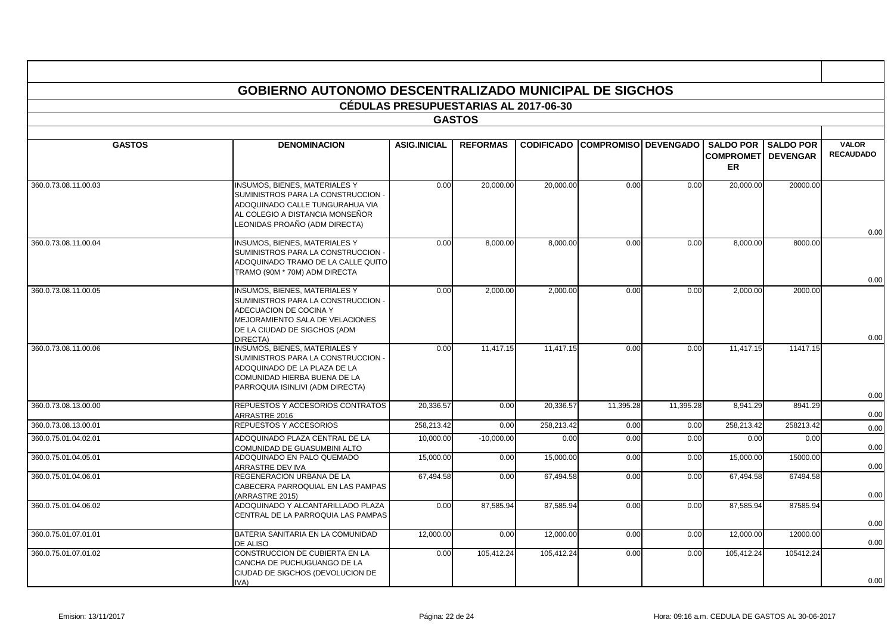|                      | <b>GOBIERNO AUTONOMO DESCENTRALIZADO MUNICIPAL DE SIGCHOS</b>                                                                                                                              |                                              |                 |                   |                             |           |                                                             |                  |                                  |
|----------------------|--------------------------------------------------------------------------------------------------------------------------------------------------------------------------------------------|----------------------------------------------|-----------------|-------------------|-----------------------------|-----------|-------------------------------------------------------------|------------------|----------------------------------|
|                      |                                                                                                                                                                                            | <b>CÉDULAS PRESUPUESTARIAS AL 2017-06-30</b> |                 |                   |                             |           |                                                             |                  |                                  |
|                      |                                                                                                                                                                                            |                                              | <b>GASTOS</b>   |                   |                             |           |                                                             |                  |                                  |
|                      |                                                                                                                                                                                            |                                              |                 |                   |                             |           |                                                             |                  |                                  |
| <b>GASTOS</b>        | <b>DENOMINACION</b>                                                                                                                                                                        | <b>ASIG.INICIAL</b>                          | <b>REFORMAS</b> | <b>CODIFICADO</b> | <b>COMPROMISO DEVENGADO</b> |           | <b>SALDO POR</b><br><b>COMPROMETI DEVENGAR</b><br><b>ER</b> | <b>SALDO POR</b> | <b>VALOR</b><br><b>RECAUDADO</b> |
| 360.0.73.08.11.00.03 | <b>INSUMOS, BIENES, MATERIALES Y</b><br>SUMINISTROS PARA LA CONSTRUCCION -<br>ADOQUINADO CALLE TUNGURAHUA VIA<br>AL COLEGIO A DISTANCIA MONSEÑOR<br>LEONIDAS PROAÑO (ADM DIRECTA)          | 0.00                                         | 20,000.00       | 20,000.00         | 0.00                        | 0.00      | 20,000.00                                                   | 20000.00         |                                  |
| 360.0.73.08.11.00.04 | <b>INSUMOS, BIENES, MATERIALES Y</b><br>SUMINISTROS PARA LA CONSTRUCCION -<br>ADOQUINADO TRAMO DE LA CALLE QUITO<br>TRAMO (90M * 70M) ADM DIRECTA                                          | 0.00                                         | 8,000.00        | 8,000.00          | 0.00                        | 0.00      | 8,000.00                                                    | 8000.00          | 0.00                             |
| 360.0.73.08.11.00.05 | <b>INSUMOS, BIENES, MATERIALES Y</b>                                                                                                                                                       | 0.00                                         | 2.000.00        | 2.000.00          | 0.00                        | 0.00      | 2.000.00                                                    | 2000.00          | 0.00                             |
|                      | SUMINISTROS PARA LA CONSTRUCCION -<br>ADECUACION DE COCINA Y<br>MEJORAMIENTO SALA DE VELACIONES<br>DE LA CIUDAD DE SIGCHOS (ADM                                                            |                                              |                 |                   |                             |           |                                                             |                  | 0.00                             |
| 360.0.73.08.11.00.06 | DIRECTA)<br><b>INSUMOS, BIENES, MATERIALES Y</b><br>SUMINISTROS PARA LA CONSTRUCCION -<br>ADOQUINADO DE LA PLAZA DE LA<br>COMUNIDAD HIERBA BUENA DE LA<br>PARROQUIA ISINLIVI (ADM DIRECTA) | 0.00                                         | 11,417.15       | 11,417.15         | 0.00                        | 0.00      | 11,417.15                                                   | 11417.15         | 0.00                             |
| 360.0.73.08.13.00.00 | REPUESTOS Y ACCESORIOS CONTRATOS                                                                                                                                                           | 20,336.57                                    | 0.00            | 20,336.57         | 11,395.28                   | 11,395.28 | 8,941.29                                                    | 8941.29          |                                  |
| 360.0.73.08.13.00.01 | ARRASTRE 2016<br>REPUESTOS Y ACCESORIOS                                                                                                                                                    | 258.213.42                                   | 0.00            | 258.213.42        | 0.00                        | 0.00      | 258.213.42                                                  | 258213.42        | 0.00<br>0.00                     |
| 360.0.75.01.04.02.01 | ADOQUINADO PLAZA CENTRAL DE LA<br>COMUNIDAD DE GUASUMBINI ALTO                                                                                                                             | 10.000.00                                    | $-10,000.00$    | 0.00              | 0.00                        | 0.00      | 0.00                                                        | 0.00             | 0.00                             |
| 360.0.75.01.04.05.01 | ADOQUINADO EN PALO QUEMADO<br>ARRASTRE DEV IVA                                                                                                                                             | 15,000.00                                    | 0.00            | 15,000.00         | 0.00                        | 0.00      | 15,000.00                                                   | 15000.00         | 0.00                             |
| 360.0.75.01.04.06.01 | REGENERACION URBANA DE LA<br>CABECERA PARROQUIAL EN LAS PAMPAS<br>(ARRASTRE 2015)                                                                                                          | 67,494.58                                    | 0.00            | 67,494.58         | 0.00                        | 0.00      | 67,494.58                                                   | 67494.58         | 0.00                             |
| 360.0.75.01.04.06.02 | ADOQUINADO Y ALCANTARILLADO PLAZA<br>CENTRAL DE LA PARROQUIA LAS PAMPAS                                                                                                                    | 0.00                                         | 87.585.94       | 87.585.94         | 0.00                        | 0.00      | 87,585.94                                                   | 87585.94         | 0.00                             |
| 360.0.75.01.07.01.01 | BATERIA SANITARIA EN LA COMUNIDAD<br>DE ALISO                                                                                                                                              | 12.000.00                                    | 0.00            | 12.000.00         | 0.00                        | 0.00      | 12.000.00                                                   | 12000.00         | 0.00                             |
| 360.0.75.01.07.01.02 | CONSTRUCCION DE CUBIERTA EN LA<br>CANCHA DE PUCHUGUANGO DE LA<br>CIUDAD DE SIGCHOS (DEVOLUCION DE<br>IVA)                                                                                  | 0.00                                         | 105,412.24      | 105,412.24        | 0.00                        | 0.00      | 105,412.24                                                  | 105412.24        | 0.00                             |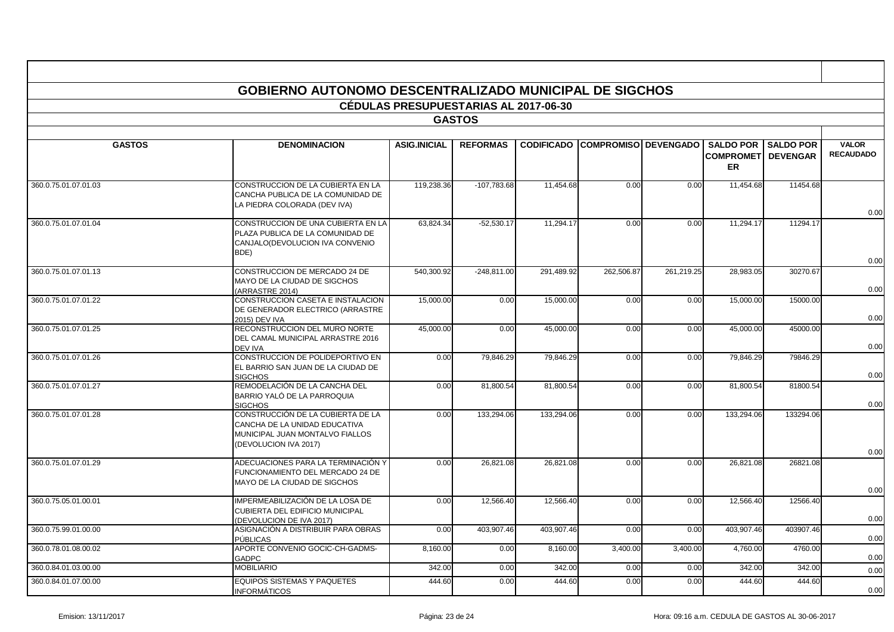|                      | <b>GOBIERNO AUTONOMO DESCENTRALIZADO MUNICIPAL DE SIGCHOS</b>                                                                  |                                              |                 |                   |                             |            |                                                   |                                     |                                  |  |  |  |  |
|----------------------|--------------------------------------------------------------------------------------------------------------------------------|----------------------------------------------|-----------------|-------------------|-----------------------------|------------|---------------------------------------------------|-------------------------------------|----------------------------------|--|--|--|--|
|                      |                                                                                                                                | <b>CÉDULAS PRESUPUESTARIAS AL 2017-06-30</b> |                 |                   |                             |            |                                                   |                                     |                                  |  |  |  |  |
|                      |                                                                                                                                |                                              | <b>GASTOS</b>   |                   |                             |            |                                                   |                                     |                                  |  |  |  |  |
|                      |                                                                                                                                |                                              |                 |                   |                             |            |                                                   |                                     |                                  |  |  |  |  |
| <b>GASTOS</b>        | <b>DENOMINACION</b>                                                                                                            | <b>ASIG.INICIAL</b>                          | <b>REFORMAS</b> | <b>CODIFICADO</b> | <b>COMPROMISO DEVENGADO</b> |            | <b>SALDO POR</b><br><b>COMPROMET</b><br><b>ER</b> | <b>SALDO POR</b><br><b>DEVENGAR</b> | <b>VALOR</b><br><b>RECAUDADO</b> |  |  |  |  |
| 360.0.75.01.07.01.03 | CONSTRUCCION DE LA CUBIERTA EN LA<br>CANCHA PUBLICA DE LA COMUNIDAD DE<br>LA PIEDRA COLORADA (DEV IVA)                         | 119,238.36                                   | $-107,783.68$   | 11,454.68         | 0.00                        | 0.00       | 11,454.68                                         | 11454.68                            | 0.00                             |  |  |  |  |
| 360.0.75.01.07.01.04 | CONSTRUCCION DE UNA CUBIERTA EN LA<br>PLAZA PUBLICA DE LA COMUNIDAD DE<br>CANJALO(DEVOLUCION IVA CONVENIO<br>BDE)              | 63,824.34                                    | $-52,530.17$    | 11,294.17         | 0.00                        | 0.00       | 11,294.17                                         | 11294.17                            |                                  |  |  |  |  |
| 360.0.75.01.07.01.13 | CONSTRUCCION DE MERCADO 24 DE<br>MAYO DE LA CIUDAD DE SIGCHOS<br>(ARRASTRE 2014)                                               | 540,300.92                                   | $-248,811.00$   | 291,489.92        | 262,506.87                  | 261,219.25 | 28,983.05                                         | 30270.67                            | 0.00<br>0.00                     |  |  |  |  |
| 360.0.75.01.07.01.22 | CONSTRUCCION CASETA E INSTALACION<br>DE GENERADOR ELECTRICO (ARRASTRE<br>2015) DEV IVA                                         | 15,000.00                                    | 0.00            | 15,000.00         | 0.00                        | 0.00       | 15,000.00                                         | 15000.00                            | 0.00                             |  |  |  |  |
| 360.0.75.01.07.01.25 | RECONSTRUCCION DEL MURO NORTE<br>DEL CAMAL MUNICIPAL ARRASTRE 2016<br>DEV IVA                                                  | 45,000.00                                    | 0.00            | 45,000.00         | 0.00                        | 0.00       | 45,000.00                                         | 45000.00                            | 0.00                             |  |  |  |  |
| 360.0.75.01.07.01.26 | CONSTRUCCION DE POLIDEPORTIVO EN<br>EL BARRIO SAN JUAN DE LA CIUDAD DE<br><b>SIGCHOS</b>                                       | 0.00                                         | 79,846.29       | 79,846.29         | 0.00                        | 0.00       | 79,846.29                                         | 79846.29                            | 0.00                             |  |  |  |  |
| 360.0.75.01.07.01.27 | REMODELACIÓN DE LA CANCHA DEL<br>BARRIO YALÓ DE LA PARROQUIA<br><b>SIGCHOS</b>                                                 | 0.00                                         | 81,800.54       | 81,800.54         | 0.00                        | 0.00       | 81,800.54                                         | 81800.54                            | 0.00                             |  |  |  |  |
| 360.0.75.01.07.01.28 | CONSTRUCCIÓN DE LA CUBIERTA DE LA<br>CANCHA DE LA UNIDAD EDUCATIVA<br>MUNICIPAL JUAN MONTALVO FIALLOS<br>(DEVOLUCION IVA 2017) | 0.00                                         | 133,294.06      | 133,294.06        | 0.00                        | 0.00       | 133,294.06                                        | 133294.06                           |                                  |  |  |  |  |
| 360.0.75.01.07.01.29 | ADECUACIONES PARA LA TERMINACIÓN Y<br>FUNCIONAMIENTO DEL MERCADO 24 DE<br>MAYO DE LA CIUDAD DE SIGCHOS                         | 0.00                                         | 26,821.08       | 26,821.08         | 0.00                        | 0.00       | 26,821.08                                         | 26821.08                            | 0.00<br>0.00                     |  |  |  |  |
| 360.0.75.05.01.00.01 | IMPERMEABILIZACIÓN DE LA LOSA DE<br>CUBIERTA DEL EDIFICIO MUNICIPAL<br>(DEVOLUCION DE IVA 2017)                                | 0.00                                         | 12.566.40       | 12.566.40         | 0.00                        | 0.00       | 12.566.40                                         | 12566.40                            | 0.00                             |  |  |  |  |
| 360.0.75.99.01.00.00 | ASIGNACIÓN A DISTRIBUIR PARA OBRAS<br>PÚBLICAS                                                                                 | 0.00                                         | 403,907.46      | 403,907.46        | 0.00                        | 0.00       | 403.907.46                                        | 403907.46                           | 0.00                             |  |  |  |  |
| 360.0.78.01.08.00.02 | APORTE CONVENIO GOCIC-CH-GADMS-<br><b>GADPC</b>                                                                                | 8,160.00                                     | 0.00            | 8,160.00          | 3,400.00                    | 3,400.00   | 4,760.00                                          | 4760.00                             | 0.00                             |  |  |  |  |
| 360.0.84.01.03.00.00 | <b>MOBILIARIO</b>                                                                                                              | 342.00                                       | 0.00            | 342.00            | 0.00                        | 0.00       | 342.00                                            | 342.00                              | 0.00                             |  |  |  |  |
| 360.0.84.01.07.00.00 | <b>EQUIPOS SISTEMAS Y PAQUETES</b><br><b>INFORMÁTICOS</b>                                                                      | 444.60                                       | 0.00            | 444.60            | 0.00                        | 0.00       | 444.60                                            | 444.60                              | 0.00                             |  |  |  |  |